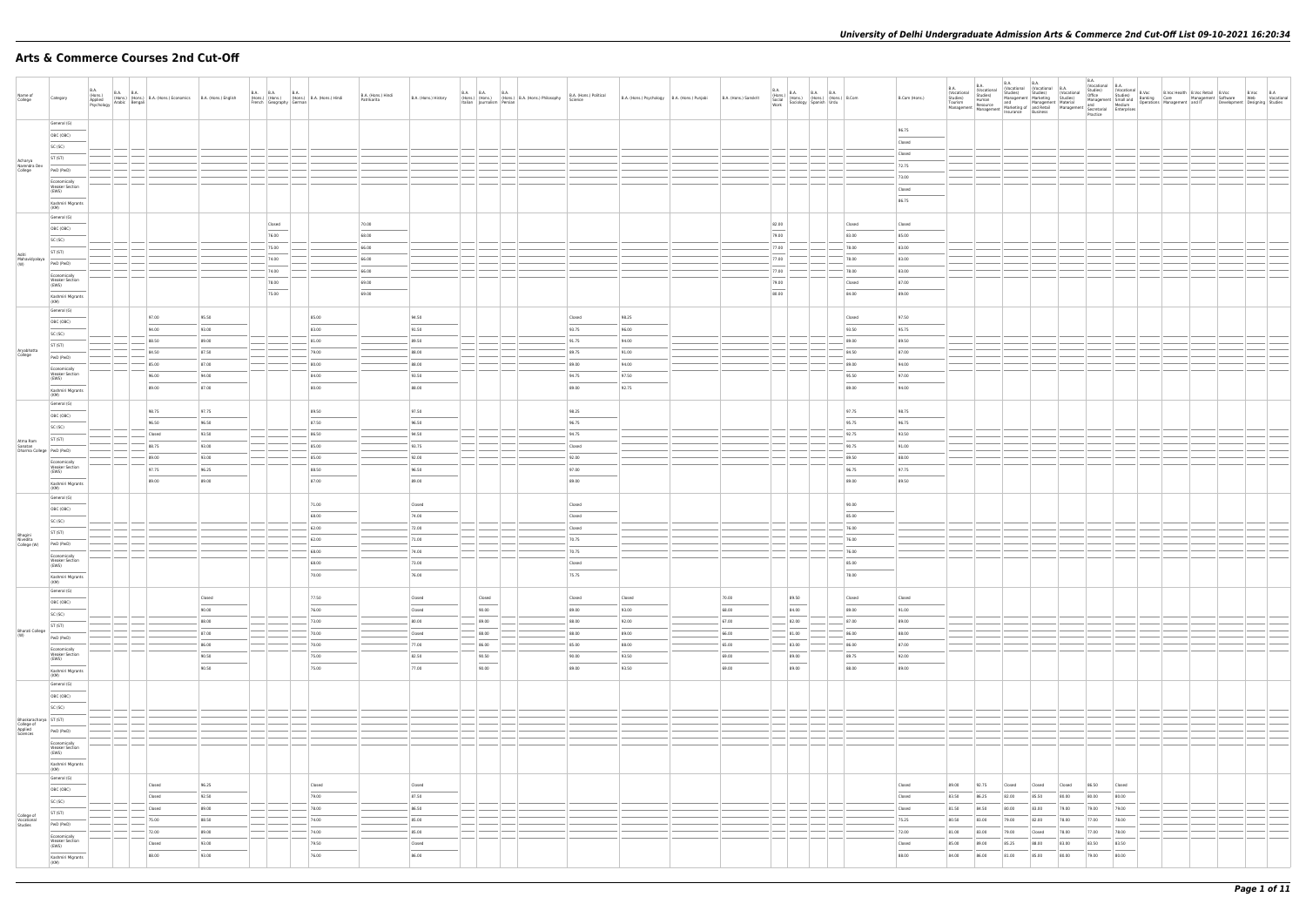## **Arts & Commerce Courses 2nd Cut-Off**

|                                       |                                                                                                                                                                                                                                                                                                                                                                                                                                                                                           |                                                                 |                                                             |                 |                                                                            |                  |                         |                                            |             |                    |                                   |                                   |                        |                                              |                        |             |                                                                                                                  |                             |                                   |               | <b>B.A.</b>             | <b>B.A.</b>             | B.A.                                                                                                 | <b>B.A.</b> |        | B.A.<br>(Vocational B.A. |        |  |  |
|---------------------------------------|-------------------------------------------------------------------------------------------------------------------------------------------------------------------------------------------------------------------------------------------------------------------------------------------------------------------------------------------------------------------------------------------------------------------------------------------------------------------------------------------|-----------------------------------------------------------------|-------------------------------------------------------------|-----------------|----------------------------------------------------------------------------|------------------|-------------------------|--------------------------------------------|-------------|--------------------|-----------------------------------|-----------------------------------|------------------------|----------------------------------------------|------------------------|-------------|------------------------------------------------------------------------------------------------------------------|-----------------------------|-----------------------------------|---------------|-------------------------|-------------------------|------------------------------------------------------------------------------------------------------|-------------|--------|--------------------------|--------|--|--|
| Name of                               | Category                                                                                                                                                                                                                                                                                                                                                                                                                                                                                  | <b>B.A.</b><br><b>B.A. B.A.</b>                                 | (Hons.) (Hons.) B.A. (Hons.) Economics B.A. (Hons.) English |                 |                                                                            | <b>B.A. B.A.</b> | <b>B.A.</b>             | (Hons.) (Hons.) (Hons.) B.A. (Hons.) Hindi |             | B.A. (Hons.) Hindi | B.A. (Hons.) History              | B.A. B.A. B.A.                    | B.A. (Hons.) Political | B.A. (Hons.) Psychology B.A. (Hons.) Punjabi | B.A. (Hons.) Sanskrit  | <b>B.A.</b> | B.A. (Hons.) B.A. B.A. B.A. (Hons.) B.Com<br>Social (Hons.) (Hons.) (Hons.) B.Com<br>Work Sociology Spanish Urdu |                             |                                   | B.Com (Hons.) | (Vocational<br>Studies) | (Vocational<br>Studies) | (Vocational (Vocational B.A.<br>Studies) Studies) (Vocational                                        |             |        |                          |        |  |  |
| College                               |                                                                                                                                                                                                                                                                                                                                                                                                                                                                                           | (Hons.)<br>Applied (Hons.) (Hons.)<br>Psychology Arabic Bengali |                                                             |                 |                                                                            |                  | French Geography German |                                            | Patrikarita |                    |                                   | Italian Journalism Persian        |                        |                                              |                        |             |                                                                                                                  |                             |                                   |               |                         |                         | Studies,<br>Tourism Resource and Marketing of and Retail<br>Management Management Insurance Business |             |        |                          |        |  |  |
|                                       |                                                                                                                                                                                                                                                                                                                                                                                                                                                                                           |                                                                 |                                                             |                 |                                                                            |                  |                         |                                            |             |                    |                                   |                                   |                        |                                              |                        |             |                                                                                                                  |                             |                                   |               |                         |                         |                                                                                                      |             |        |                          |        |  |  |
|                                       | General (G)                                                                                                                                                                                                                                                                                                                                                                                                                                                                               |                                                                 |                                                             |                 |                                                                            |                  |                         |                                            |             |                    |                                   |                                   |                        |                                              |                        |             |                                                                                                                  |                             |                                   |               |                         |                         |                                                                                                      |             |        |                          |        |  |  |
|                                       |                                                                                                                                                                                                                                                                                                                                                                                                                                                                                           |                                                                 |                                                             |                 |                                                                            |                  |                         |                                            |             |                    |                                   |                                   |                        |                                              |                        |             |                                                                                                                  |                             |                                   | 96.75         |                         |                         |                                                                                                      |             |        |                          |        |  |  |
|                                       | OBC (OBC)                                                                                                                                                                                                                                                                                                                                                                                                                                                                                 |                                                                 |                                                             |                 |                                                                            |                  |                         |                                            |             |                    |                                   |                                   |                        |                                              |                        |             |                                                                                                                  |                             |                                   | Closed        |                         |                         |                                                                                                      |             |        |                          |        |  |  |
|                                       | SC (SC)                                                                                                                                                                                                                                                                                                                                                                                                                                                                                   |                                                                 |                                                             |                 |                                                                            |                  |                         |                                            |             |                    |                                   |                                   |                        |                                              |                        |             |                                                                                                                  |                             |                                   |               |                         |                         |                                                                                                      |             |        |                          |        |  |  |
|                                       | ST (ST)                                                                                                                                                                                                                                                                                                                                                                                                                                                                                   |                                                                 |                                                             |                 |                                                                            |                  |                         |                                            |             |                    |                                   |                                   |                        |                                              |                        |             |                                                                                                                  |                             |                                   | Closed        |                         |                         |                                                                                                      |             |        |                          |        |  |  |
| Acharya<br>Narendra Dev               |                                                                                                                                                                                                                                                                                                                                                                                                                                                                                           |                                                                 |                                                             |                 |                                                                            |                  |                         |                                            |             |                    |                                   |                                   |                        |                                              |                        |             |                                                                                                                  |                             |                                   | 72.75         |                         |                         |                                                                                                      |             |        |                          |        |  |  |
| College                               | PwD (PwD)                                                                                                                                                                                                                                                                                                                                                                                                                                                                                 |                                                                 |                                                             |                 |                                                                            |                  |                         |                                            |             |                    |                                   |                                   |                        |                                              |                        |             |                                                                                                                  |                             |                                   | 73.00         |                         |                         |                                                                                                      |             |        |                          |        |  |  |
|                                       | Economically                                                                                                                                                                                                                                                                                                                                                                                                                                                                              |                                                                 |                                                             |                 |                                                                            |                  |                         |                                            |             |                    |                                   |                                   |                        |                                              |                        |             |                                                                                                                  |                             |                                   |               |                         |                         |                                                                                                      |             |        |                          |        |  |  |
|                                       | <b>Weaker Section</b><br>(EWS)                                                                                                                                                                                                                                                                                                                                                                                                                                                            |                                                                 |                                                             |                 |                                                                            |                  |                         |                                            |             |                    |                                   |                                   |                        |                                              |                        |             |                                                                                                                  |                             |                                   | Closed        |                         |                         |                                                                                                      |             |        |                          |        |  |  |
|                                       | Kashmiri Migrants                                                                                                                                                                                                                                                                                                                                                                                                                                                                         |                                                                 |                                                             |                 |                                                                            |                  |                         |                                            |             |                    |                                   |                                   |                        |                                              |                        |             |                                                                                                                  |                             |                                   | 86.75         |                         |                         |                                                                                                      |             |        |                          |        |  |  |
|                                       | (KM)                                                                                                                                                                                                                                                                                                                                                                                                                                                                                      |                                                                 |                                                             |                 |                                                                            |                  |                         |                                            |             |                    |                                   |                                   |                        |                                              |                        |             |                                                                                                                  |                             |                                   |               |                         |                         |                                                                                                      |             |        |                          |        |  |  |
|                                       | General (G)                                                                                                                                                                                                                                                                                                                                                                                                                                                                               |                                                                 |                                                             |                 |                                                                            |                  |                         |                                            |             |                    |                                   |                                   |                        |                                              |                        |             |                                                                                                                  |                             |                                   |               |                         |                         |                                                                                                      |             |        |                          |        |  |  |
|                                       | OBC (OBC)                                                                                                                                                                                                                                                                                                                                                                                                                                                                                 |                                                                 |                                                             |                 |                                                                            | Closed           |                         |                                            | 70.00       |                    |                                   |                                   |                        |                                              |                        | 82.00       |                                                                                                                  |                             | Closed                            | Closed        |                         |                         |                                                                                                      |             |        |                          |        |  |  |
|                                       |                                                                                                                                                                                                                                                                                                                                                                                                                                                                                           |                                                                 |                                                             |                 |                                                                            | $\sim$<br>76.00  |                         |                                            | 68.00       |                    |                                   |                                   |                        |                                              |                        | 79.00       |                                                                                                                  |                             | 83.00                             | 85.00         |                         |                         |                                                                                                      |             |        |                          |        |  |  |
|                                       | SC (SC)                                                                                                                                                                                                                                                                                                                                                                                                                                                                                   |                                                                 |                                                             |                 |                                                                            |                  |                         |                                            |             |                    |                                   |                                   |                        |                                              |                        |             |                                                                                                                  |                             |                                   |               |                         |                         |                                                                                                      |             |        |                          |        |  |  |
|                                       | ST (ST)                                                                                                                                                                                                                                                                                                                                                                                                                                                                                   |                                                                 |                                                             |                 |                                                                            | 75.00            |                         |                                            | 66.00       |                    |                                   |                                   |                        |                                              |                        | 77.00       |                                                                                                                  |                             | 78.00                             | 83.00         |                         |                         |                                                                                                      |             |        |                          |        |  |  |
| Aditi<br>Mahavidyalaya<br>(W)         | PwD (PwD)                                                                                                                                                                                                                                                                                                                                                                                                                                                                                 |                                                                 |                                                             |                 |                                                                            | 74.00            |                         |                                            | 66.00       |                    |                                   |                                   |                        |                                              |                        | 77.00       |                                                                                                                  |                             | 78.00                             | 83.00         |                         |                         |                                                                                                      |             |        |                          |        |  |  |
|                                       |                                                                                                                                                                                                                                                                                                                                                                                                                                                                                           |                                                                 |                                                             |                 |                                                                            | 74.00            |                         |                                            | 66.00       |                    |                                   |                                   |                        |                                              |                        | 77.00       |                                                                                                                  |                             | 78.00                             | 83.00         |                         |                         |                                                                                                      |             |        |                          |        |  |  |
|                                       | Economically<br><b>Weaker Section</b>                                                                                                                                                                                                                                                                                                                                                                                                                                                     |                                                                 |                                                             |                 |                                                                            |                  |                         |                                            |             |                    |                                   |                                   |                        |                                              |                        |             |                                                                                                                  |                             |                                   |               |                         |                         |                                                                                                      |             |        |                          |        |  |  |
|                                       | (EWS)                                                                                                                                                                                                                                                                                                                                                                                                                                                                                     |                                                                 |                                                             |                 |                                                                            | 78.00            |                         |                                            | 69.00       |                    |                                   |                                   |                        |                                              |                        | 79.00       |                                                                                                                  |                             | Closed                            | 87.00         |                         |                         |                                                                                                      |             |        |                          |        |  |  |
|                                       | Kashmiri Migrants                                                                                                                                                                                                                                                                                                                                                                                                                                                                         |                                                                 |                                                             |                 |                                                                            | 75.00            |                         |                                            | 69.00       |                    |                                   |                                   |                        |                                              |                        | 80.00       |                                                                                                                  |                             | 84.00                             | 89.00         |                         |                         |                                                                                                      |             |        |                          |        |  |  |
|                                       | (KM)                                                                                                                                                                                                                                                                                                                                                                                                                                                                                      |                                                                 |                                                             |                 |                                                                            |                  |                         |                                            |             |                    |                                   |                                   |                        |                                              |                        |             |                                                                                                                  |                             |                                   |               |                         |                         |                                                                                                      |             |        |                          |        |  |  |
|                                       | General (G)                                                                                                                                                                                                                                                                                                                                                                                                                                                                               |                                                                 |                                                             |                 |                                                                            |                  |                         |                                            |             |                    |                                   |                                   |                        |                                              |                        |             |                                                                                                                  |                             |                                   |               |                         |                         |                                                                                                      |             |        |                          |        |  |  |
|                                       | OBC (OBC)                                                                                                                                                                                                                                                                                                                                                                                                                                                                                 |                                                                 | 97.00                                                       | 95.50           |                                                                            |                  |                         | 85.00                                      |             |                    | 94.50                             |                                   | Closed                 | 98.25                                        |                        |             |                                                                                                                  |                             | Closed                            | 97.50         |                         |                         |                                                                                                      |             |        |                          |        |  |  |
|                                       |                                                                                                                                                                                                                                                                                                                                                                                                                                                                                           |                                                                 | 94.00                                                       | 93.00           |                                                                            |                  |                         | 83.00                                      |             |                    | 91.50                             |                                   | 93.75                  | 96.00                                        |                        |             |                                                                                                                  |                             | 93.50                             | 95.75         |                         |                         |                                                                                                      |             |        |                          |        |  |  |
|                                       | SC (SC)                                                                                                                                                                                                                                                                                                                                                                                                                                                                                   |                                                                 |                                                             |                 |                                                                            |                  |                         |                                            |             |                    |                                   |                                   |                        |                                              |                        |             |                                                                                                                  |                             |                                   |               |                         |                         |                                                                                                      |             |        |                          |        |  |  |
|                                       | ST (ST)                                                                                                                                                                                                                                                                                                                                                                                                                                                                                   |                                                                 | 88.50                                                       | 89.00           |                                                                            |                  |                         | 81.00                                      |             |                    | 89.50                             |                                   | 91.75                  | 94.00                                        |                        |             |                                                                                                                  |                             | 89.00                             | 89.50         |                         |                         |                                                                                                      |             |        |                          |        |  |  |
| Aryabhatta<br>College                 | PwD (PwD)                                                                                                                                                                                                                                                                                                                                                                                                                                                                                 |                                                                 | 84.50                                                       | 87.50           |                                                                            |                  |                         | 79.00                                      |             |                    | 88.00                             |                                   | 89.75                  | 91.00                                        |                        |             |                                                                                                                  |                             | 84.50                             | 87.00         |                         |                         |                                                                                                      |             |        |                          |        |  |  |
|                                       |                                                                                                                                                                                                                                                                                                                                                                                                                                                                                           |                                                                 | 85.00                                                       | 87.00           |                                                                            |                  |                         | 80.00                                      |             |                    | 88.00                             |                                   | 89.00                  | 94.00                                        |                        |             |                                                                                                                  |                             | 89.00                             | 94.00         |                         |                         |                                                                                                      |             |        |                          |        |  |  |
|                                       | Economically<br><b>Weaker Section</b>                                                                                                                                                                                                                                                                                                                                                                                                                                                     |                                                                 |                                                             |                 |                                                                            |                  |                         |                                            |             |                    |                                   |                                   |                        |                                              |                        |             |                                                                                                                  |                             |                                   |               |                         |                         |                                                                                                      |             |        |                          |        |  |  |
|                                       | (EWS)                                                                                                                                                                                                                                                                                                                                                                                                                                                                                     |                                                                 | 96.00                                                       | 94.00           |                                                                            |                  |                         | 84.00                                      |             |                    | 93.50                             |                                   | 94.75                  | 97.50                                        |                        |             |                                                                                                                  |                             | 95.50                             | 97.00         |                         |                         |                                                                                                      |             |        |                          |        |  |  |
|                                       | Kashmiri Migrants                                                                                                                                                                                                                                                                                                                                                                                                                                                                         |                                                                 | 89.00                                                       | 87.00           |                                                                            |                  |                         | 80.00                                      |             |                    | 88.00                             |                                   | 89.00                  | 92.75                                        |                        |             |                                                                                                                  |                             | 89.00                             | 94.00         |                         |                         |                                                                                                      |             |        |                          |        |  |  |
|                                       | (KM)                                                                                                                                                                                                                                                                                                                                                                                                                                                                                      |                                                                 |                                                             |                 |                                                                            |                  |                         |                                            |             |                    |                                   |                                   |                        |                                              |                        |             |                                                                                                                  |                             |                                   |               |                         |                         |                                                                                                      |             |        |                          |        |  |  |
|                                       | General (G)                                                                                                                                                                                                                                                                                                                                                                                                                                                                               |                                                                 |                                                             |                 |                                                                            |                  |                         |                                            |             |                    |                                   |                                   |                        |                                              |                        |             |                                                                                                                  |                             |                                   |               |                         |                         |                                                                                                      |             |        |                          |        |  |  |
|                                       | OBC (OBC)                                                                                                                                                                                                                                                                                                                                                                                                                                                                                 |                                                                 | 98.75                                                       | 97.75           |                                                                            |                  |                         | 89.50                                      |             |                    | 97.50                             |                                   | 98.25                  |                                              |                        |             |                                                                                                                  |                             | 97.75                             | 98.75         |                         |                         |                                                                                                      |             |        |                          |        |  |  |
|                                       | SC (SC)                                                                                                                                                                                                                                                                                                                                                                                                                                                                                   |                                                                 | 96.50                                                       | 96.50           |                                                                            |                  |                         | 87.50                                      |             |                    | 96.50                             |                                   | 96.75                  |                                              |                        |             |                                                                                                                  |                             | 95.75                             | 96.75         |                         |                         |                                                                                                      |             |        |                          |        |  |  |
|                                       |                                                                                                                                                                                                                                                                                                                                                                                                                                                                                           |                                                                 | Closed                                                      | 93.50           |                                                                            |                  |                         | 86.50                                      |             |                    | 94.50                             |                                   | 94.75                  |                                              |                        |             |                                                                                                                  |                             | 92.75                             | 93.50         |                         |                         |                                                                                                      |             |        |                          |        |  |  |
| Atma Ram                              | ST (ST)                                                                                                                                                                                                                                                                                                                                                                                                                                                                                   |                                                                 |                                                             |                 |                                                                            |                  |                         |                                            |             |                    |                                   |                                   |                        |                                              |                        |             |                                                                                                                  |                             |                                   |               |                         |                         |                                                                                                      |             |        |                          |        |  |  |
| Sanatan<br>Dharma College   PwD (PwD) |                                                                                                                                                                                                                                                                                                                                                                                                                                                                                           |                                                                 | 88.75                                                       | 93.00           |                                                                            |                  |                         | 85.00                                      |             |                    | 93.75                             |                                   | Closed                 |                                              |                        |             |                                                                                                                  |                             | 90.75                             | 91.00         |                         |                         |                                                                                                      |             |        |                          |        |  |  |
|                                       | Economically                                                                                                                                                                                                                                                                                                                                                                                                                                                                              |                                                                 | 89.00                                                       | 93.00           |                                                                            |                  |                         | 85.00                                      |             |                    | 92.00                             |                                   | 92.00                  |                                              |                        |             |                                                                                                                  |                             | 89.50                             | 88.00         |                         |                         |                                                                                                      |             |        |                          |        |  |  |
|                                       | <b>Weaker Section</b>                                                                                                                                                                                                                                                                                                                                                                                                                                                                     |                                                                 | 97.75                                                       | 96.25           |                                                                            |                  |                         | 88.50                                      |             |                    | 96.50                             |                                   | 97.00                  |                                              |                        |             |                                                                                                                  |                             | 96.75                             | 97.75         |                         |                         |                                                                                                      |             |        |                          |        |  |  |
|                                       | (EWS)                                                                                                                                                                                                                                                                                                                                                                                                                                                                                     |                                                                 | 89.00                                                       | 89.00           |                                                                            |                  |                         | 87.00                                      |             |                    | 89.00                             |                                   | 89.00                  |                                              |                        |             |                                                                                                                  |                             | 89.00                             | 89.50         |                         |                         |                                                                                                      |             |        |                          |        |  |  |
|                                       | Kashmiri Migrants<br>(KM)                                                                                                                                                                                                                                                                                                                                                                                                                                                                 |                                                                 |                                                             |                 |                                                                            |                  |                         |                                            |             |                    |                                   |                                   |                        |                                              |                        |             |                                                                                                                  |                             |                                   |               |                         |                         |                                                                                                      |             |        |                          |        |  |  |
|                                       | General (G)                                                                                                                                                                                                                                                                                                                                                                                                                                                                               |                                                                 |                                                             |                 |                                                                            |                  |                         |                                            |             |                    |                                   |                                   |                        |                                              |                        |             |                                                                                                                  |                             |                                   |               |                         |                         |                                                                                                      |             |        |                          |        |  |  |
|                                       |                                                                                                                                                                                                                                                                                                                                                                                                                                                                                           |                                                                 |                                                             |                 |                                                                            |                  |                         | 71.00                                      |             |                    | Closed                            |                                   | Closed                 |                                              |                        |             |                                                                                                                  |                             | 90.00                             |               |                         |                         |                                                                                                      |             |        |                          |        |  |  |
|                                       | OBC (OBC)                                                                                                                                                                                                                                                                                                                                                                                                                                                                                 |                                                                 |                                                             |                 |                                                                            |                  |                         | 68.00                                      |             |                    | 74.00                             |                                   | Closed                 |                                              |                        |             |                                                                                                                  |                             | 85.00                             |               |                         |                         |                                                                                                      |             |        |                          |        |  |  |
|                                       | SC (SC)                                                                                                                                                                                                                                                                                                                                                                                                                                                                                   |                                                                 |                                                             |                 |                                                                            |                  |                         |                                            |             |                    |                                   |                                   |                        |                                              |                        |             |                                                                                                                  |                             |                                   |               |                         |                         |                                                                                                      |             |        |                          |        |  |  |
|                                       | ST (ST)                                                                                                                                                                                                                                                                                                                                                                                                                                                                                   |                                                                 |                                                             |                 |                                                                            |                  |                         | 62.00                                      |             |                    | 72.00                             |                                   | Closed                 |                                              |                        |             |                                                                                                                  |                             | 76.00                             |               |                         |                         |                                                                                                      |             |        |                          |        |  |  |
| Bhagini<br>Nivedita                   |                                                                                                                                                                                                                                                                                                                                                                                                                                                                                           |                                                                 |                                                             |                 |                                                                            |                  |                         | 62.00                                      |             |                    | 71.00                             |                                   | 70.75                  |                                              |                        |             |                                                                                                                  |                             | 76.00                             |               |                         |                         |                                                                                                      |             |        |                          |        |  |  |
| College (W)                           | PwD (PwD)                                                                                                                                                                                                                                                                                                                                                                                                                                                                                 |                                                                 |                                                             |                 |                                                                            |                  |                         | 68.00                                      |             |                    | 74.00                             |                                   | 70.75                  |                                              |                        |             |                                                                                                                  |                             | 76.00                             |               |                         |                         |                                                                                                      |             |        |                          |        |  |  |
|                                       | Economically                                                                                                                                                                                                                                                                                                                                                                                                                                                                              |                                                                 |                                                             |                 |                                                                            |                  |                         |                                            |             |                    |                                   |                                   |                        |                                              |                        |             |                                                                                                                  |                             |                                   |               |                         |                         |                                                                                                      |             |        |                          |        |  |  |
|                                       | <b>Weaker Section</b><br>(EWS)                                                                                                                                                                                                                                                                                                                                                                                                                                                            |                                                                 |                                                             |                 |                                                                            |                  |                         | 68.00                                      |             |                    | 73.00                             |                                   | Closed                 |                                              |                        |             |                                                                                                                  |                             | 85.00                             |               |                         |                         |                                                                                                      |             |        |                          |        |  |  |
|                                       |                                                                                                                                                                                                                                                                                                                                                                                                                                                                                           |                                                                 |                                                             |                 |                                                                            |                  |                         | $\sim$<br>70.00                            |             |                    | 76.00                             |                                   | 75.75                  |                                              |                        |             |                                                                                                                  |                             | $\overline{\phantom{m}}$<br>78.00 |               |                         |                         |                                                                                                      |             |        |                          |        |  |  |
|                                       | Kashmiri Migrants<br>(KM)                                                                                                                                                                                                                                                                                                                                                                                                                                                                 |                                                                 |                                                             |                 |                                                                            |                  |                         |                                            |             |                    |                                   |                                   |                        |                                              |                        |             |                                                                                                                  |                             |                                   |               |                         |                         |                                                                                                      |             |        |                          |        |  |  |
|                                       | General (G)                                                                                                                                                                                                                                                                                                                                                                                                                                                                               |                                                                 |                                                             |                 |                                                                            |                  |                         |                                            |             |                    |                                   |                                   |                        |                                              |                        |             |                                                                                                                  |                             |                                   |               |                         |                         |                                                                                                      |             |        |                          |        |  |  |
|                                       | OBC (OBC)                                                                                                                                                                                                                                                                                                                                                                                                                                                                                 |                                                                 |                                                             | Closed          |                                                                            |                  |                         | 77.50<br>$\sim$                            |             |                    | Closed                            | Closed<br>$\sim$                  | Closed                 | Closed                                       | 70.00                  |             | 89.50                                                                                                            |                             | Closed                            | Closed        |                         |                         |                                                                                                      |             |        |                          |        |  |  |
|                                       |                                                                                                                                                                                                                                                                                                                                                                                                                                                                                           |                                                                 |                                                             | 90.00           |                                                                            |                  |                         | 76.00                                      |             |                    | Closed                            | 90.00                             | 89.00                  | 93.00                                        | 68.00                  |             | 84.00                                                                                                            |                             | 89.00                             | 91.00         |                         |                         |                                                                                                      |             |        |                          |        |  |  |
|                                       | SC (SC)                                                                                                                                                                                                                                                                                                                                                                                                                                                                                   |                                                                 |                                                             | 88.00           |                                                                            |                  |                         |                                            |             |                    | 80.00                             |                                   | 88.00                  |                                              | $-67.00$               |             |                                                                                                                  |                             |                                   | 89.00         |                         |                         |                                                                                                      |             |        |                          |        |  |  |
|                                       | ST (ST)                                                                                                                                                                                                                                                                                                                                                                                                                                                                                   |                                                                 | $\frac{1}{2}$                                               |                 | $\frac{1}{2}$<br>$\frac{1}{2}$                                             |                  |                         | 73.00                                      |             |                    |                                   | 89.00                             |                        | 92.00                                        |                        |             | $- 82.00$                                                                                                        |                             | 87.00                             |               |                         |                         |                                                                                                      |             |        |                          |        |  |  |
| Bharati College<br>(W)                | PwD (PwD)                                                                                                                                                                                                                                                                                                                                                                                                                                                                                 |                                                                 |                                                             | 87.00           |                                                                            |                  |                         | 70.00                                      |             |                    | Closed                            | 88.00                             | 88.00                  | 89.00                                        | 66.00                  |             | 81.00                                                                                                            |                             | 86.00                             | 88.00         |                         |                         |                                                                                                      |             |        |                          |        |  |  |
|                                       |                                                                                                                                                                                                                                                                                                                                                                                                                                                                                           |                                                                 |                                                             | 86.00           |                                                                            |                  |                         | 70.00                                      |             |                    | $- 77.00$                         | 86.00                             | $-$ 85.00              | 88.00                                        | 65.00                  |             | $-83.00$                                                                                                         |                             | 86.00                             | 87.00         |                         |                         |                                                                                                      |             |        |                          |        |  |  |
|                                       | Economically<br><b>Weaker Section</b>                                                                                                                                                                                                                                                                                                                                                                                                                                                     |                                                                 |                                                             |                 |                                                                            |                  |                         |                                            |             |                    |                                   |                                   |                        |                                              |                        |             |                                                                                                                  |                             |                                   |               |                         |                         |                                                                                                      |             |        |                          |        |  |  |
|                                       | (EWS)                                                                                                                                                                                                                                                                                                                                                                                                                                                                                     |                                                                 |                                                             | 90.50<br>$\sim$ |                                                                            |                  |                         | 75.00<br>$\sim$                            |             |                    | 82.50<br>$\overline{\phantom{a}}$ | 90.50<br>$\overline{\phantom{a}}$ | 90.00                  | 93.50                                        | 69.00<br>$\frac{1}{2}$ |             | 89.00<br>$\overline{\phantom{a}}$                                                                                |                             | 89.75<br>$\frac{1}{2}$            | 92.00         |                         |                         |                                                                                                      |             |        |                          |        |  |  |
|                                       | Kashmiri Migrants                                                                                                                                                                                                                                                                                                                                                                                                                                                                         |                                                                 |                                                             | 90.50           |                                                                            |                  |                         | 75.00                                      |             |                    | 77.00                             | 90.00                             | 89.00                  | 93.50                                        | 69.00                  |             | 89.00                                                                                                            |                             | 88.00                             | 89.00         |                         |                         |                                                                                                      |             |        |                          |        |  |  |
|                                       | (KM)                                                                                                                                                                                                                                                                                                                                                                                                                                                                                      |                                                                 |                                                             |                 |                                                                            |                  |                         |                                            |             |                    |                                   |                                   |                        |                                              |                        |             |                                                                                                                  |                             |                                   |               |                         |                         |                                                                                                      |             |        |                          |        |  |  |
|                                       | General (G)<br>$\frac{1}{2} \left( \frac{1}{2} \right) \left( \frac{1}{2} \right) \left( \frac{1}{2} \right) \left( \frac{1}{2} \right) \left( \frac{1}{2} \right) \left( \frac{1}{2} \right) \left( \frac{1}{2} \right) \left( \frac{1}{2} \right) \left( \frac{1}{2} \right) \left( \frac{1}{2} \right) \left( \frac{1}{2} \right) \left( \frac{1}{2} \right) \left( \frac{1}{2} \right) \left( \frac{1}{2} \right) \left( \frac{1}{2} \right) \left( \frac{1}{2} \right) \left( \frac$ |                                                                 |                                                             |                 |                                                                            |                  |                         |                                            |             |                    |                                   |                                   |                        |                                              |                        |             |                                                                                                                  |                             |                                   |               |                         |                         |                                                                                                      |             |        |                          |        |  |  |
|                                       | OBC (OBC)                                                                                                                                                                                                                                                                                                                                                                                                                                                                                 |                                                                 |                                                             |                 |                                                                            |                  |                         |                                            |             |                    |                                   |                                   |                        |                                              |                        |             |                                                                                                                  |                             |                                   |               |                         |                         |                                                                                                      |             |        |                          |        |  |  |
|                                       | SC (SC)                                                                                                                                                                                                                                                                                                                                                                                                                                                                                   |                                                                 |                                                             |                 |                                                                            |                  |                         |                                            |             |                    |                                   |                                   |                        |                                              |                        |             |                                                                                                                  |                             |                                   |               |                         |                         |                                                                                                      |             |        |                          |        |  |  |
|                                       |                                                                                                                                                                                                                                                                                                                                                                                                                                                                                           |                                                                 |                                                             |                 | --                                                                         |                  |                         |                                            |             |                    |                                   |                                   |                        |                                              |                        |             |                                                                                                                  |                             |                                   |               |                         |                         |                                                                                                      |             |        |                          |        |  |  |
| Bhaskaracharya ST (ST)                |                                                                                                                                                                                                                                                                                                                                                                                                                                                                                           |                                                                 |                                                             |                 |                                                                            |                  |                         |                                            |             |                    |                                   |                                   |                        |                                              |                        |             |                                                                                                                  |                             |                                   |               |                         |                         |                                                                                                      |             |        |                          |        |  |  |
| College of<br>Applied<br>Sciences     | PwD (PwD)                                                                                                                                                                                                                                                                                                                                                                                                                                                                                 |                                                                 |                                                             |                 |                                                                            |                  |                         |                                            |             |                    |                                   |                                   |                        |                                              |                        |             |                                                                                                                  |                             |                                   |               |                         |                         |                                                                                                      |             |        |                          |        |  |  |
|                                       | Economically                                                                                                                                                                                                                                                                                                                                                                                                                                                                              |                                                                 |                                                             |                 |                                                                            |                  |                         |                                            |             |                    |                                   |                                   |                        |                                              |                        |             |                                                                                                                  |                             |                                   |               |                         |                         |                                                                                                      |             |        |                          |        |  |  |
|                                       | <b>Weaker Section</b><br>(EWS)                                                                                                                                                                                                                                                                                                                                                                                                                                                            |                                                                 |                                                             |                 |                                                                            |                  |                         |                                            |             |                    |                                   |                                   |                        |                                              |                        |             |                                                                                                                  |                             |                                   |               |                         |                         |                                                                                                      |             |        |                          |        |  |  |
|                                       |                                                                                                                                                                                                                                                                                                                                                                                                                                                                                           |                                                                 |                                                             |                 |                                                                            |                  |                         |                                            |             |                    |                                   |                                   |                        |                                              |                        |             |                                                                                                                  |                             |                                   |               |                         |                         |                                                                                                      |             |        |                          |        |  |  |
|                                       | Kashmiri Migrants<br>(KM)                                                                                                                                                                                                                                                                                                                                                                                                                                                                 |                                                                 |                                                             |                 |                                                                            |                  |                         |                                            |             |                    |                                   |                                   |                        |                                              |                        |             |                                                                                                                  |                             |                                   |               |                         |                         |                                                                                                      |             |        |                          |        |  |  |
|                                       | General (G)                                                                                                                                                                                                                                                                                                                                                                                                                                                                               |                                                                 |                                                             |                 |                                                                            |                  |                         |                                            |             |                    |                                   |                                   |                        |                                              |                        |             |                                                                                                                  |                             |                                   |               |                         |                         |                                                                                                      |             |        |                          |        |  |  |
|                                       |                                                                                                                                                                                                                                                                                                                                                                                                                                                                                           |                                                                 | Closed                                                      | 96.25           |                                                                            |                  |                         | Closed                                     |             |                    | Closed                            |                                   |                        |                                              |                        |             |                                                                                                                  |                             |                                   | Closed        | 89.00                   | 92.75                   | Closed                                                                                               | Closed      | Closed | 86.50                    | Closed |  |  |
|                                       | OBC (OBC)                                                                                                                                                                                                                                                                                                                                                                                                                                                                                 |                                                                 | Closed                                                      | 92.50           |                                                                            |                  |                         | 79.00                                      |             |                    | 87.50                             |                                   |                        |                                              |                        |             |                                                                                                                  |                             |                                   | Closed        | 83.50                   | 86.25                   | 82.00                                                                                                | 85.50       | 80.00  | 80.00                    | 80.00  |  |  |
|                                       | SC (SC)                                                                                                                                                                                                                                                                                                                                                                                                                                                                                   |                                                                 |                                                             |                 |                                                                            |                  |                         |                                            |             |                    |                                   |                                   |                        |                                              |                        |             |                                                                                                                  |                             |                                   |               |                         |                         |                                                                                                      |             |        |                          |        |  |  |
|                                       | ST (ST)                                                                                                                                                                                                                                                                                                                                                                                                                                                                                   |                                                                 | Closed                                                      | 89.00           | $\frac{1}{2}$                                                              |                  |                         | 78.00                                      |             |                    | 86.50                             |                                   |                        |                                              |                        |             |                                                                                                                  |                             |                                   | Closed        | 81.50                   | 84.50                   | 80.00                                                                                                | 83.00       | 79.00  | 79.00                    | 79.00  |  |  |
| College of<br>Vocational              |                                                                                                                                                                                                                                                                                                                                                                                                                                                                                           |                                                                 | 75.00                                                       | 88.50           | $\overline{\phantom{a}}$ $\overline{\phantom{a}}$ $\overline{\phantom{a}}$ |                  |                         | 74.00                                      |             |                    | 85.00                             |                                   |                        |                                              |                        | -----       |                                                                                                                  | $\sim$ $\sim$ $\sim$ $\sim$ |                                   | 75.25         | 80.50                   | 83.00                   | 79.00                                                                                                | 82.00       | 78.00  | 77.00                    | 78.00  |  |  |
| Studies                               | PwD (PwD)                                                                                                                                                                                                                                                                                                                                                                                                                                                                                 |                                                                 | 72.00                                                       | 89.00           |                                                                            |                  |                         | 74.00                                      |             |                    | 85.00                             |                                   |                        |                                              |                        |             |                                                                                                                  |                             |                                   | 72.00         | 81.00                   | 83.00                   | 79.00                                                                                                | Closed      | 78.00  | 77.00                    | 78.00  |  |  |
|                                       | Economically                                                                                                                                                                                                                                                                                                                                                                                                                                                                              |                                                                 |                                                             |                 |                                                                            |                  |                         |                                            |             |                    |                                   |                                   |                        |                                              |                        |             |                                                                                                                  |                             |                                   |               |                         |                         |                                                                                                      |             |        |                          |        |  |  |
|                                       | <b>Weaker Section</b><br>(EWS)                                                                                                                                                                                                                                                                                                                                                                                                                                                            |                                                                 | Closed                                                      | 93.00           |                                                                            |                  |                         | 79.50<br>$\overline{\phantom{a}}$          |             |                    | Closed                            |                                   |                        |                                              |                        |             |                                                                                                                  |                             |                                   | Closed        | 85.00                   | 89.00                   | 85.25                                                                                                | 88.00       | 83.00  | 83.50                    | 83.50  |  |  |
|                                       | $\overline{\phantom{a}}$<br>Kashmiri Migrants                                                                                                                                                                                                                                                                                                                                                                                                                                             |                                                                 | 88.00                                                       | 93.00           |                                                                            |                  |                         | 76.00                                      |             |                    | 86.00                             |                                   |                        |                                              |                        |             |                                                                                                                  |                             |                                   | 88.00         | 84.00                   | 86.00                   | 81.00                                                                                                | 85.00       | 80.00  | 79.00                    | 80.00  |  |  |
|                                       | (KM)                                                                                                                                                                                                                                                                                                                                                                                                                                                                                      |                                                                 |                                                             |                 |                                                                            |                  |                         |                                            |             |                    |                                   |                                   |                        |                                              |                        |             |                                                                                                                  |                             |                                   |               |                         |                         |                                                                                                      |             |        |                          |        |  |  |
|                                       |                                                                                                                                                                                                                                                                                                                                                                                                                                                                                           |                                                                 |                                                             |                 |                                                                            |                  |                         |                                            |             |                    |                                   |                                   |                        |                                              |                        |             |                                                                                                                  |                             |                                   |               |                         |                         |                                                                                                      |             |        |                          |        |  |  |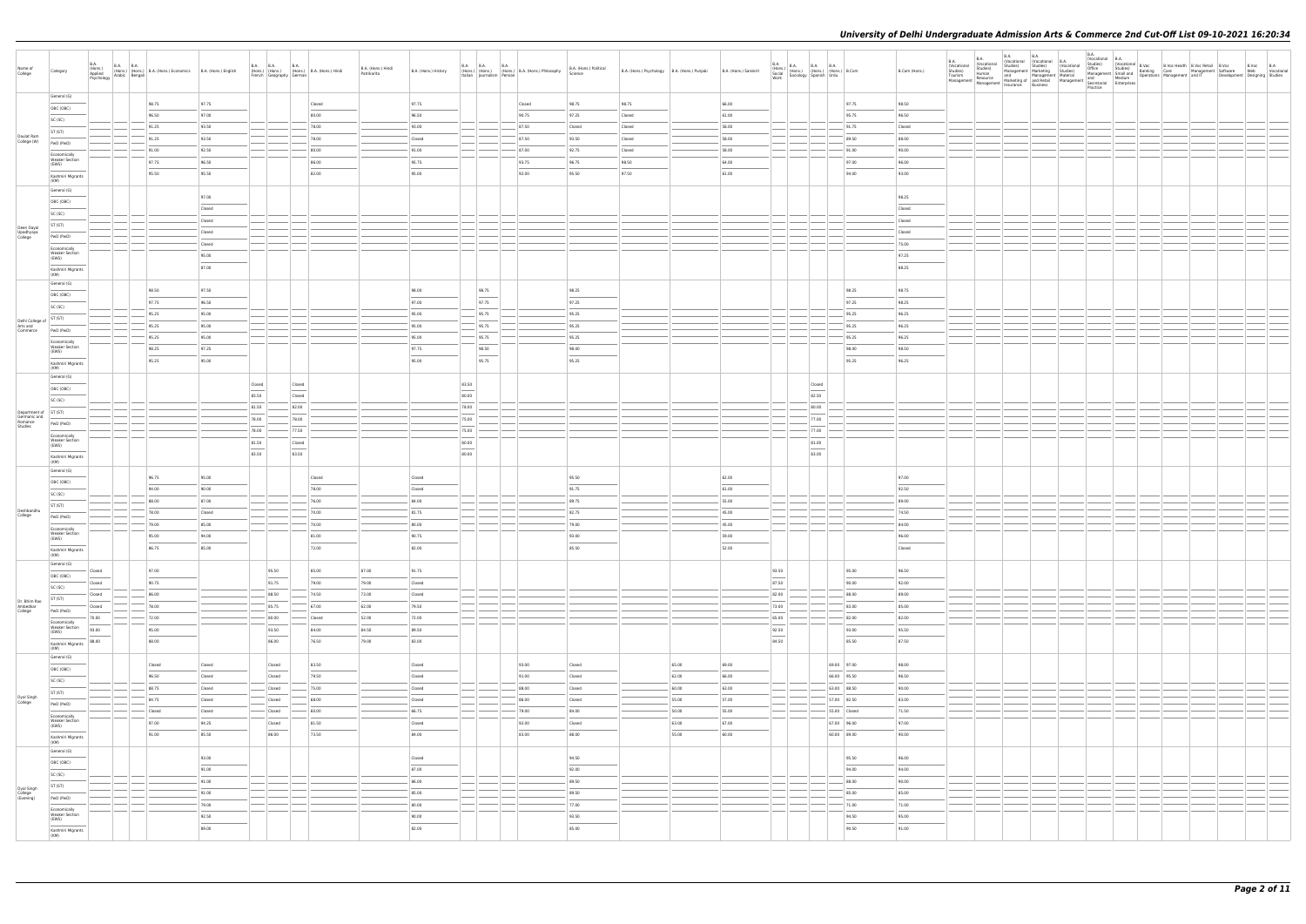| Name of<br>College                               | <b>B.A.</b><br>Category                 | B.A. (Hons.) B.A. B.A. (Hons.) B.A. (Hons.) Economics B.A. (Hons.) English Psychology Arabic Bengali |                  |                                                                                                                                                                                                                                                                                                                                                                                                                                                                                     | B.A. B.A. B.A. B.A. (Hons.)<br>(Hons.) (Hons.) (Hons.) B.A. (Hons.) Hindi<br>French Geography German | B.A. (Hons.) Hindi<br>Patrikarita | B.A. (Hons.) History   |                                   | B.A. (Hons.) (Hons.) B.A. (Hons.) B.A. (Hons.) Philosophy<br>Italian Journalism Persian Persian | B.A. (Hons.) Political<br>Science | B.A. (Hons.) Psychology B.A. (Hons.) Punjabi |                | B.A. (Hons.) Sanskrit | B.A.<br>B.A. (Hons.) B.A. B.A. B.A. (Hons.) B.Com<br>Social (Hons.) (Hons.) (Hons.) B.Com<br>Work Sociology Spanish Urdu |                             |                  | B.Com (Hons.) | <b>B.A.</b><br><b>B.A.</b><br>(Vocational<br>(Vocational<br>Studies)<br>Tourism<br>Studies)<br>Human<br>$\begin{array}{ l l l }\hline \text{Management} & \text{Resource} & \text{margement} & \text{material} & \text{and} & \text{margement} & \text{Newton} \\ \hline \text{Management} & \text{Management} & \text{and} & \text{Retalil} & \text{Manaagent} & \text{Spectral} & \text{fetterpises} \\ \hline \text{Management} & \text{insurance} & \text{Business} & \text{Sociertial} & \text{Enterprieses} \\ \hline \end{array}$ | B.A. | <b>B.A.</b><br>(Vocational (Vocational B.A.<br>Studies) Studies) (Vocational Studies)<br>Studies) Studies) (Vocational Studies)<br>Management Marketing Studies) Office<br>and Management Material Management | B.A.<br>(Vocational B.A.<br>Practice |  |  |  |
|--------------------------------------------------|-----------------------------------------|------------------------------------------------------------------------------------------------------|------------------|-------------------------------------------------------------------------------------------------------------------------------------------------------------------------------------------------------------------------------------------------------------------------------------------------------------------------------------------------------------------------------------------------------------------------------------------------------------------------------------|------------------------------------------------------------------------------------------------------|-----------------------------------|------------------------|-----------------------------------|-------------------------------------------------------------------------------------------------|-----------------------------------|----------------------------------------------|----------------|-----------------------|--------------------------------------------------------------------------------------------------------------------------|-----------------------------|------------------|---------------|------------------------------------------------------------------------------------------------------------------------------------------------------------------------------------------------------------------------------------------------------------------------------------------------------------------------------------------------------------------------------------------------------------------------------------------------------------------------------------------------------------------------------------------|------|---------------------------------------------------------------------------------------------------------------------------------------------------------------------------------------------------------------|--------------------------------------|--|--|--|
|                                                  | General (G)                             | 98.75                                                                                                | 97.75            |                                                                                                                                                                                                                                                                                                                                                                                                                                                                                     | Closed                                                                                               |                                   | 97.75                  |                                   | Closed                                                                                          | 98.75                             | 98.75                                        |                | 66.00                 |                                                                                                                          |                             | 97.75<br>98.50   |               |                                                                                                                                                                                                                                                                                                                                                                                                                                                                                                                                          |      |                                                                                                                                                                                                               |                                      |  |  |  |
|                                                  | OBC (OBC)                               | 96.50                                                                                                | 97.00            |                                                                                                                                                                                                                                                                                                                                                                                                                                                                                     | 80.00                                                                                                |                                   | 96.50                  |                                   | 90.75                                                                                           | 97.25                             | Closed                                       |                | 61.00                 |                                                                                                                          |                             | 95.75<br>96.50   |               |                                                                                                                                                                                                                                                                                                                                                                                                                                                                                                                                          |      |                                                                                                                                                                                                               |                                      |  |  |  |
|                                                  | SC (SC)<br>ST (ST)                      | 91.25                                                                                                | 93.50            |                                                                                                                                                                                                                                                                                                                                                                                                                                                                                     | 78.00                                                                                                |                                   | 93.00                  |                                   | 87.50                                                                                           | Closed                            | Closed                                       |                | 58.00                 |                                                                                                                          |                             | 91.75<br>Closed  |               |                                                                                                                                                                                                                                                                                                                                                                                                                                                                                                                                          |      |                                                                                                                                                                                                               |                                      |  |  |  |
| Daulat Ram<br>College (W)                        | PwD (PwD)                               | 91.25                                                                                                | 93.50            |                                                                                                                                                                                                                                                                                                                                                                                                                                                                                     | 78.00                                                                                                |                                   | Closed                 |                                   | 87.50                                                                                           | 93.50                             | Closed                                       |                | 58.00                 |                                                                                                                          |                             | 89.50<br>88.00   |               |                                                                                                                                                                                                                                                                                                                                                                                                                                                                                                                                          |      |                                                                                                                                                                                                               |                                      |  |  |  |
|                                                  | Economically                            | 91.00                                                                                                | 92.50            |                                                                                                                                                                                                                                                                                                                                                                                                                                                                                     | 80.00                                                                                                |                                   | 91.00                  |                                   | 87.00                                                                                           | 92.75                             | Closed                                       |                | 58.00                 |                                                                                                                          |                             | 91.00<br>90.00   |               |                                                                                                                                                                                                                                                                                                                                                                                                                                                                                                                                          |      |                                                                                                                                                                                                               |                                      |  |  |  |
|                                                  | <b>Weaker Section</b><br>(EWS)          | 97.75                                                                                                | 96.50            |                                                                                                                                                                                                                                                                                                                                                                                                                                                                                     | 86.00                                                                                                |                                   | 95.75                  |                                   | 93.75                                                                                           | 96.75                             | 98.50                                        |                | 64.00                 |                                                                                                                          |                             | 97.00<br>96.00   |               |                                                                                                                                                                                                                                                                                                                                                                                                                                                                                                                                          |      |                                                                                                                                                                                                               |                                      |  |  |  |
|                                                  | Kashmiri Migrants<br>(KM)               | 95.50                                                                                                | 95.50            |                                                                                                                                                                                                                                                                                                                                                                                                                                                                                     | 82.00                                                                                                |                                   | 95.00                  |                                   | 92.00                                                                                           | 95.50                             | 97.50                                        |                | 61.00                 |                                                                                                                          |                             | 94.00<br>93.00   |               |                                                                                                                                                                                                                                                                                                                                                                                                                                                                                                                                          |      |                                                                                                                                                                                                               |                                      |  |  |  |
|                                                  | General (G)                             |                                                                                                      |                  |                                                                                                                                                                                                                                                                                                                                                                                                                                                                                     |                                                                                                      |                                   |                        |                                   |                                                                                                 |                                   |                                              |                |                       |                                                                                                                          |                             |                  |               |                                                                                                                                                                                                                                                                                                                                                                                                                                                                                                                                          |      |                                                                                                                                                                                                               |                                      |  |  |  |
|                                                  | OBC (OBC)                               |                                                                                                      | 97.00            |                                                                                                                                                                                                                                                                                                                                                                                                                                                                                     |                                                                                                      |                                   |                        |                                   |                                                                                                 |                                   |                                              |                |                       |                                                                                                                          |                             | 98.25            |               |                                                                                                                                                                                                                                                                                                                                                                                                                                                                                                                                          |      |                                                                                                                                                                                                               |                                      |  |  |  |
|                                                  | SC (SC)                                 |                                                                                                      | Closed<br>Closed |                                                                                                                                                                                                                                                                                                                                                                                                                                                                                     |                                                                                                      |                                   |                        |                                   |                                                                                                 |                                   |                                              |                |                       |                                                                                                                          |                             | Closed           |               |                                                                                                                                                                                                                                                                                                                                                                                                                                                                                                                                          |      |                                                                                                                                                                                                               |                                      |  |  |  |
| Deen Dayal<br>Upadhyaya                          | ST (ST)                                 |                                                                                                      | Closed           |                                                                                                                                                                                                                                                                                                                                                                                                                                                                                     |                                                                                                      |                                   |                        |                                   |                                                                                                 |                                   |                                              |                |                       |                                                                                                                          |                             | Closed<br>Closed |               |                                                                                                                                                                                                                                                                                                                                                                                                                                                                                                                                          |      |                                                                                                                                                                                                               |                                      |  |  |  |
| College                                          | PwD (PwD)                               |                                                                                                      | Closed           |                                                                                                                                                                                                                                                                                                                                                                                                                                                                                     |                                                                                                      |                                   |                        |                                   |                                                                                                 |                                   |                                              |                |                       |                                                                                                                          |                             | 75.00            |               |                                                                                                                                                                                                                                                                                                                                                                                                                                                                                                                                          |      |                                                                                                                                                                                                               |                                      |  |  |  |
|                                                  | Economically<br><b>Weaker Section</b>   |                                                                                                      | 95.00            |                                                                                                                                                                                                                                                                                                                                                                                                                                                                                     |                                                                                                      |                                   |                        |                                   |                                                                                                 |                                   |                                              |                |                       |                                                                                                                          |                             | 97.25            |               |                                                                                                                                                                                                                                                                                                                                                                                                                                                                                                                                          |      |                                                                                                                                                                                                               |                                      |  |  |  |
|                                                  | (EWS)<br>Kashmiri Migrants              |                                                                                                      | 87.00            |                                                                                                                                                                                                                                                                                                                                                                                                                                                                                     |                                                                                                      |                                   |                        |                                   |                                                                                                 |                                   |                                              |                |                       |                                                                                                                          |                             | 88.25            |               |                                                                                                                                                                                                                                                                                                                                                                                                                                                                                                                                          |      |                                                                                                                                                                                                               |                                      |  |  |  |
|                                                  | (KM)<br>General (G)                     |                                                                                                      |                  |                                                                                                                                                                                                                                                                                                                                                                                                                                                                                     |                                                                                                      |                                   |                        |                                   |                                                                                                 |                                   |                                              |                |                       |                                                                                                                          |                             |                  |               |                                                                                                                                                                                                                                                                                                                                                                                                                                                                                                                                          |      |                                                                                                                                                                                                               |                                      |  |  |  |
|                                                  | OBC (OBC)                               | 98.50                                                                                                | 97.50            |                                                                                                                                                                                                                                                                                                                                                                                                                                                                                     |                                                                                                      |                                   | 98.00                  | 98.75                             |                                                                                                 | 98.25                             |                                              |                |                       |                                                                                                                          |                             | 98.25<br>98.75   |               |                                                                                                                                                                                                                                                                                                                                                                                                                                                                                                                                          |      |                                                                                                                                                                                                               |                                      |  |  |  |
|                                                  | SC (SC)                                 | 97.75                                                                                                | 96.50            |                                                                                                                                                                                                                                                                                                                                                                                                                                                                                     |                                                                                                      |                                   | 97.00                  | 97.75                             |                                                                                                 | 97.25                             |                                              |                |                       |                                                                                                                          |                             | 97.25<br>98.25   |               |                                                                                                                                                                                                                                                                                                                                                                                                                                                                                                                                          |      |                                                                                                                                                                                                               |                                      |  |  |  |
|                                                  | ST (ST)                                 | $-95.25$                                                                                             | 95.00            |                                                                                                                                                                                                                                                                                                                                                                                                                                                                                     |                                                                                                      |                                   | 95.00                  | 95.75                             |                                                                                                 | 95.25                             |                                              |                |                       |                                                                                                                          |                             | 95.25<br>96.25   |               |                                                                                                                                                                                                                                                                                                                                                                                                                                                                                                                                          |      |                                                                                                                                                                                                               |                                      |  |  |  |
| Delhi College of<br>Arts and<br>Commerce         | PwD (PwD)                               | 95.25                                                                                                | 95.00            |                                                                                                                                                                                                                                                                                                                                                                                                                                                                                     |                                                                                                      |                                   | 95.00                  | 95.75                             |                                                                                                 | 95.25                             |                                              |                |                       |                                                                                                                          |                             | 95.25<br>96.25   |               |                                                                                                                                                                                                                                                                                                                                                                                                                                                                                                                                          |      |                                                                                                                                                                                                               |                                      |  |  |  |
|                                                  | Economically                            | 95.25                                                                                                | 95.00            |                                                                                                                                                                                                                                                                                                                                                                                                                                                                                     |                                                                                                      |                                   | 95.00                  | 95.75                             |                                                                                                 | 95.25                             |                                              |                |                       |                                                                                                                          |                             | 95.25<br>96.25   |               |                                                                                                                                                                                                                                                                                                                                                                                                                                                                                                                                          |      |                                                                                                                                                                                                               |                                      |  |  |  |
|                                                  | <b>Weaker Section</b><br>(EWS)          | 98.25                                                                                                | 97.25            |                                                                                                                                                                                                                                                                                                                                                                                                                                                                                     |                                                                                                      |                                   | 97.75                  | 98.50                             |                                                                                                 | 98.00                             |                                              |                |                       |                                                                                                                          |                             | 98.00<br>98.50   |               |                                                                                                                                                                                                                                                                                                                                                                                                                                                                                                                                          |      |                                                                                                                                                                                                               |                                      |  |  |  |
|                                                  | Kashmiri Migrants<br>(KM)               | 95.25                                                                                                | 95.00            |                                                                                                                                                                                                                                                                                                                                                                                                                                                                                     |                                                                                                      |                                   | 95.00                  | 95.75                             |                                                                                                 | 95.25                             |                                              |                |                       |                                                                                                                          |                             | 95.25<br>96.25   |               |                                                                                                                                                                                                                                                                                                                                                                                                                                                                                                                                          |      |                                                                                                                                                                                                               |                                      |  |  |  |
|                                                  | General (G)                             |                                                                                                      |                  |                                                                                                                                                                                                                                                                                                                                                                                                                                                                                     |                                                                                                      |                                   |                        |                                   |                                                                                                 |                                   |                                              |                |                       |                                                                                                                          |                             |                  |               |                                                                                                                                                                                                                                                                                                                                                                                                                                                                                                                                          |      |                                                                                                                                                                                                               |                                      |  |  |  |
|                                                  | OBC (OBC)                               |                                                                                                      |                  | Closed<br>$\sim$<br>83.50                                                                                                                                                                                                                                                                                                                                                                                                                                                           | Closed<br>$\sim$<br>Closed                                                                           |                                   |                        | 83.50<br>$\sim$<br>80.00          |                                                                                                 |                                   |                                              |                |                       | Closed<br>$\sim$<br>82.50                                                                                                |                             |                  |               |                                                                                                                                                                                                                                                                                                                                                                                                                                                                                                                                          |      |                                                                                                                                                                                                               |                                      |  |  |  |
|                                                  | SC (SC)                                 |                                                                                                      |                  | 81.50                                                                                                                                                                                                                                                                                                                                                                                                                                                                               | 82.00                                                                                                |                                   |                        | 78.00                             |                                                                                                 |                                   |                                              |                |                       | 80.00                                                                                                                    |                             |                  |               |                                                                                                                                                                                                                                                                                                                                                                                                                                                                                                                                          |      |                                                                                                                                                                                                               |                                      |  |  |  |
| Department of ST (ST)<br>Germanic and<br>Romance |                                         |                                                                                                      |                  | 78.00                                                                                                                                                                                                                                                                                                                                                                                                                                                                               | 78.00                                                                                                |                                   |                        | 75.00                             |                                                                                                 |                                   |                                              |                |                       | 77.00                                                                                                                    |                             |                  |               |                                                                                                                                                                                                                                                                                                                                                                                                                                                                                                                                          |      |                                                                                                                                                                                                               |                                      |  |  |  |
| Studies                                          | PwD (PwD)                               |                                                                                                      |                  | 78.00                                                                                                                                                                                                                                                                                                                                                                                                                                                                               | 77.50                                                                                                |                                   |                        | 75.00                             |                                                                                                 |                                   |                                              |                |                       | 77.00                                                                                                                    |                             |                  |               |                                                                                                                                                                                                                                                                                                                                                                                                                                                                                                                                          |      |                                                                                                                                                                                                               |                                      |  |  |  |
|                                                  | Economically<br>Weaker Section<br>(EWS) |                                                                                                      |                  | 81.50                                                                                                                                                                                                                                                                                                                                                                                                                                                                               | Closed                                                                                               |                                   |                        | 80.00                             |                                                                                                 |                                   |                                              |                |                       | 81.00                                                                                                                    |                             |                  |               |                                                                                                                                                                                                                                                                                                                                                                                                                                                                                                                                          |      |                                                                                                                                                                                                               |                                      |  |  |  |
|                                                  | Kashmiri Migrants                       |                                                                                                      |                  | $\frac{1}{2} \left( \frac{1}{2} \right) \left( \frac{1}{2} \right) \left( \frac{1}{2} \right) \left( \frac{1}{2} \right) \left( \frac{1}{2} \right) \left( \frac{1}{2} \right) \left( \frac{1}{2} \right) \left( \frac{1}{2} \right) \left( \frac{1}{2} \right) \left( \frac{1}{2} \right) \left( \frac{1}{2} \right) \left( \frac{1}{2} \right) \left( \frac{1}{2} \right) \left( \frac{1}{2} \right) \left( \frac{1}{2} \right) \left( \frac{1}{2} \right) \left( \frac$<br>83.50 | 83.50                                                                                                |                                   |                        | $\overline{\phantom{a}}$<br>80.00 |                                                                                                 |                                   |                                              |                |                       | $\frac{1}{2}$<br>83.00                                                                                                   |                             |                  |               |                                                                                                                                                                                                                                                                                                                                                                                                                                                                                                                                          |      |                                                                                                                                                                                                               |                                      |  |  |  |
|                                                  | (KM)<br>General (G)                     |                                                                                                      |                  |                                                                                                                                                                                                                                                                                                                                                                                                                                                                                     |                                                                                                      |                                   |                        |                                   |                                                                                                 |                                   |                                              |                |                       |                                                                                                                          |                             |                  |               |                                                                                                                                                                                                                                                                                                                                                                                                                                                                                                                                          |      |                                                                                                                                                                                                               |                                      |  |  |  |
|                                                  | OBC (OBC)                               | 96.75                                                                                                | 95.00            |                                                                                                                                                                                                                                                                                                                                                                                                                                                                                     | Closed                                                                                               |                                   | Closed                 |                                   |                                                                                                 | 95.50                             |                                              |                | 62.00                 |                                                                                                                          |                             | 97.00            |               |                                                                                                                                                                                                                                                                                                                                                                                                                                                                                                                                          |      |                                                                                                                                                                                                               |                                      |  |  |  |
|                                                  | SC (SC)                                 | 94.00                                                                                                | 90.00            |                                                                                                                                                                                                                                                                                                                                                                                                                                                                                     | 78.00                                                                                                |                                   | Closed                 |                                   |                                                                                                 | 91.75                             |                                              |                | 61.00                 |                                                                                                                          |                             | 92.50            |               |                                                                                                                                                                                                                                                                                                                                                                                                                                                                                                                                          |      |                                                                                                                                                                                                               |                                      |  |  |  |
|                                                  | ST (ST)                                 | 88.00                                                                                                | 87.00            |                                                                                                                                                                                                                                                                                                                                                                                                                                                                                     | 76.00                                                                                                |                                   | 84.00                  |                                   |                                                                                                 | 89.75                             |                                              |                | 55.00                 |                                                                                                                          |                             | 89.00            |               |                                                                                                                                                                                                                                                                                                                                                                                                                                                                                                                                          |      |                                                                                                                                                                                                               |                                      |  |  |  |
| Deshbandhu<br>College                            | PwD (PwD)                               | 78.00                                                                                                | Closed           |                                                                                                                                                                                                                                                                                                                                                                                                                                                                                     | 70.00                                                                                                |                                   | 81.75                  |                                   |                                                                                                 | 82.75                             |                                              |                | 45.00                 |                                                                                                                          |                             | 74.50            |               |                                                                                                                                                                                                                                                                                                                                                                                                                                                                                                                                          |      |                                                                                                                                                                                                               |                                      |  |  |  |
|                                                  | Economically<br><b>Weaker Section</b>   | 79.00                                                                                                | 85.00            |                                                                                                                                                                                                                                                                                                                                                                                                                                                                                     | 70.00                                                                                                |                                   | 80.00                  |                                   |                                                                                                 | 79.00                             |                                              |                | 45.00                 |                                                                                                                          |                             | 84.00            |               |                                                                                                                                                                                                                                                                                                                                                                                                                                                                                                                                          |      |                                                                                                                                                                                                               |                                      |  |  |  |
|                                                  | (EWS)                                   | 95.00                                                                                                | 94.00            |                                                                                                                                                                                                                                                                                                                                                                                                                                                                                     | 81.00                                                                                                |                                   | 90.75                  |                                   |                                                                                                 | 93.00                             |                                              |                | 59.00                 |                                                                                                                          |                             | 96.00            |               |                                                                                                                                                                                                                                                                                                                                                                                                                                                                                                                                          |      |                                                                                                                                                                                                               |                                      |  |  |  |
|                                                  | Kashmiri Migrants<br>(KM)               | 86.75                                                                                                | 85.00            |                                                                                                                                                                                                                                                                                                                                                                                                                                                                                     | 72.00                                                                                                |                                   | 82.00                  |                                   |                                                                                                 | 85.50                             |                                              |                | 52.00                 |                                                                                                                          |                             | Closed           |               |                                                                                                                                                                                                                                                                                                                                                                                                                                                                                                                                          |      |                                                                                                                                                                                                               |                                      |  |  |  |
|                                                  | General (G)<br>Closed                   | 97.00                                                                                                |                  | 95.50                                                                                                                                                                                                                                                                                                                                                                                                                                                                               | 85.00                                                                                                | 87.00                             | 91.75                  |                                   |                                                                                                 |                                   |                                              |                |                       | 93.50                                                                                                                    |                             | 95.00<br>96.50   |               |                                                                                                                                                                                                                                                                                                                                                                                                                                                                                                                                          |      |                                                                                                                                                                                                               |                                      |  |  |  |
|                                                  | OBC (OBC)<br>Closed                     | 90.75                                                                                                |                  | 91.75                                                                                                                                                                                                                                                                                                                                                                                                                                                                               | 79.00                                                                                                | 79.00                             | Closed                 |                                   |                                                                                                 |                                   |                                              |                |                       | $\frac{1}{2}$<br>87.50                                                                                                   |                             | 90.00<br>92.00   |               |                                                                                                                                                                                                                                                                                                                                                                                                                                                                                                                                          |      |                                                                                                                                                                                                               |                                      |  |  |  |
|                                                  | SC (SC)<br>Closed                       | 86.00                                                                                                |                  | 88.50                                                                                                                                                                                                                                                                                                                                                                                                                                                                               | 74.50                                                                                                | 73.00                             | Closed                 |                                   |                                                                                                 |                                   |                                              |                |                       | 82.00                                                                                                                    |                             | 88.00<br>89.00   |               |                                                                                                                                                                                                                                                                                                                                                                                                                                                                                                                                          |      |                                                                                                                                                                                                               |                                      |  |  |  |
| Dr. Bhim Rao<br>Ambedkar<br>College              | ST (ST)<br>Closed                       | 78.00                                                                                                |                  | 85.75                                                                                                                                                                                                                                                                                                                                                                                                                                                                               | 67.00                                                                                                | 62.00                             | 79.50                  |                                   |                                                                                                 |                                   |                                              |                |                       | 73.00                                                                                                                    |                             | 83.00<br>85.00   |               |                                                                                                                                                                                                                                                                                                                                                                                                                                                                                                                                          |      |                                                                                                                                                                                                               |                                      |  |  |  |
|                                                  | PwD (PwD)<br>70.00<br>Economically      | 72.00                                                                                                |                  | 80.00                                                                                                                                                                                                                                                                                                                                                                                                                                                                               | Closed                                                                                               | 52.00                             | 72.00                  |                                   |                                                                                                 |                                   |                                              |                |                       | 65.00                                                                                                                    |                             | 82.00<br>82.00   |               |                                                                                                                                                                                                                                                                                                                                                                                                                                                                                                                                          |      |                                                                                                                                                                                                               |                                      |  |  |  |
|                                                  | <b>Weaker Section</b><br>93.00<br>(EWS) | 95.00                                                                                                |                  | 93.50                                                                                                                                                                                                                                                                                                                                                                                                                                                                               | 84.00                                                                                                | 84.50                             | 89.50                  |                                   |                                                                                                 |                                   |                                              |                |                       | 92.50                                                                                                                    |                             | 93.00<br>95.50   |               |                                                                                                                                                                                                                                                                                                                                                                                                                                                                                                                                          |      |                                                                                                                                                                                                               |                                      |  |  |  |
|                                                  | 88.00<br>Kashmiri Migrants<br>(KM)      | 88.00                                                                                                |                  | 86.00                                                                                                                                                                                                                                                                                                                                                                                                                                                                               | 76.50                                                                                                | 79.00                             | 83.00                  |                                   |                                                                                                 |                                   |                                              |                |                       | 84.50                                                                                                                    |                             | 85.50<br>87.50   |               |                                                                                                                                                                                                                                                                                                                                                                                                                                                                                                                                          |      |                                                                                                                                                                                                               |                                      |  |  |  |
|                                                  | General (G)                             |                                                                                                      |                  |                                                                                                                                                                                                                                                                                                                                                                                                                                                                                     |                                                                                                      |                                   |                        |                                   |                                                                                                 |                                   |                                              |                |                       |                                                                                                                          |                             |                  |               |                                                                                                                                                                                                                                                                                                                                                                                                                                                                                                                                          |      |                                                                                                                                                                                                               |                                      |  |  |  |
|                                                  | OBC (OBC)                               | Closed                                                                                               | Closed           | Closed<br>$\frac{1}{2}$                                                                                                                                                                                                                                                                                                                                                                                                                                                             | 83.50<br>$\frac{1}{2}$                                                                               |                                   | Closed                 |                                   | 93.00                                                                                           | Closed                            |                                              | 65.00          | 69.00                 |                                                                                                                          | 69.00 97.00                 | 98.00            |               |                                                                                                                                                                                                                                                                                                                                                                                                                                                                                                                                          |      |                                                                                                                                                                                                               |                                      |  |  |  |
|                                                  | SC (SC)                                 | 96.50                                                                                                | Closed           | Closed                                                                                                                                                                                                                                                                                                                                                                                                                                                                              | 79.50                                                                                                |                                   | Closed                 |                                   | 91.00                                                                                           | Closed                            |                                              | 62.00          | 66.00                 |                                                                                                                          | 66.00 95.50                 | 96.50            |               |                                                                                                                                                                                                                                                                                                                                                                                                                                                                                                                                          |      |                                                                                                                                                                                                               |                                      |  |  |  |
|                                                  | ST (ST)                                 | 88.75                                                                                                | Closed           | Closed                                                                                                                                                                                                                                                                                                                                                                                                                                                                              | 75.00                                                                                                |                                   | Closed                 |                                   | 88.00                                                                                           | Closed                            |                                              | 60.00          | 63.00                 |                                                                                                                          | 63.00 88.50                 | 90.00            |               |                                                                                                                                                                                                                                                                                                                                                                                                                                                                                                                                          |      |                                                                                                                                                                                                               |                                      |  |  |  |
| Dyal Singh<br>College                            | PwD (PwD)                               | 84.75                                                                                                | Closed           | Closed                                                                                                                                                                                                                                                                                                                                                                                                                                                                              | 68.00                                                                                                |                                   | Closed<br>66.75        |                                   | 86.00<br>79.00                                                                                  | Closed<br>84.00                   |                                              | 55.00<br>50.00 | 57.00<br>55.00        |                                                                                                                          | 57.00 82.50<br>55.00 Closed | 83.00<br>71.50   |               |                                                                                                                                                                                                                                                                                                                                                                                                                                                                                                                                          |      |                                                                                                                                                                                                               |                                      |  |  |  |
|                                                  | Economically<br><b>Weaker Section</b>   | Closed<br>97.00                                                                                      | Closed<br>94.25  | Closed<br>Closed                                                                                                                                                                                                                                                                                                                                                                                                                                                                    | 60.00<br>81.50                                                                                       |                                   | Closed                 |                                   | 92.00                                                                                           | Closed                            |                                              | 63.00          | 67.00                 |                                                                                                                          | 67.00 96.00                 | 97.00            |               |                                                                                                                                                                                                                                                                                                                                                                                                                                                                                                                                          |      |                                                                                                                                                                                                               |                                      |  |  |  |
|                                                  | (EWS)                                   | 91.00                                                                                                | 85.50            | $\sim$<br>86.00                                                                                                                                                                                                                                                                                                                                                                                                                                                                     | $\sim$<br>73.50                                                                                      |                                   | $\frac{1}{2}$<br>84.00 |                                   | 83.00                                                                                           | 88.00                             |                                              | 55.00          | 60.00                 |                                                                                                                          | 60.00 89.00                 | 90.00            |               |                                                                                                                                                                                                                                                                                                                                                                                                                                                                                                                                          |      |                                                                                                                                                                                                               |                                      |  |  |  |
|                                                  | Kashmiri Migrants<br>(KM)               |                                                                                                      |                  |                                                                                                                                                                                                                                                                                                                                                                                                                                                                                     |                                                                                                      |                                   |                        |                                   |                                                                                                 |                                   |                                              |                |                       |                                                                                                                          |                             |                  |               |                                                                                                                                                                                                                                                                                                                                                                                                                                                                                                                                          |      |                                                                                                                                                                                                               |                                      |  |  |  |
|                                                  | General (G)                             |                                                                                                      | 93.00            |                                                                                                                                                                                                                                                                                                                                                                                                                                                                                     |                                                                                                      |                                   | Closed                 |                                   |                                                                                                 | 94.50                             |                                              |                |                       |                                                                                                                          |                             | 95.50<br>96.00   |               |                                                                                                                                                                                                                                                                                                                                                                                                                                                                                                                                          |      |                                                                                                                                                                                                               |                                      |  |  |  |
|                                                  | OBC (OBC)                               |                                                                                                      | 91.00            |                                                                                                                                                                                                                                                                                                                                                                                                                                                                                     |                                                                                                      |                                   | 87.00                  |                                   |                                                                                                 | 92.00                             |                                              |                |                       |                                                                                                                          |                             | 94.00<br>94.00   |               |                                                                                                                                                                                                                                                                                                                                                                                                                                                                                                                                          |      |                                                                                                                                                                                                               |                                      |  |  |  |
|                                                  | SC (SC)                                 |                                                                                                      | 91.00            |                                                                                                                                                                                                                                                                                                                                                                                                                                                                                     |                                                                                                      |                                   | 86.00                  |                                   |                                                                                                 | 89.50                             |                                              |                |                       |                                                                                                                          |                             | 88.00<br>90.00   |               |                                                                                                                                                                                                                                                                                                                                                                                                                                                                                                                                          |      |                                                                                                                                                                                                               |                                      |  |  |  |
| Dyal Singh<br>College<br>(Evening)               | ST (ST)<br>PwD (PwD)                    |                                                                                                      | 91.00            |                                                                                                                                                                                                                                                                                                                                                                                                                                                                                     |                                                                                                      |                                   | 85.00                  |                                   |                                                                                                 | 89.50                             |                                              |                |                       |                                                                                                                          |                             | 85.00<br>85.00   |               |                                                                                                                                                                                                                                                                                                                                                                                                                                                                                                                                          |      |                                                                                                                                                                                                               |                                      |  |  |  |
|                                                  | Economically                            |                                                                                                      | 79.00            | $\qquad \qquad$                                                                                                                                                                                                                                                                                                                                                                                                                                                                     |                                                                                                      |                                   | 80.00                  |                                   |                                                                                                 | 77.00                             |                                              |                |                       |                                                                                                                          |                             | 71.00<br>71.00   |               |                                                                                                                                                                                                                                                                                                                                                                                                                                                                                                                                          |      |                                                                                                                                                                                                               |                                      |  |  |  |
|                                                  | <b>Weaker Section</b><br>(EWS)          |                                                                                                      | 92.50            |                                                                                                                                                                                                                                                                                                                                                                                                                                                                                     |                                                                                                      |                                   | 90.00                  |                                   |                                                                                                 | 93.50                             |                                              |                |                       |                                                                                                                          |                             | 94.50<br>95.00   |               |                                                                                                                                                                                                                                                                                                                                                                                                                                                                                                                                          |      |                                                                                                                                                                                                               |                                      |  |  |  |
|                                                  | Kashmiri Migrants<br>(KM)               |                                                                                                      | 89.00            |                                                                                                                                                                                                                                                                                                                                                                                                                                                                                     |                                                                                                      |                                   | 82.00                  |                                   |                                                                                                 | 85.00                             |                                              |                |                       |                                                                                                                          |                             | 90.50<br>91.00   |               |                                                                                                                                                                                                                                                                                                                                                                                                                                                                                                                                          |      |                                                                                                                                                                                                               |                                      |  |  |  |
|                                                  |                                         |                                                                                                      |                  |                                                                                                                                                                                                                                                                                                                                                                                                                                                                                     |                                                                                                      |                                   |                        |                                   |                                                                                                 |                                   |                                              |                |                       |                                                                                                                          |                             |                  |               |                                                                                                                                                                                                                                                                                                                                                                                                                                                                                                                                          |      |                                                                                                                                                                                                               |                                      |  |  |  |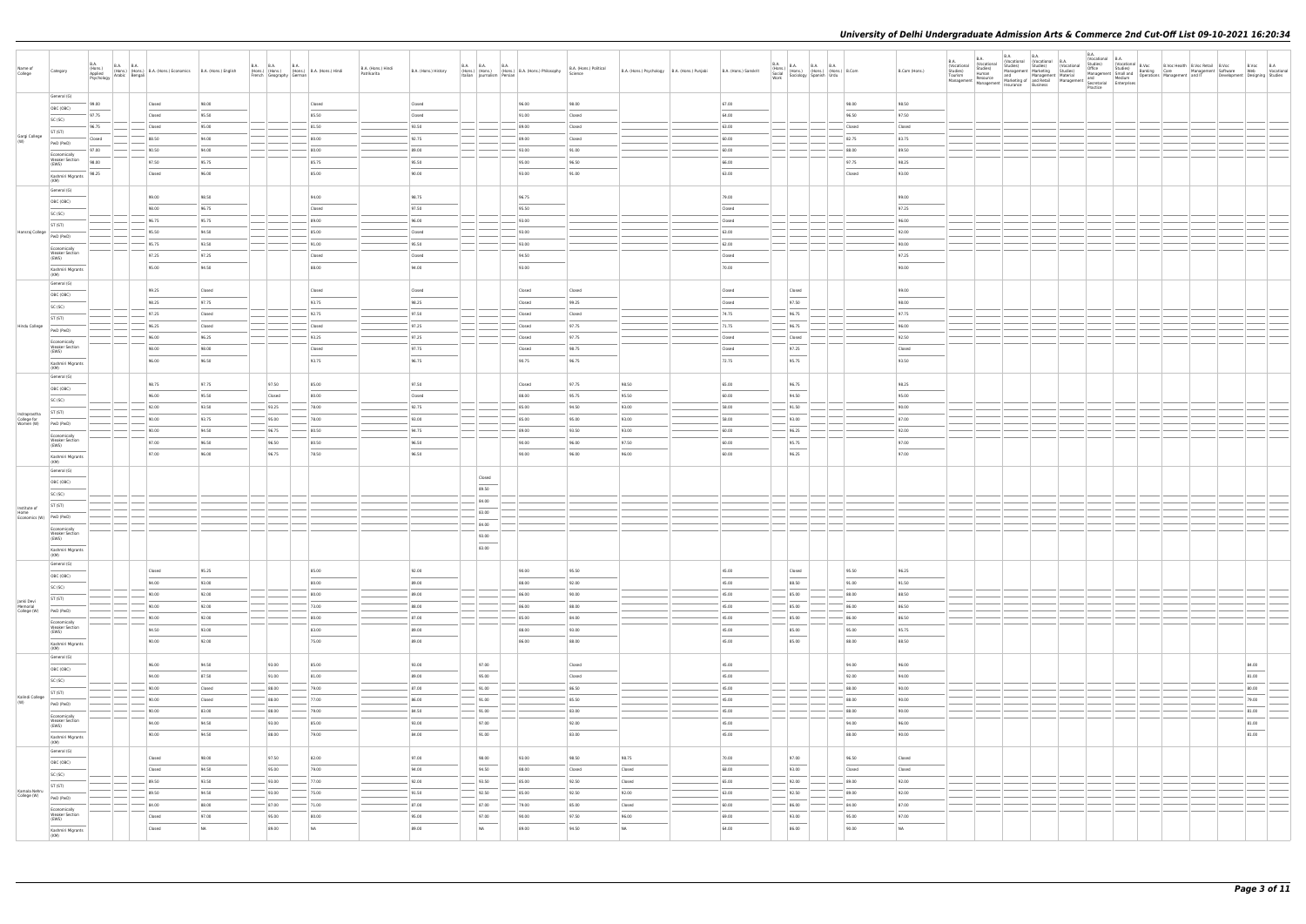| Name of<br>College                    | Category                                       | B.A.<br>(Hons.)<br>Applied | <b>B.A. B.A.</b> | (Hons.) (Hons.) (Hons.) B.A. (Hons.) Economics B.A. (Hons.) English<br>Applied Arabic Bengali (Hons.) Economics B.A. (Hons.) English |                    | <b>B.A. B.A.</b><br><b>B.A.</b><br>(Hons.) (Hons.) (Hons.) B.A. (Hons.) Hindi<br>French Geography German                                                                                                                                                                                                                                                                                                                                                                            |                | B.A. (Hons.) Hindi<br>Patrikarita | B.A. (Hons.) History              | <b>B.A. B.A.</b><br>Italian   Journalism   Persian | <b>B.A.</b><br>(Hons.) (Hons.) (Hons.) B.A. (Hons.) Philosophy | B.A. (Hons.) Political<br>Science | B.A. (Hons.) Psychology B.A. (Hons.) Punjabi | B.A. (Hons.) Sanskrit | B.A. (Hons.) B.A. B.A. B.A. (Hons.) B.Com<br>Social (Hons.) (Hons.) (Hons.) B.Com<br>Work Sociology Spanish Urdu                                                                                                                                                                                                                                                                                                                                                                    |                | B.Com (Hons.)                     | <b>B.A.</b><br><b>B.A.</b><br>(Vocational<br>(Vocational<br>Studies)<br>Human<br>Studies)<br>Management Resource Marketing of and Retail Material and Medium<br>Management Management Insurance Business<br>Insurance Business<br>Secretarial Enterprises | B.A.<br>Studies) | <b>B.A.</b><br>(Vocational (Vocational B.A.<br>Studies)<br>(Vocational<br>Management Marketing Studies) | B.A.<br>(Vocational B.A.<br>Practice | Studies) (Vucaurum B.Voc B. B.Voc Health B.Voc. Nearl Wanagement Schules)<br>Management Smulland Banking Care Management Schuler<br>ward Medium Operations Management and IT Development Designing Studies<br>ward |                                   |  |
|---------------------------------------|------------------------------------------------|----------------------------|------------------|--------------------------------------------------------------------------------------------------------------------------------------|--------------------|-------------------------------------------------------------------------------------------------------------------------------------------------------------------------------------------------------------------------------------------------------------------------------------------------------------------------------------------------------------------------------------------------------------------------------------------------------------------------------------|----------------|-----------------------------------|-----------------------------------|----------------------------------------------------|----------------------------------------------------------------|-----------------------------------|----------------------------------------------|-----------------------|-------------------------------------------------------------------------------------------------------------------------------------------------------------------------------------------------------------------------------------------------------------------------------------------------------------------------------------------------------------------------------------------------------------------------------------------------------------------------------------|----------------|-----------------------------------|-----------------------------------------------------------------------------------------------------------------------------------------------------------------------------------------------------------------------------------------------------------|------------------|---------------------------------------------------------------------------------------------------------|--------------------------------------|--------------------------------------------------------------------------------------------------------------------------------------------------------------------------------------------------------------------|-----------------------------------|--|
|                                       | General (G)                                    |                            |                  |                                                                                                                                      | 98.00              |                                                                                                                                                                                                                                                                                                                                                                                                                                                                                     | Closed         |                                   |                                   |                                                    | 96.00                                                          | 98.00                             |                                              | 67.00                 |                                                                                                                                                                                                                                                                                                                                                                                                                                                                                     | 98.00          | 98.50                             |                                                                                                                                                                                                                                                           |                  |                                                                                                         |                                      |                                                                                                                                                                                                                    |                                   |  |
|                                       | OBC (OBC)                                      | 99.00<br>97.75             |                  | Closed<br>Closed                                                                                                                     | 95.50              |                                                                                                                                                                                                                                                                                                                                                                                                                                                                                     | 85.50          |                                   | Closed<br>Closed                  |                                                    | 91.00                                                          | Closed                            |                                              | 64.00                 |                                                                                                                                                                                                                                                                                                                                                                                                                                                                                     | 96.50          | 97.50                             |                                                                                                                                                                                                                                                           |                  |                                                                                                         |                                      |                                                                                                                                                                                                                    |                                   |  |
|                                       | SC (SC)                                        | 96.75                      |                  | Closed                                                                                                                               | 95.00              |                                                                                                                                                                                                                                                                                                                                                                                                                                                                                     | 81.50          |                                   | 93.50                             |                                                    | 89.00                                                          | Closed                            |                                              | 63.00                 |                                                                                                                                                                                                                                                                                                                                                                                                                                                                                     | Closed         | Closed                            |                                                                                                                                                                                                                                                           |                  |                                                                                                         |                                      |                                                                                                                                                                                                                    |                                   |  |
| Gargi College<br>(W)                  | ST (ST)                                        | Closed                     |                  | 88.50                                                                                                                                | 94.00              |                                                                                                                                                                                                                                                                                                                                                                                                                                                                                     | 80.00          |                                   | 92.75                             |                                                    | 89.00                                                          | Closed                            |                                              | 60.00                 |                                                                                                                                                                                                                                                                                                                                                                                                                                                                                     | 82.75          | 83.75                             |                                                                                                                                                                                                                                                           |                  |                                                                                                         |                                      |                                                                                                                                                                                                                    |                                   |  |
|                                       | PwD (PwD)                                      | 97.00                      |                  | 90.50                                                                                                                                | 94.00              |                                                                                                                                                                                                                                                                                                                                                                                                                                                                                     | 80.00          |                                   | 89.00                             |                                                    | 93.00                                                          | 91.00                             |                                              | 60.00                 |                                                                                                                                                                                                                                                                                                                                                                                                                                                                                     | 88.00          | 89.50                             |                                                                                                                                                                                                                                                           |                  |                                                                                                         |                                      |                                                                                                                                                                                                                    |                                   |  |
|                                       | Economically<br><b>Weaker Section</b><br>(EWS) | 98.00                      |                  | 97.50                                                                                                                                | 95.75              |                                                                                                                                                                                                                                                                                                                                                                                                                                                                                     | 85.75          |                                   | 95.50                             |                                                    | 95.00                                                          | 96.50                             |                                              | 66.00                 |                                                                                                                                                                                                                                                                                                                                                                                                                                                                                     | 97.75          | 98.25                             |                                                                                                                                                                                                                                                           |                  |                                                                                                         |                                      |                                                                                                                                                                                                                    |                                   |  |
|                                       | Kashmiri Migrants                              | 98.25                      |                  | Closed                                                                                                                               | 96.00              |                                                                                                                                                                                                                                                                                                                                                                                                                                                                                     | 85.00          |                                   | 90.00                             |                                                    | 93.00                                                          | 91.00                             |                                              | 63.00                 |                                                                                                                                                                                                                                                                                                                                                                                                                                                                                     | Closed         | 93.00                             |                                                                                                                                                                                                                                                           |                  |                                                                                                         |                                      |                                                                                                                                                                                                                    |                                   |  |
|                                       | (KM)<br>General (G)                            |                            |                  |                                                                                                                                      |                    |                                                                                                                                                                                                                                                                                                                                                                                                                                                                                     |                |                                   |                                   |                                                    |                                                                |                                   |                                              |                       |                                                                                                                                                                                                                                                                                                                                                                                                                                                                                     |                |                                   |                                                                                                                                                                                                                                                           |                  |                                                                                                         |                                      |                                                                                                                                                                                                                    |                                   |  |
|                                       | OBC (OBC)                                      |                            |                  | 99.00                                                                                                                                | 98.50              |                                                                                                                                                                                                                                                                                                                                                                                                                                                                                     | 94.00          |                                   | 98.75                             |                                                    | 96.75                                                          |                                   |                                              | 79.00                 |                                                                                                                                                                                                                                                                                                                                                                                                                                                                                     |                | 99.00                             |                                                                                                                                                                                                                                                           |                  |                                                                                                         |                                      |                                                                                                                                                                                                                    |                                   |  |
|                                       | SC (SC)                                        |                            |                  | 98.00                                                                                                                                | 96.75              |                                                                                                                                                                                                                                                                                                                                                                                                                                                                                     | Closed         |                                   | 97.50                             |                                                    | 95.50                                                          |                                   |                                              | Closed                |                                                                                                                                                                                                                                                                                                                                                                                                                                                                                     |                | 97.25                             |                                                                                                                                                                                                                                                           |                  |                                                                                                         |                                      |                                                                                                                                                                                                                    |                                   |  |
|                                       | ST (ST)                                        |                            |                  | 96.75                                                                                                                                | 95.75              |                                                                                                                                                                                                                                                                                                                                                                                                                                                                                     | 89.00          |                                   | 96.00                             |                                                    | 93.00                                                          |                                   |                                              | Closed                |                                                                                                                                                                                                                                                                                                                                                                                                                                                                                     |                | 96.00                             |                                                                                                                                                                                                                                                           |                  |                                                                                                         |                                      |                                                                                                                                                                                                                    |                                   |  |
| Hansraj College                       | PwD (PwD)                                      |                            |                  | 95.50<br>95.75                                                                                                                       | 94.50<br>93.50     |                                                                                                                                                                                                                                                                                                                                                                                                                                                                                     | 85.00<br>91.00 |                                   | Closed<br>95.50                   |                                                    | 93.00<br>93.00                                                 |                                   |                                              | 63.00<br>62.00        |                                                                                                                                                                                                                                                                                                                                                                                                                                                                                     |                | 92.00<br>90.00                    |                                                                                                                                                                                                                                                           |                  |                                                                                                         |                                      |                                                                                                                                                                                                                    |                                   |  |
|                                       | Economically<br><b>Weaker Section</b>          |                            |                  | 97.25                                                                                                                                | 97.25              |                                                                                                                                                                                                                                                                                                                                                                                                                                                                                     | Closed         |                                   | Closed                            |                                                    | 94.50                                                          |                                   |                                              | Closed                |                                                                                                                                                                                                                                                                                                                                                                                                                                                                                     |                | 97.25                             |                                                                                                                                                                                                                                                           |                  |                                                                                                         |                                      |                                                                                                                                                                                                                    |                                   |  |
|                                       | (EWS)                                          |                            |                  | 95.00                                                                                                                                | 94.50              |                                                                                                                                                                                                                                                                                                                                                                                                                                                                                     | 88.00          |                                   | 94.00                             |                                                    | 93.00                                                          |                                   |                                              | 70.00                 |                                                                                                                                                                                                                                                                                                                                                                                                                                                                                     |                | 90.00                             |                                                                                                                                                                                                                                                           |                  |                                                                                                         |                                      |                                                                                                                                                                                                                    |                                   |  |
|                                       | Kashmiri Migrants<br>(KM)                      |                            |                  |                                                                                                                                      |                    |                                                                                                                                                                                                                                                                                                                                                                                                                                                                                     |                |                                   |                                   |                                                    |                                                                |                                   |                                              |                       |                                                                                                                                                                                                                                                                                                                                                                                                                                                                                     |                |                                   |                                                                                                                                                                                                                                                           |                  |                                                                                                         |                                      |                                                                                                                                                                                                                    |                                   |  |
|                                       | General (G)                                    |                            |                  | 99.25                                                                                                                                | Closed             |                                                                                                                                                                                                                                                                                                                                                                                                                                                                                     | Closed         |                                   | Closed                            |                                                    | Closed                                                         | Closed                            |                                              | Closed                | Closed                                                                                                                                                                                                                                                                                                                                                                                                                                                                              |                | 99.00                             |                                                                                                                                                                                                                                                           |                  |                                                                                                         |                                      |                                                                                                                                                                                                                    |                                   |  |
|                                       | OBC (OBC)<br>SC (SC)                           |                            |                  | 98.25                                                                                                                                | 97.75              |                                                                                                                                                                                                                                                                                                                                                                                                                                                                                     | 93.75          |                                   | 98.25                             |                                                    | Closed                                                         | 99.25                             |                                              | Closed                | 97.50                                                                                                                                                                                                                                                                                                                                                                                                                                                                               |                | 98.00                             |                                                                                                                                                                                                                                                           |                  |                                                                                                         |                                      |                                                                                                                                                                                                                    |                                   |  |
|                                       | ST (ST)                                        |                            |                  | 97.25                                                                                                                                | Closed             |                                                                                                                                                                                                                                                                                                                                                                                                                                                                                     | 92.75          |                                   | 97.50                             |                                                    | Closed                                                         | Closed                            |                                              | 74.75                 | 96.75                                                                                                                                                                                                                                                                                                                                                                                                                                                                               |                | 97.75                             |                                                                                                                                                                                                                                                           |                  |                                                                                                         |                                      |                                                                                                                                                                                                                    |                                   |  |
| Hindu College                         | PwD (PwD)                                      |                            |                  | 96.25                                                                                                                                | Closed             |                                                                                                                                                                                                                                                                                                                                                                                                                                                                                     | Closed         |                                   | 97.25                             |                                                    | Closed                                                         | 97.75                             |                                              | 71.75                 | 96.75                                                                                                                                                                                                                                                                                                                                                                                                                                                                               |                | 96.00                             |                                                                                                                                                                                                                                                           |                  |                                                                                                         |                                      |                                                                                                                                                                                                                    |                                   |  |
|                                       | Economically                                   |                            |                  | 96.00                                                                                                                                | 96.25              |                                                                                                                                                                                                                                                                                                                                                                                                                                                                                     | 93.25          |                                   | 97.25                             |                                                    | Closed                                                         | 97.75                             |                                              | Closed                | Closed                                                                                                                                                                                                                                                                                                                                                                                                                                                                              |                | 92.50                             |                                                                                                                                                                                                                                                           |                  |                                                                                                         |                                      |                                                                                                                                                                                                                    |                                   |  |
|                                       | <b>Weaker Section</b><br>(EWS)                 |                            |                  | 98.00                                                                                                                                | 98.00              |                                                                                                                                                                                                                                                                                                                                                                                                                                                                                     | Closed         |                                   | 97.75                             |                                                    | Closed                                                         | 98.75                             |                                              | Closed                | 97.25                                                                                                                                                                                                                                                                                                                                                                                                                                                                               |                | Closed                            |                                                                                                                                                                                                                                                           |                  |                                                                                                         |                                      |                                                                                                                                                                                                                    |                                   |  |
|                                       | Kashmiri Migrants<br>(KM)                      |                            |                  | 96.00                                                                                                                                | 96.50              |                                                                                                                                                                                                                                                                                                                                                                                                                                                                                     | 93.75          |                                   | 96.75                             |                                                    | 90.75                                                          | 96.75                             |                                              | 72.75                 | 95.75                                                                                                                                                                                                                                                                                                                                                                                                                                                                               |                | 93.50                             |                                                                                                                                                                                                                                                           |                  |                                                                                                         |                                      |                                                                                                                                                                                                                    |                                   |  |
|                                       | General (G)                                    |                            |                  |                                                                                                                                      |                    |                                                                                                                                                                                                                                                                                                                                                                                                                                                                                     |                |                                   |                                   |                                                    |                                                                |                                   |                                              |                       |                                                                                                                                                                                                                                                                                                                                                                                                                                                                                     |                |                                   |                                                                                                                                                                                                                                                           |                  |                                                                                                         |                                      |                                                                                                                                                                                                                    |                                   |  |
|                                       | OBC (OBC)                                      |                            |                  | 98.75<br>96.00                                                                                                                       | 97.75<br>95.50     | 97.50<br>Closed                                                                                                                                                                                                                                                                                                                                                                                                                                                                     | 85.00<br>80.00 |                                   | 97.50<br>Closed                   |                                                    | Closed<br>88.00                                                | 97.75<br>95.75                    | 98.50<br>95.50                               | 65.00<br>60.00        | 96.75<br>94.50                                                                                                                                                                                                                                                                                                                                                                                                                                                                      |                | 98.25<br>95.00                    |                                                                                                                                                                                                                                                           |                  |                                                                                                         |                                      |                                                                                                                                                                                                                    |                                   |  |
|                                       | SC (SC)                                        |                            |                  | 92.00                                                                                                                                | 93.50              | 93.25                                                                                                                                                                                                                                                                                                                                                                                                                                                                               | 78.00          |                                   | 92.75                             |                                                    | 85.00                                                          | 94.50                             | 93.00                                        | 58.00                 | 91.50                                                                                                                                                                                                                                                                                                                                                                                                                                                                               |                | 90.00                             |                                                                                                                                                                                                                                                           |                  |                                                                                                         |                                      |                                                                                                                                                                                                                    |                                   |  |
| Indraprastha                          | ST (ST)                                        |                            |                  | 90.00                                                                                                                                | 93.75              | 95.00                                                                                                                                                                                                                                                                                                                                                                                                                                                                               | 78.00          |                                   | 93.00                             |                                                    | 85.00                                                          | 95.00                             | 93.00                                        | 58.00                 | 93.00                                                                                                                                                                                                                                                                                                                                                                                                                                                                               |                | 87.00                             |                                                                                                                                                                                                                                                           |                  |                                                                                                         |                                      |                                                                                                                                                                                                                    |                                   |  |
| College for<br>Women (W)              | PwD (PwD)                                      |                            |                  | 90.00                                                                                                                                | 94.50              | $-$ 96.75                                                                                                                                                                                                                                                                                                                                                                                                                                                                           | 80.50          |                                   | 94.75                             |                                                    | 89.00                                                          | 93.50                             | 93.00                                        | 60.00                 | $-$ 96.25                                                                                                                                                                                                                                                                                                                                                                                                                                                                           |                | 92.00                             |                                                                                                                                                                                                                                                           |                  |                                                                                                         |                                      |                                                                                                                                                                                                                    |                                   |  |
|                                       | Economically<br><b>Weaker Section</b><br>(EWS) |                            |                  | 97.00                                                                                                                                | 96.50              | 96.50                                                                                                                                                                                                                                                                                                                                                                                                                                                                               | 80.50          |                                   | 96.50                             |                                                    | 90.00                                                          | 96.00                             | 97.50                                        | 60.00                 | 95.75                                                                                                                                                                                                                                                                                                                                                                                                                                                                               |                | 97.00                             |                                                                                                                                                                                                                                                           |                  |                                                                                                         |                                      |                                                                                                                                                                                                                    |                                   |  |
|                                       | Kashmiri Migrants                              |                            |                  | 97.00                                                                                                                                | 96.00              | $\frac{1}{2} \left( \frac{1}{2} \right) \left( \frac{1}{2} \right) \left( \frac{1}{2} \right) \left( \frac{1}{2} \right) \left( \frac{1}{2} \right) \left( \frac{1}{2} \right) \left( \frac{1}{2} \right) \left( \frac{1}{2} \right) \left( \frac{1}{2} \right) \left( \frac{1}{2} \right) \left( \frac{1}{2} \right) \left( \frac{1}{2} \right) \left( \frac{1}{2} \right) \left( \frac{1}{2} \right) \left( \frac{1}{2} \right) \left( \frac{1}{2} \right) \left( \frac$<br>96.75 | 78.50          |                                   | $\frac{1}{2}$<br>96.50            |                                                    | 90.00                                                          | 96.00                             | 96.00                                        | 60.00                 | $\sim$<br>96.25                                                                                                                                                                                                                                                                                                                                                                                                                                                                     |                | $\overline{\phantom{a}}$<br>97.00 |                                                                                                                                                                                                                                                           |                  |                                                                                                         |                                      |                                                                                                                                                                                                                    |                                   |  |
|                                       | (KM)<br>General (G)                            |                            |                  |                                                                                                                                      |                    |                                                                                                                                                                                                                                                                                                                                                                                                                                                                                     |                |                                   |                                   |                                                    |                                                                |                                   |                                              |                       |                                                                                                                                                                                                                                                                                                                                                                                                                                                                                     |                |                                   |                                                                                                                                                                                                                                                           |                  |                                                                                                         |                                      |                                                                                                                                                                                                                    |                                   |  |
|                                       | OBC (OBC)                                      |                            |                  |                                                                                                                                      |                    |                                                                                                                                                                                                                                                                                                                                                                                                                                                                                     |                |                                   |                                   | Closed                                             |                                                                |                                   |                                              |                       |                                                                                                                                                                                                                                                                                                                                                                                                                                                                                     |                |                                   |                                                                                                                                                                                                                                                           |                  |                                                                                                         |                                      |                                                                                                                                                                                                                    |                                   |  |
|                                       | SC (SC)                                        |                            |                  |                                                                                                                                      |                    |                                                                                                                                                                                                                                                                                                                                                                                                                                                                                     |                |                                   |                                   | 89.50                                              |                                                                |                                   |                                              |                       |                                                                                                                                                                                                                                                                                                                                                                                                                                                                                     |                |                                   |                                                                                                                                                                                                                                                           |                  |                                                                                                         |                                      |                                                                                                                                                                                                                    |                                   |  |
| Institute of                          | ST (ST)                                        |                            |                  |                                                                                                                                      |                    |                                                                                                                                                                                                                                                                                                                                                                                                                                                                                     |                |                                   |                                   | 84.00                                              |                                                                |                                   |                                              |                       |                                                                                                                                                                                                                                                                                                                                                                                                                                                                                     |                |                                   |                                                                                                                                                                                                                                                           |                  |                                                                                                         |                                      |                                                                                                                                                                                                                    |                                   |  |
| Home<br>Economics (W) PwD (PwD)       |                                                |                            |                  |                                                                                                                                      |                    |                                                                                                                                                                                                                                                                                                                                                                                                                                                                                     |                |                                   |                                   | 83.00                                              |                                                                |                                   |                                              |                       |                                                                                                                                                                                                                                                                                                                                                                                                                                                                                     |                |                                   |                                                                                                                                                                                                                                                           |                  |                                                                                                         |                                      |                                                                                                                                                                                                                    |                                   |  |
|                                       | Economically<br><b>Weaker Section</b>          |                            |                  |                                                                                                                                      |                    |                                                                                                                                                                                                                                                                                                                                                                                                                                                                                     |                |                                   |                                   | 84.00                                              |                                                                |                                   |                                              |                       |                                                                                                                                                                                                                                                                                                                                                                                                                                                                                     |                |                                   |                                                                                                                                                                                                                                                           |                  |                                                                                                         |                                      |                                                                                                                                                                                                                    |                                   |  |
|                                       | (EWS)                                          |                            |                  |                                                                                                                                      |                    |                                                                                                                                                                                                                                                                                                                                                                                                                                                                                     |                |                                   |                                   | 93.00<br>83.00                                     |                                                                |                                   |                                              |                       |                                                                                                                                                                                                                                                                                                                                                                                                                                                                                     |                |                                   |                                                                                                                                                                                                                                                           |                  |                                                                                                         |                                      |                                                                                                                                                                                                                    |                                   |  |
|                                       | Kashmiri Migrants<br>(KM)                      |                            |                  |                                                                                                                                      |                    |                                                                                                                                                                                                                                                                                                                                                                                                                                                                                     |                |                                   |                                   |                                                    |                                                                |                                   |                                              |                       |                                                                                                                                                                                                                                                                                                                                                                                                                                                                                     |                |                                   |                                                                                                                                                                                                                                                           |                  |                                                                                                         |                                      |                                                                                                                                                                                                                    |                                   |  |
|                                       | General (G)                                    |                            |                  | Closed                                                                                                                               | 95.25              |                                                                                                                                                                                                                                                                                                                                                                                                                                                                                     | 85.00          |                                   | 92.00                             |                                                    | 90.00                                                          | 95.50                             |                                              | 45.00                 | Closed                                                                                                                                                                                                                                                                                                                                                                                                                                                                              | 95.50          | 96.25                             |                                                                                                                                                                                                                                                           |                  |                                                                                                         |                                      |                                                                                                                                                                                                                    |                                   |  |
|                                       | OBC (OBC)                                      |                            |                  | 94.00                                                                                                                                | 93.00              |                                                                                                                                                                                                                                                                                                                                                                                                                                                                                     | 80.00          |                                   | 89.00                             |                                                    | 88.00                                                          | 92.00                             |                                              | 45.00                 | $\frac{1}{2}$<br>88.50                                                                                                                                                                                                                                                                                                                                                                                                                                                              | 91.00          | 91.50                             |                                                                                                                                                                                                                                                           |                  |                                                                                                         |                                      |                                                                                                                                                                                                                    |                                   |  |
|                                       | SC (SC)<br>ST (ST)                             |                            |                  | 90.00                                                                                                                                | 92.00              | $\frac{1}{2}$                                                                                                                                                                                                                                                                                                                                                                                                                                                                       | 80.00          |                                   | 89.00                             |                                                    | 86.00                                                          | 90.00                             |                                              | 45.00                 | 85.00                                                                                                                                                                                                                                                                                                                                                                                                                                                                               | 88.00          | 88.50                             |                                                                                                                                                                                                                                                           |                  |                                                                                                         |                                      |                                                                                                                                                                                                                    |                                   |  |
| Janki Devi<br>Memorial<br>College (W) | PwD (PwD)                                      |                            |                  | 90.00                                                                                                                                | 92.00              |                                                                                                                                                                                                                                                                                                                                                                                                                                                                                     | 73.00          |                                   | 88.00                             |                                                    | 86.00                                                          | 88.00                             |                                              | 45.00                 | 85.00                                                                                                                                                                                                                                                                                                                                                                                                                                                                               | 86.00          | 86.50                             |                                                                                                                                                                                                                                                           |                  |                                                                                                         |                                      |                                                                                                                                                                                                                    |                                   |  |
|                                       | Economically                                   |                            |                  | 90.00                                                                                                                                | 92.00              |                                                                                                                                                                                                                                                                                                                                                                                                                                                                                     | 80.00          |                                   | 87.00                             |                                                    | 85.00                                                          | 84.00                             |                                              | 45.00                 | $-$ 85.00                                                                                                                                                                                                                                                                                                                                                                                                                                                                           | 86.00          | 86.50                             |                                                                                                                                                                                                                                                           |                  |                                                                                                         |                                      |                                                                                                                                                                                                                    |                                   |  |
|                                       | <b>Weaker Section</b><br>(EWS)                 |                            |                  | 94.50                                                                                                                                | 93.00              |                                                                                                                                                                                                                                                                                                                                                                                                                                                                                     | 83.00          |                                   | 89.00<br>$\overline{\phantom{a}}$ |                                                    | 88.00                                                          | 93.00                             |                                              | 45.00                 | 85.00<br>$\sim$                                                                                                                                                                                                                                                                                                                                                                                                                                                                     | 95.00          | 95.75                             |                                                                                                                                                                                                                                                           |                  |                                                                                                         |                                      |                                                                                                                                                                                                                    |                                   |  |
|                                       | Kashmiri Migrants<br>(KM)                      |                            |                  | 90.00                                                                                                                                | 92.00              |                                                                                                                                                                                                                                                                                                                                                                                                                                                                                     | 75.00          |                                   | 89.00                             |                                                    | 86.00                                                          | 88.00                             |                                              | 45.00                 | 85.00                                                                                                                                                                                                                                                                                                                                                                                                                                                                               | 88.00          | 88.50                             |                                                                                                                                                                                                                                                           |                  |                                                                                                         |                                      |                                                                                                                                                                                                                    |                                   |  |
|                                       | General (G)                                    |                            |                  |                                                                                                                                      |                    |                                                                                                                                                                                                                                                                                                                                                                                                                                                                                     |                |                                   |                                   |                                                    |                                                                |                                   |                                              |                       |                                                                                                                                                                                                                                                                                                                                                                                                                                                                                     |                |                                   |                                                                                                                                                                                                                                                           |                  |                                                                                                         |                                      |                                                                                                                                                                                                                    |                                   |  |
|                                       | OBC (OBC)                                      |                            |                  | 96.00                                                                                                                                | 94.50              | 93.00                                                                                                                                                                                                                                                                                                                                                                                                                                                                               | 85.00          |                                   | 93.00                             | 97.00<br>$\frac{1}{2}$                             |                                                                | Closed                            |                                              | 45.00                 |                                                                                                                                                                                                                                                                                                                                                                                                                                                                                     | 94.00          | 96.00                             |                                                                                                                                                                                                                                                           |                  |                                                                                                         |                                      |                                                                                                                                                                                                                    | 84.00<br>$\overline{\phantom{a}}$ |  |
|                                       | SC (SC)                                        |                            |                  | 94.00<br>90.00                                                                                                                       | 87.50<br>Closed    | 91.00<br>$- 88.00$                                                                                                                                                                                                                                                                                                                                                                                                                                                                  | 81.00<br>79.00 |                                   | 89.00<br>87.00                    | 95.00<br>91.00                                     |                                                                | Closed<br>86.50                   |                                              | 45.00<br>45.00        |                                                                                                                                                                                                                                                                                                                                                                                                                                                                                     | 92.00<br>88.00 | 94.00<br>90.00                    |                                                                                                                                                                                                                                                           |                  |                                                                                                         |                                      |                                                                                                                                                                                                                    | 81.00<br>80.00                    |  |
| Kalindi College                       | ST (ST)                                        |                            |                  | 90.00                                                                                                                                | Closed             | 88.00                                                                                                                                                                                                                                                                                                                                                                                                                                                                               | 77.00          |                                   | 86.00                             | 91.00                                              |                                                                | 85.50                             |                                              | 45.00                 |                                                                                                                                                                                                                                                                                                                                                                                                                                                                                     | 88.00          | 90.00                             |                                                                                                                                                                                                                                                           |                  |                                                                                                         |                                      |                                                                                                                                                                                                                    | 79.00                             |  |
| (W)                                   | PwD (PwD)                                      |                            |                  | 90.00                                                                                                                                | 83.00              | 88.00                                                                                                                                                                                                                                                                                                                                                                                                                                                                               | 79.00          |                                   | 84.50                             | 91.00                                              |                                                                | 83.00                             |                                              | 45.00                 |                                                                                                                                                                                                                                                                                                                                                                                                                                                                                     | 88.00          | 90.00                             |                                                                                                                                                                                                                                                           |                  |                                                                                                         |                                      |                                                                                                                                                                                                                    | 81.00                             |  |
|                                       | Economically<br><b>Weaker Section</b>          |                            |                  | 94.00                                                                                                                                | 94.50              | 93.00                                                                                                                                                                                                                                                                                                                                                                                                                                                                               | 85.00          |                                   | 93.00                             | 97.00                                              |                                                                | 92.00                             |                                              | 45.00                 |                                                                                                                                                                                                                                                                                                                                                                                                                                                                                     | 94.00          | 96.00                             |                                                                                                                                                                                                                                                           |                  |                                                                                                         |                                      |                                                                                                                                                                                                                    | 81.00                             |  |
|                                       | (EWS)<br>Kashmiri Migrants                     |                            |                  | 90.00                                                                                                                                | 94.50              | 88.00                                                                                                                                                                                                                                                                                                                                                                                                                                                                               | 79.00          |                                   | 84.00                             | 91.00                                              |                                                                | 83.00                             |                                              | 45.00                 |                                                                                                                                                                                                                                                                                                                                                                                                                                                                                     | 88.00          | 90.00                             |                                                                                                                                                                                                                                                           |                  |                                                                                                         |                                      |                                                                                                                                                                                                                    | $\overline{\phantom{a}}$<br>81.00 |  |
|                                       | (KM)<br>General (G)                            |                            |                  |                                                                                                                                      |                    |                                                                                                                                                                                                                                                                                                                                                                                                                                                                                     |                |                                   |                                   |                                                    |                                                                |                                   |                                              |                       |                                                                                                                                                                                                                                                                                                                                                                                                                                                                                     |                |                                   |                                                                                                                                                                                                                                                           |                  |                                                                                                         |                                      |                                                                                                                                                                                                                    |                                   |  |
|                                       | OBC (OBC)                                      |                            |                  | Closed                                                                                                                               | 98.00              | 97.50                                                                                                                                                                                                                                                                                                                                                                                                                                                                               | 82.00          |                                   | 97.00                             | 98.00                                              | 93.00                                                          | 98.50                             | 98.75                                        | 70.00                 | 97.00<br>$\frac{1}{2} \left( \frac{1}{2} \right) \left( \frac{1}{2} \right) \left( \frac{1}{2} \right) \left( \frac{1}{2} \right) \left( \frac{1}{2} \right) \left( \frac{1}{2} \right) \left( \frac{1}{2} \right) \left( \frac{1}{2} \right) \left( \frac{1}{2} \right) \left( \frac{1}{2} \right) \left( \frac{1}{2} \right) \left( \frac{1}{2} \right) \left( \frac{1}{2} \right) \left( \frac{1}{2} \right) \left( \frac{1}{2} \right) \left( \frac{1}{2} \right) \left( \frac$ | 96.50          | Closed                            |                                                                                                                                                                                                                                                           |                  |                                                                                                         |                                      |                                                                                                                                                                                                                    |                                   |  |
|                                       | SC (SC)                                        |                            |                  | Closed                                                                                                                               | 94.50              | 95.00                                                                                                                                                                                                                                                                                                                                                                                                                                                                               | 79.00          |                                   | 94.00                             | 94.50                                              | 88.00                                                          | Closed                            | Closed                                       | 68.00                 | 93.00                                                                                                                                                                                                                                                                                                                                                                                                                                                                               | Closed         | Closed                            |                                                                                                                                                                                                                                                           |                  |                                                                                                         |                                      |                                                                                                                                                                                                                    |                                   |  |
|                                       | ST (ST)                                        |                            |                  | 89.50                                                                                                                                | 93.50              | $-$ 93.00                                                                                                                                                                                                                                                                                                                                                                                                                                                                           | 77.00          |                                   | 92.00                             | 93.50                                              | 85.00                                                          | 92.50                             | Closed                                       | 65.00                 | 92.00                                                                                                                                                                                                                                                                                                                                                                                                                                                                               | 89.00          | 92.00                             |                                                                                                                                                                                                                                                           |                  |                                                                                                         |                                      |                                                                                                                                                                                                                    |                                   |  |
| Kamala Nehru<br>College (W)           | PwD (PwD)                                      |                            |                  | 89.50                                                                                                                                | 94.50              | 93.00                                                                                                                                                                                                                                                                                                                                                                                                                                                                               | 75.00          |                                   | 91.50                             | 92.50                                              | 85.00                                                          | 92.50                             | 92.00                                        | 63.00                 | 92.50                                                                                                                                                                                                                                                                                                                                                                                                                                                                               | 89.00          | 92.00                             |                                                                                                                                                                                                                                                           |                  |                                                                                                         |                                      |                                                                                                                                                                                                                    |                                   |  |
|                                       | Economically<br><b>Weaker Section</b>          |                            |                  | 84.00                                                                                                                                | 88.00              | $-$ 87.00                                                                                                                                                                                                                                                                                                                                                                                                                                                                           | $- 71.00$      |                                   | 87.00                             | $-$ 87.00                                          | 79.00                                                          | 85.00                             | Closed                                       | 60.00                 | $-86.00$                                                                                                                                                                                                                                                                                                                                                                                                                                                                            | 84.00          | 87.00                             |                                                                                                                                                                                                                                                           |                  |                                                                                                         |                                      |                                                                                                                                                                                                                    |                                   |  |
|                                       | (EWS)                                          |                            |                  | Closed                                                                                                                               | 97.00<br><b>NA</b> | 95.00                                                                                                                                                                                                                                                                                                                                                                                                                                                                               | 80.00          |                                   | 95.00                             | 97.00<br>$\frac{1}{2}$<br>NA                       | 90.00<br>89.00                                                 | 97.50                             | 96.00                                        | 69.00<br>64.00        | 93.00<br>$\overline{\phantom{m}}$                                                                                                                                                                                                                                                                                                                                                                                                                                                   | 95.00<br>90.00 | 97.00                             |                                                                                                                                                                                                                                                           |                  |                                                                                                         |                                      |                                                                                                                                                                                                                    |                                   |  |
|                                       | Kashmiri Migrants<br>(KM)                      |                            |                  | Closed                                                                                                                               |                    | 89.00                                                                                                                                                                                                                                                                                                                                                                                                                                                                               | <b>NA</b>      |                                   | 89.00                             |                                                    |                                                                | 94.50                             | NA                                           |                       | 86.00                                                                                                                                                                                                                                                                                                                                                                                                                                                                               |                | NA                                |                                                                                                                                                                                                                                                           |                  |                                                                                                         |                                      |                                                                                                                                                                                                                    |                                   |  |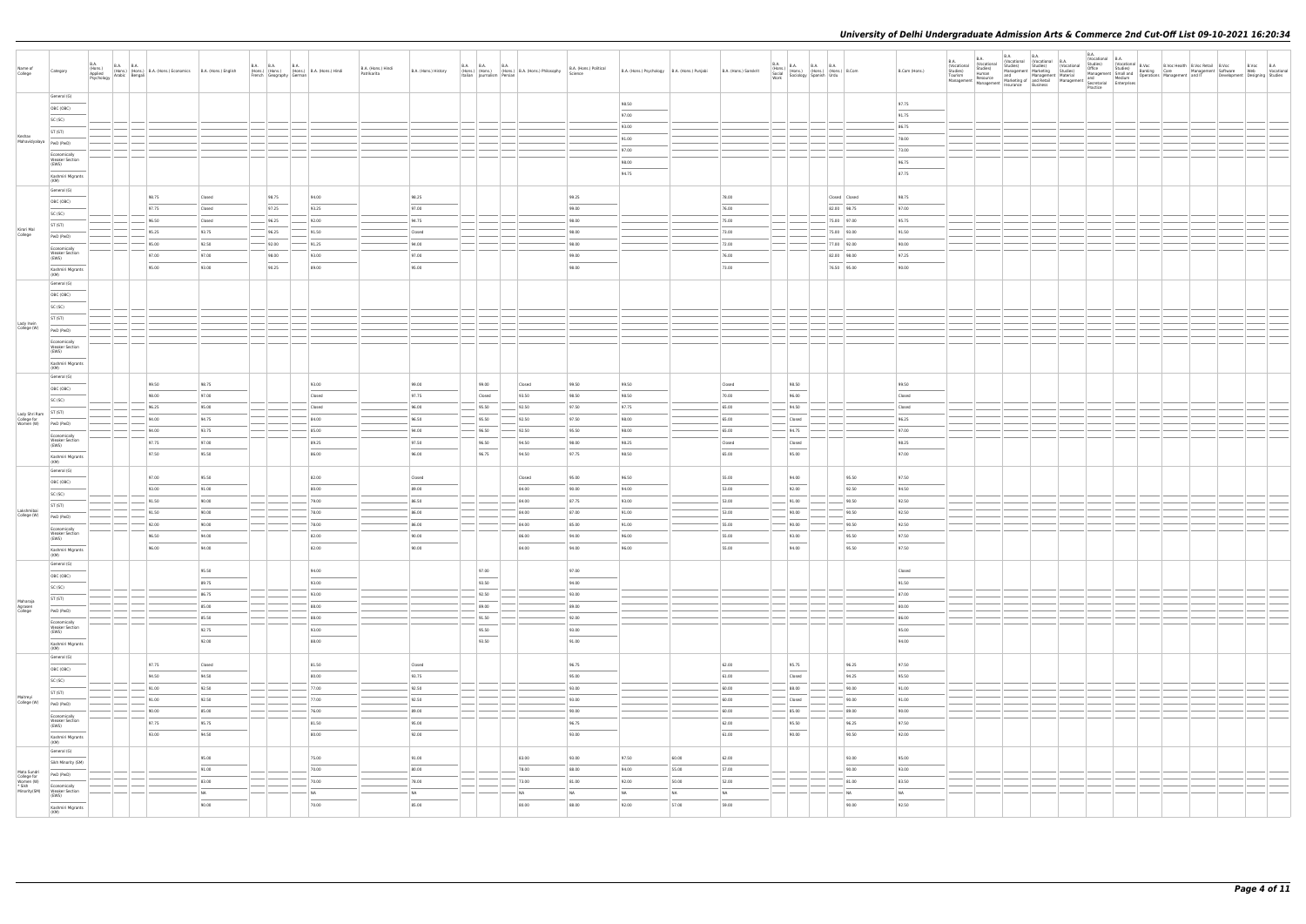| Name of<br>College                                  | Category                              | <b>B.A.</b> | B.A. (Hons.) B.A. B.A. (Hons.) B.A. (Hons.) Economics B.A. (Hons.) English Psychology Arabic Bengali |        |        |       | B.A. B.A. B.A. B.A. (Hons.)<br>(Hons.) (Hons.) B.A. (Hons.) Hindi<br>French Geography German | B.A. (Hons.) Hindi<br>Patrikarita | B.A. (Hons.) History              | <b>B.A. B.A. B.A.</b> | (Hons.) (Hons.) (Hons.) B.A. (Hons.) Philosophy<br>Italian Journalism Persian | B.A. (Hons.) Political<br>Science                                                                                                                                                                                                                                                                                                                                                                                                                                                   | B.A. (Hons.) Psychology B.A. (Hons.) Punjabi |           | B.A. (Hons.) Sanskrit  | B.A.<br>B.A. (Hons.) B.A. B.A. B.A. (Hons.) B.Com<br>Social (Hons.) (Hons.) (Hons.) B.Com<br>Work Sociology Spanish Urdu |               | B.Com (Hons.)                     | <b>B.A.</b><br><b>B.A.</b><br>(Vocational<br>(Vocational<br>Studies)<br>Tourism<br>Studies)<br>Human                                                                                                                                                                                                                                                                                                                                                                                               | B.A. | <b>B.A.</b><br>(Vocational (Vocational B.A. | Studies) Studies) (Vocational<br>Management Marketing Studies)<br>and Management Material | B.A.<br>(Vocational B.A. |  | Vocatorian I<br>2016 - Studies) (Vocational B.Voc<br>Office – Studies) (Vocational Banking – B.Voc Health B.Voc Retail B.Voc<br>Management Small and Therations Management and IT – Development Designing Studies<br>Management Madilu |  |
|-----------------------------------------------------|---------------------------------------|-------------|------------------------------------------------------------------------------------------------------|--------|--------|-------|----------------------------------------------------------------------------------------------|-----------------------------------|-----------------------------------|-----------------------|-------------------------------------------------------------------------------|-------------------------------------------------------------------------------------------------------------------------------------------------------------------------------------------------------------------------------------------------------------------------------------------------------------------------------------------------------------------------------------------------------------------------------------------------------------------------------------|----------------------------------------------|-----------|------------------------|--------------------------------------------------------------------------------------------------------------------------|---------------|-----------------------------------|----------------------------------------------------------------------------------------------------------------------------------------------------------------------------------------------------------------------------------------------------------------------------------------------------------------------------------------------------------------------------------------------------------------------------------------------------------------------------------------------------|------|---------------------------------------------|-------------------------------------------------------------------------------------------|--------------------------|--|----------------------------------------------------------------------------------------------------------------------------------------------------------------------------------------------------------------------------------------|--|
|                                                     | General (G)                           |             |                                                                                                      |        |        |       |                                                                                              |                                   |                                   |                       |                                                                               |                                                                                                                                                                                                                                                                                                                                                                                                                                                                                     | 98.50                                        |           |                        |                                                                                                                          |               | 97.75                             | $\begin{array}{ l l l l }\hline \textbf{Management} & \textbf{Resource} & \textbf{margement} & \textbf{and} & \textbf{and} & \textbf{and} & \textbf{and} & \textbf{and} & \textbf{and} & \textbf{and} & \textbf{and} & \textbf{and} & \textbf{and} & \textbf{and} & \textbf{and} & \textbf{and} & \textbf{and} & \textbf{and} & \textbf{and} & \textbf{and} & \textbf{and} & \textbf{and} & \textbf{and} & \textbf{and} & \textbf{and} & \textbf{and} & \textbf{and} & \textbf{and} & \textbf{and$ |      |                                             |                                                                                           | Practice                 |  |                                                                                                                                                                                                                                        |  |
|                                                     | OBC (OBC)                             |             |                                                                                                      |        |        |       |                                                                                              |                                   |                                   |                       |                                                                               |                                                                                                                                                                                                                                                                                                                                                                                                                                                                                     |                                              |           |                        |                                                                                                                          |               |                                   |                                                                                                                                                                                                                                                                                                                                                                                                                                                                                                    |      |                                             |                                                                                           |                          |  |                                                                                                                                                                                                                                        |  |
|                                                     | SC (SC)                               |             |                                                                                                      |        |        |       |                                                                                              |                                   |                                   |                       |                                                                               |                                                                                                                                                                                                                                                                                                                                                                                                                                                                                     | 97.00                                        |           |                        |                                                                                                                          |               | 91.75                             |                                                                                                                                                                                                                                                                                                                                                                                                                                                                                                    |      |                                             |                                                                                           |                          |  |                                                                                                                                                                                                                                        |  |
|                                                     | ST (ST)                               |             |                                                                                                      |        |        |       |                                                                                              |                                   |                                   |                       |                                                                               |                                                                                                                                                                                                                                                                                                                                                                                                                                                                                     | 93.00                                        |           |                        |                                                                                                                          |               | 86.75                             |                                                                                                                                                                                                                                                                                                                                                                                                                                                                                                    |      |                                             |                                                                                           |                          |  |                                                                                                                                                                                                                                        |  |
| Keshav<br>Mahavidyalaya                             | PwD (PwD)                             |             |                                                                                                      |        |        |       |                                                                                              |                                   |                                   |                       |                                                                               |                                                                                                                                                                                                                                                                                                                                                                                                                                                                                     | 91.00                                        |           |                        |                                                                                                                          |               | 78.00                             |                                                                                                                                                                                                                                                                                                                                                                                                                                                                                                    |      |                                             |                                                                                           |                          |  |                                                                                                                                                                                                                                        |  |
|                                                     | Economically                          |             |                                                                                                      |        |        |       |                                                                                              |                                   |                                   |                       |                                                                               |                                                                                                                                                                                                                                                                                                                                                                                                                                                                                     | 97.00                                        |           |                        |                                                                                                                          |               | 73.00                             |                                                                                                                                                                                                                                                                                                                                                                                                                                                                                                    |      |                                             |                                                                                           |                          |  |                                                                                                                                                                                                                                        |  |
|                                                     | <b>Weaker Section</b><br>(EWS)        |             |                                                                                                      |        |        |       |                                                                                              |                                   |                                   |                       |                                                                               |                                                                                                                                                                                                                                                                                                                                                                                                                                                                                     | 98.00                                        |           |                        |                                                                                                                          |               | 96.75                             |                                                                                                                                                                                                                                                                                                                                                                                                                                                                                                    |      |                                             |                                                                                           |                          |  |                                                                                                                                                                                                                                        |  |
|                                                     | Kashmiri Migrants                     |             |                                                                                                      |        |        |       |                                                                                              |                                   |                                   |                       |                                                                               |                                                                                                                                                                                                                                                                                                                                                                                                                                                                                     | 94.75                                        |           |                        |                                                                                                                          |               | 87.75                             |                                                                                                                                                                                                                                                                                                                                                                                                                                                                                                    |      |                                             |                                                                                           |                          |  |                                                                                                                                                                                                                                        |  |
|                                                     | (KM)                                  |             |                                                                                                      |        |        |       |                                                                                              |                                   |                                   |                       |                                                                               |                                                                                                                                                                                                                                                                                                                                                                                                                                                                                     |                                              |           |                        |                                                                                                                          |               |                                   |                                                                                                                                                                                                                                                                                                                                                                                                                                                                                                    |      |                                             |                                                                                           |                          |  |                                                                                                                                                                                                                                        |  |
|                                                     | General (G)                           |             | 98.75                                                                                                | Closed |        | 98.75 | 94.00                                                                                        |                                   | 98.25                             |                       |                                                                               | 99.25                                                                                                                                                                                                                                                                                                                                                                                                                                                                               |                                              |           | 78.00                  |                                                                                                                          | Closed Closed | 98.75                             |                                                                                                                                                                                                                                                                                                                                                                                                                                                                                                    |      |                                             |                                                                                           |                          |  |                                                                                                                                                                                                                                        |  |
|                                                     | OBC (OBC)                             |             | 97.75                                                                                                | Closed |        | 97.25 | 93.25                                                                                        |                                   | 97.00                             |                       |                                                                               | 99.00                                                                                                                                                                                                                                                                                                                                                                                                                                                                               |                                              |           | 76.00                  |                                                                                                                          | 82.00 98.75   | 97.00                             |                                                                                                                                                                                                                                                                                                                                                                                                                                                                                                    |      |                                             |                                                                                           |                          |  |                                                                                                                                                                                                                                        |  |
|                                                     | SC (SC)                               |             |                                                                                                      |        |        |       |                                                                                              |                                   | 94.75                             |                       |                                                                               | 98.00                                                                                                                                                                                                                                                                                                                                                                                                                                                                               |                                              |           | 75.00                  |                                                                                                                          | 75.00 97.00   | 95.75                             |                                                                                                                                                                                                                                                                                                                                                                                                                                                                                                    |      |                                             |                                                                                           |                          |  |                                                                                                                                                                                                                                        |  |
| Kirori Mal                                          | ST (ST)                               |             | 96.50                                                                                                | Closed |        | 96.25 | 92.00                                                                                        |                                   |                                   |                       |                                                                               |                                                                                                                                                                                                                                                                                                                                                                                                                                                                                     |                                              |           |                        |                                                                                                                          |               |                                   |                                                                                                                                                                                                                                                                                                                                                                                                                                                                                                    |      |                                             |                                                                                           |                          |  |                                                                                                                                                                                                                                        |  |
| College                                             | PwD (PwD)                             |             | 95.25                                                                                                | 93.75  |        | 96.25 | 91.50                                                                                        |                                   | Closed                            |                       |                                                                               | 98.00                                                                                                                                                                                                                                                                                                                                                                                                                                                                               |                                              |           | 73.00                  |                                                                                                                          | 75.00 93.00   | 91.50                             |                                                                                                                                                                                                                                                                                                                                                                                                                                                                                                    |      |                                             |                                                                                           |                          |  |                                                                                                                                                                                                                                        |  |
|                                                     | Economically                          |             | 95.00                                                                                                | 92.50  |        | 92.00 | 91.25                                                                                        |                                   | 94.00                             |                       |                                                                               | 98.00                                                                                                                                                                                                                                                                                                                                                                                                                                                                               |                                              |           | 72.00                  |                                                                                                                          | 77.00 92.00   | 90.00                             |                                                                                                                                                                                                                                                                                                                                                                                                                                                                                                    |      |                                             |                                                                                           |                          |  |                                                                                                                                                                                                                                        |  |
|                                                     | <b>Weaker Section</b><br>(EWS)        |             | 97.00                                                                                                | 97.00  |        | 98.00 | 93.00                                                                                        |                                   | 97.00                             |                       |                                                                               | 99.00                                                                                                                                                                                                                                                                                                                                                                                                                                                                               |                                              |           | 76.00                  |                                                                                                                          | 82.00 98.00   | 97.25                             |                                                                                                                                                                                                                                                                                                                                                                                                                                                                                                    |      |                                             |                                                                                           |                          |  |                                                                                                                                                                                                                                        |  |
|                                                     | Kashmiri Migrants                     |             | 95.00                                                                                                | 93.00  |        | 90.25 | 89.00                                                                                        |                                   | 95.00                             |                       |                                                                               | 98.00                                                                                                                                                                                                                                                                                                                                                                                                                                                                               |                                              |           | 73.00                  |                                                                                                                          | 76.50 95.00   | 90.00                             |                                                                                                                                                                                                                                                                                                                                                                                                                                                                                                    |      |                                             |                                                                                           |                          |  |                                                                                                                                                                                                                                        |  |
|                                                     | (KM)<br>General (G)                   |             |                                                                                                      |        |        |       |                                                                                              |                                   |                                   |                       |                                                                               |                                                                                                                                                                                                                                                                                                                                                                                                                                                                                     |                                              |           |                        |                                                                                                                          |               |                                   |                                                                                                                                                                                                                                                                                                                                                                                                                                                                                                    |      |                                             |                                                                                           |                          |  |                                                                                                                                                                                                                                        |  |
|                                                     |                                       |             |                                                                                                      |        |        |       |                                                                                              |                                   |                                   |                       |                                                                               |                                                                                                                                                                                                                                                                                                                                                                                                                                                                                     |                                              |           |                        |                                                                                                                          |               |                                   |                                                                                                                                                                                                                                                                                                                                                                                                                                                                                                    |      |                                             |                                                                                           |                          |  |                                                                                                                                                                                                                                        |  |
|                                                     | OBC (OBC)                             |             |                                                                                                      |        |        |       |                                                                                              |                                   |                                   |                       |                                                                               |                                                                                                                                                                                                                                                                                                                                                                                                                                                                                     |                                              |           |                        |                                                                                                                          |               |                                   |                                                                                                                                                                                                                                                                                                                                                                                                                                                                                                    |      |                                             |                                                                                           |                          |  |                                                                                                                                                                                                                                        |  |
|                                                     | SC (SC)                               |             |                                                                                                      |        |        |       |                                                                                              |                                   |                                   |                       |                                                                               |                                                                                                                                                                                                                                                                                                                                                                                                                                                                                     |                                              |           |                        |                                                                                                                          |               |                                   |                                                                                                                                                                                                                                                                                                                                                                                                                                                                                                    |      |                                             |                                                                                           |                          |  |                                                                                                                                                                                                                                        |  |
| Lady Irwin                                          | ST (ST)                               |             |                                                                                                      |        |        |       |                                                                                              |                                   |                                   |                       |                                                                               |                                                                                                                                                                                                                                                                                                                                                                                                                                                                                     |                                              |           |                        |                                                                                                                          |               |                                   |                                                                                                                                                                                                                                                                                                                                                                                                                                                                                                    |      |                                             |                                                                                           |                          |  |                                                                                                                                                                                                                                        |  |
| College (W)                                         | PwD (PwD)                             |             |                                                                                                      |        |        |       |                                                                                              |                                   |                                   |                       |                                                                               |                                                                                                                                                                                                                                                                                                                                                                                                                                                                                     |                                              |           |                        |                                                                                                                          |               |                                   |                                                                                                                                                                                                                                                                                                                                                                                                                                                                                                    |      |                                             |                                                                                           |                          |  |                                                                                                                                                                                                                                        |  |
|                                                     | Economically<br><b>Weaker Section</b> |             |                                                                                                      |        |        |       |                                                                                              |                                   |                                   |                       |                                                                               |                                                                                                                                                                                                                                                                                                                                                                                                                                                                                     |                                              |           |                        |                                                                                                                          |               |                                   |                                                                                                                                                                                                                                                                                                                                                                                                                                                                                                    |      |                                             |                                                                                           |                          |  |                                                                                                                                                                                                                                        |  |
|                                                     | (EWS)                                 |             |                                                                                                      |        |        |       |                                                                                              |                                   |                                   |                       |                                                                               |                                                                                                                                                                                                                                                                                                                                                                                                                                                                                     |                                              |           |                        |                                                                                                                          |               |                                   |                                                                                                                                                                                                                                                                                                                                                                                                                                                                                                    |      |                                             |                                                                                           |                          |  |                                                                                                                                                                                                                                        |  |
|                                                     | Kashmiri Migrants<br>(KM)             |             |                                                                                                      |        |        |       |                                                                                              |                                   |                                   |                       |                                                                               |                                                                                                                                                                                                                                                                                                                                                                                                                                                                                     |                                              |           |                        |                                                                                                                          |               |                                   |                                                                                                                                                                                                                                                                                                                                                                                                                                                                                                    |      |                                             |                                                                                           |                          |  |                                                                                                                                                                                                                                        |  |
|                                                     | General (G)                           |             |                                                                                                      |        |        |       |                                                                                              |                                   |                                   |                       |                                                                               |                                                                                                                                                                                                                                                                                                                                                                                                                                                                                     |                                              |           |                        |                                                                                                                          |               |                                   |                                                                                                                                                                                                                                                                                                                                                                                                                                                                                                    |      |                                             |                                                                                           |                          |  |                                                                                                                                                                                                                                        |  |
|                                                     | OBC (OBC)                             |             | 99.50                                                                                                | 98.75  |        |       | 93.00                                                                                        |                                   | 99.00                             | 99.00                 | Closed                                                                        | 99.50                                                                                                                                                                                                                                                                                                                                                                                                                                                                               | 99.50                                        |           | Closed                 | 98.50<br>$\frac{1}{2}$                                                                                                   |               | 99.50                             |                                                                                                                                                                                                                                                                                                                                                                                                                                                                                                    |      |                                             |                                                                                           |                          |  |                                                                                                                                                                                                                                        |  |
|                                                     | SC (SC)                               |             | 98.00                                                                                                | 97.00  |        |       | Closed                                                                                       |                                   | 97.75                             | Closed                | 93.50                                                                         | 98.50                                                                                                                                                                                                                                                                                                                                                                                                                                                                               | 98.50                                        |           | 70.00                  | 96.00                                                                                                                    |               | Closed                            |                                                                                                                                                                                                                                                                                                                                                                                                                                                                                                    |      |                                             |                                                                                           |                          |  |                                                                                                                                                                                                                                        |  |
|                                                     | ST (ST)                               |             | 96.25                                                                                                | 95.00  |        |       | Closed                                                                                       |                                   | 96.00                             | 95.50                 | 92.50                                                                         | 97.50                                                                                                                                                                                                                                                                                                                                                                                                                                                                               | 97.75                                        |           | 65.00                  | 94.50                                                                                                                    |               | Closed                            |                                                                                                                                                                                                                                                                                                                                                                                                                                                                                                    |      |                                             |                                                                                           |                          |  |                                                                                                                                                                                                                                        |  |
| Lady Shri Ram<br>College for<br>Women (W) PWD (PWD) |                                       |             | 94.00                                                                                                | 94.75  |        |       | 84.00                                                                                        |                                   | 96.50                             | 95.50                 | 92.50                                                                         | 97.50                                                                                                                                                                                                                                                                                                                                                                                                                                                                               | 98.00                                        |           | 65.00                  | Closed                                                                                                                   |               | 96.25                             |                                                                                                                                                                                                                                                                                                                                                                                                                                                                                                    |      |                                             |                                                                                           |                          |  |                                                                                                                                                                                                                                        |  |
|                                                     | Economically                          |             | 94.00                                                                                                | 93.75  |        |       | 85.00                                                                                        |                                   | 94.00                             | 96.50                 | 92.50                                                                         | 95.50                                                                                                                                                                                                                                                                                                                                                                                                                                                                               | 98.00                                        |           | 65.00                  | 94.75                                                                                                                    |               | 97.00                             |                                                                                                                                                                                                                                                                                                                                                                                                                                                                                                    |      |                                             |                                                                                           |                          |  |                                                                                                                                                                                                                                        |  |
|                                                     | <b>Weaker Section</b><br>(EWS)        |             | 97.75                                                                                                | 97.00  |        |       | 89.25                                                                                        |                                   | 97.50                             | 96.50                 | 94.50                                                                         | 98.00                                                                                                                                                                                                                                                                                                                                                                                                                                                                               | 98.25                                        |           | Closed                 | Closed                                                                                                                   |               | 98.25                             |                                                                                                                                                                                                                                                                                                                                                                                                                                                                                                    |      |                                             |                                                                                           |                          |  |                                                                                                                                                                                                                                        |  |
|                                                     | Kashmiri Migrants                     |             | 97.50                                                                                                | 95.50  |        |       | 86.00                                                                                        |                                   | 96.00                             | 96.75                 | 94.50                                                                         | 97.75                                                                                                                                                                                                                                                                                                                                                                                                                                                                               | 98.50                                        |           | 65.00                  | 95.00                                                                                                                    |               | 97.00                             |                                                                                                                                                                                                                                                                                                                                                                                                                                                                                                    |      |                                             |                                                                                           |                          |  |                                                                                                                                                                                                                                        |  |
|                                                     | (KM)                                  |             |                                                                                                      |        |        |       |                                                                                              |                                   |                                   |                       |                                                                               |                                                                                                                                                                                                                                                                                                                                                                                                                                                                                     |                                              |           |                        |                                                                                                                          |               |                                   |                                                                                                                                                                                                                                                                                                                                                                                                                                                                                                    |      |                                             |                                                                                           |                          |  |                                                                                                                                                                                                                                        |  |
|                                                     | General (G)                           |             | 97.00                                                                                                | 95.50  |        |       | 82.00                                                                                        |                                   | Closed                            |                       | Closed                                                                        | 95.00                                                                                                                                                                                                                                                                                                                                                                                                                                                                               | 96.50                                        |           | 55.00                  | 94.00                                                                                                                    | 95.50         | 97.50                             |                                                                                                                                                                                                                                                                                                                                                                                                                                                                                                    |      |                                             |                                                                                           |                          |  |                                                                                                                                                                                                                                        |  |
|                                                     | OBC (OBC)                             |             | 93.00                                                                                                | 91.00  |        |       | 80.00                                                                                        |                                   | 89.00                             |                       | 84.00                                                                         | 90.00                                                                                                                                                                                                                                                                                                                                                                                                                                                                               | 94.00                                        |           | 53.00                  | 92.00                                                                                                                    | 92.50         | 94.50                             |                                                                                                                                                                                                                                                                                                                                                                                                                                                                                                    |      |                                             |                                                                                           |                          |  |                                                                                                                                                                                                                                        |  |
|                                                     | SC (SC)                               |             | 91.50                                                                                                | 90.00  |        |       | 79.00                                                                                        |                                   | 86.50                             |                       | 84.00                                                                         | 87.75                                                                                                                                                                                                                                                                                                                                                                                                                                                                               | 93.00                                        |           | 53.00                  | 91.00                                                                                                                    | 90.50         | 92.50                             |                                                                                                                                                                                                                                                                                                                                                                                                                                                                                                    |      |                                             |                                                                                           |                          |  |                                                                                                                                                                                                                                        |  |
| Lakshmibai                                          | ST (ST)                               |             | 91.50                                                                                                | 90.00  |        |       | 78.00                                                                                        |                                   | 86.00                             |                       | 84.00                                                                         | 87.00                                                                                                                                                                                                                                                                                                                                                                                                                                                                               | 91.00                                        |           | 53.00                  | 90.00                                                                                                                    | 90.50         | 92.50                             |                                                                                                                                                                                                                                                                                                                                                                                                                                                                                                    |      |                                             |                                                                                           |                          |  |                                                                                                                                                                                                                                        |  |
| College (W)                                         | PwD (PwD)                             |             |                                                                                                      |        |        |       |                                                                                              |                                   |                                   |                       |                                                                               |                                                                                                                                                                                                                                                                                                                                                                                                                                                                                     |                                              |           |                        |                                                                                                                          |               |                                   |                                                                                                                                                                                                                                                                                                                                                                                                                                                                                                    |      |                                             |                                                                                           |                          |  |                                                                                                                                                                                                                                        |  |
|                                                     | Economically<br><b>Weaker Section</b> |             | 92.00                                                                                                | 90.00  |        |       | 78.00                                                                                        |                                   | 86.00                             |                       | 84.00                                                                         | 85.00                                                                                                                                                                                                                                                                                                                                                                                                                                                                               | 91.00                                        |           | 55.00                  | 90.00                                                                                                                    | 90.50         | 92.50                             |                                                                                                                                                                                                                                                                                                                                                                                                                                                                                                    |      |                                             |                                                                                           |                          |  |                                                                                                                                                                                                                                        |  |
|                                                     | (EWS)<br>$\overline{\phantom{a}}$     |             | 96.50                                                                                                | 94.00  |        |       | 82.00                                                                                        |                                   | 90.00                             |                       | 86.00                                                                         | 94.00                                                                                                                                                                                                                                                                                                                                                                                                                                                                               | 96.00                                        |           | 55.00                  | 93.00                                                                                                                    | 95.50         | 97.50                             |                                                                                                                                                                                                                                                                                                                                                                                                                                                                                                    |      |                                             |                                                                                           |                          |  |                                                                                                                                                                                                                                        |  |
|                                                     | Kashmiri Migrants<br>(KM)             |             | 96.00                                                                                                | 94.00  |        |       | 82.00                                                                                        |                                   | 90.00                             |                       | 84.00                                                                         | 94.00                                                                                                                                                                                                                                                                                                                                                                                                                                                                               | 96.00                                        |           | 55.00                  | 94.00                                                                                                                    | 95.50         | 97.50                             |                                                                                                                                                                                                                                                                                                                                                                                                                                                                                                    |      |                                             |                                                                                           |                          |  |                                                                                                                                                                                                                                        |  |
|                                                     | General (G)                           |             |                                                                                                      |        |        |       |                                                                                              |                                   |                                   |                       |                                                                               |                                                                                                                                                                                                                                                                                                                                                                                                                                                                                     |                                              |           |                        |                                                                                                                          |               |                                   |                                                                                                                                                                                                                                                                                                                                                                                                                                                                                                    |      |                                             |                                                                                           |                          |  |                                                                                                                                                                                                                                        |  |
|                                                     | OBC (OBC)                             |             |                                                                                                      | 95.50  |        |       | 94.00                                                                                        |                                   |                                   | 97.00<br>$\sim$       |                                                                               | 97.00<br>$\frac{1}{2} \left( \frac{1}{2} \right) \left( \frac{1}{2} \right) \left( \frac{1}{2} \right) \left( \frac{1}{2} \right) \left( \frac{1}{2} \right) \left( \frac{1}{2} \right) \left( \frac{1}{2} \right) \left( \frac{1}{2} \right) \left( \frac{1}{2} \right) \left( \frac{1}{2} \right) \left( \frac{1}{2} \right) \left( \frac{1}{2} \right) \left( \frac{1}{2} \right) \left( \frac{1}{2} \right) \left( \frac{1}{2} \right) \left( \frac{1}{2} \right) \left( \frac$ |                                              |           |                        |                                                                                                                          |               | Closed                            |                                                                                                                                                                                                                                                                                                                                                                                                                                                                                                    |      |                                             |                                                                                           |                          |  |                                                                                                                                                                                                                                        |  |
|                                                     | SC (SC)                               |             |                                                                                                      | 89.75  |        |       | 93.00                                                                                        |                                   |                                   | 93.50                 |                                                                               | 94.00                                                                                                                                                                                                                                                                                                                                                                                                                                                                               |                                              |           |                        |                                                                                                                          |               | 91.50                             |                                                                                                                                                                                                                                                                                                                                                                                                                                                                                                    |      |                                             |                                                                                           |                          |  |                                                                                                                                                                                                                                        |  |
|                                                     | ST (ST)                               |             |                                                                                                      | 86.75  | $\sim$ |       | 93.00                                                                                        |                                   |                                   | 92.50                 |                                                                               | 93.00                                                                                                                                                                                                                                                                                                                                                                                                                                                                               |                                              |           |                        |                                                                                                                          |               | 87.00                             |                                                                                                                                                                                                                                                                                                                                                                                                                                                                                                    |      |                                             |                                                                                           |                          |  |                                                                                                                                                                                                                                        |  |
| Maharaja<br>Agrasen<br>College                      | PwD (PwD)                             |             |                                                                                                      | 85.00  |        |       | 88.00                                                                                        |                                   |                                   | 89.00                 |                                                                               | 89.00                                                                                                                                                                                                                                                                                                                                                                                                                                                                               |                                              |           |                        |                                                                                                                          |               | 80.00                             |                                                                                                                                                                                                                                                                                                                                                                                                                                                                                                    |      |                                             |                                                                                           |                          |  |                                                                                                                                                                                                                                        |  |
|                                                     | Economically                          |             |                                                                                                      | 85.50  |        |       | 88.00                                                                                        |                                   |                                   | 91.50                 |                                                                               | 92.00                                                                                                                                                                                                                                                                                                                                                                                                                                                                               |                                              |           |                        |                                                                                                                          |               | 86.00                             |                                                                                                                                                                                                                                                                                                                                                                                                                                                                                                    |      |                                             |                                                                                           |                          |  |                                                                                                                                                                                                                                        |  |
|                                                     | <b>Weaker Section</b><br>(EWS)        |             |                                                                                                      | 92.75  |        |       | 93.00                                                                                        |                                   |                                   | 95.50                 |                                                                               | 93.00                                                                                                                                                                                                                                                                                                                                                                                                                                                                               |                                              |           |                        |                                                                                                                          |               | 95.00                             |                                                                                                                                                                                                                                                                                                                                                                                                                                                                                                    |      |                                             |                                                                                           |                          |  |                                                                                                                                                                                                                                        |  |
|                                                     | $\overline{\phantom{a}}$              |             |                                                                                                      | 92.00  |        |       | 88.00                                                                                        |                                   |                                   | 93.50                 |                                                                               | $\sim$<br>91.00                                                                                                                                                                                                                                                                                                                                                                                                                                                                     |                                              |           |                        |                                                                                                                          |               | $\overline{\phantom{a}}$<br>94.00 |                                                                                                                                                                                                                                                                                                                                                                                                                                                                                                    |      |                                             |                                                                                           |                          |  |                                                                                                                                                                                                                                        |  |
|                                                     | Kashmiri Migrants<br>(KM)             |             |                                                                                                      |        |        |       |                                                                                              |                                   |                                   |                       |                                                                               |                                                                                                                                                                                                                                                                                                                                                                                                                                                                                     |                                              |           |                        |                                                                                                                          |               |                                   |                                                                                                                                                                                                                                                                                                                                                                                                                                                                                                    |      |                                             |                                                                                           |                          |  |                                                                                                                                                                                                                                        |  |
|                                                     | General (G)                           |             | 97.75                                                                                                | Closed |        |       | 81.50                                                                                        |                                   | Closed                            |                       |                                                                               | 96.75                                                                                                                                                                                                                                                                                                                                                                                                                                                                               |                                              |           | 62.00                  | 95.75                                                                                                                    | 96.25         | 97.50                             |                                                                                                                                                                                                                                                                                                                                                                                                                                                                                                    |      |                                             |                                                                                           |                          |  |                                                                                                                                                                                                                                        |  |
|                                                     | OBC (OBC)                             |             | 94.50                                                                                                | 94.50  |        |       | 80.00                                                                                        |                                   | 93.75                             |                       |                                                                               | 95.00                                                                                                                                                                                                                                                                                                                                                                                                                                                                               |                                              |           | 61.00                  | $\sim$<br>Closed                                                                                                         | 94.25         | 95.50                             |                                                                                                                                                                                                                                                                                                                                                                                                                                                                                                    |      |                                             |                                                                                           |                          |  |                                                                                                                                                                                                                                        |  |
|                                                     | SC (SC)                               |             |                                                                                                      |        |        |       | 77.00                                                                                        |                                   | 92.50                             |                       |                                                                               | 93.00                                                                                                                                                                                                                                                                                                                                                                                                                                                                               |                                              |           | 60.00                  |                                                                                                                          |               | 91.00                             |                                                                                                                                                                                                                                                                                                                                                                                                                                                                                                    |      |                                             |                                                                                           |                          |  |                                                                                                                                                                                                                                        |  |
| Maitreyi                                            | ST (ST)                               |             | 91.00                                                                                                | 92.50  |        |       |                                                                                              |                                   |                                   |                       |                                                                               |                                                                                                                                                                                                                                                                                                                                                                                                                                                                                     |                                              |           |                        | 88.00                                                                                                                    | 90.00         |                                   |                                                                                                                                                                                                                                                                                                                                                                                                                                                                                                    |      |                                             |                                                                                           |                          |  |                                                                                                                                                                                                                                        |  |
| College (W)                                         | PwD (PwD)                             |             | 91.00                                                                                                | 92.50  |        |       | 77.00                                                                                        |                                   | 92.50                             |                       |                                                                               | 93.00                                                                                                                                                                                                                                                                                                                                                                                                                                                                               |                                              |           | 60.00                  | Closed                                                                                                                   | 90.00         | 91.00                             |                                                                                                                                                                                                                                                                                                                                                                                                                                                                                                    |      |                                             |                                                                                           |                          |  |                                                                                                                                                                                                                                        |  |
|                                                     | Economically                          |             | 90.00                                                                                                | 85.00  |        |       | 76.00                                                                                        |                                   | 89.00                             |                       |                                                                               | 90.00                                                                                                                                                                                                                                                                                                                                                                                                                                                                               |                                              |           | 60.00                  | 85.00                                                                                                                    | 89.00         | 90.00                             |                                                                                                                                                                                                                                                                                                                                                                                                                                                                                                    |      |                                             |                                                                                           |                          |  |                                                                                                                                                                                                                                        |  |
|                                                     | <b>Weaker Section</b><br>(EWS)        |             | 97.75                                                                                                | 95.75  |        |       | 81.50<br>$\sim$                                                                              |                                   | 95.00<br>$\overline{\phantom{a}}$ |                       |                                                                               | 96.75                                                                                                                                                                                                                                                                                                                                                                                                                                                                               |                                              |           | 62.00<br>$\frac{1}{2}$ | 95.50<br>$\sim$                                                                                                          | 96.25         | 97.50                             |                                                                                                                                                                                                                                                                                                                                                                                                                                                                                                    |      |                                             |                                                                                           |                          |  |                                                                                                                                                                                                                                        |  |
|                                                     | Kashmiri Migrants                     |             | 93.00                                                                                                | 94.50  |        |       | 80.00                                                                                        |                                   | 92.00                             |                       |                                                                               | 93.00                                                                                                                                                                                                                                                                                                                                                                                                                                                                               |                                              |           | 61.00                  | 90.00                                                                                                                    | 90.50         | 92.00                             |                                                                                                                                                                                                                                                                                                                                                                                                                                                                                                    |      |                                             |                                                                                           |                          |  |                                                                                                                                                                                                                                        |  |
|                                                     | (KM)<br>General (G)                   |             |                                                                                                      |        |        |       |                                                                                              |                                   |                                   |                       |                                                                               |                                                                                                                                                                                                                                                                                                                                                                                                                                                                                     |                                              |           |                        |                                                                                                                          |               |                                   |                                                                                                                                                                                                                                                                                                                                                                                                                                                                                                    |      |                                             |                                                                                           |                          |  |                                                                                                                                                                                                                                        |  |
|                                                     | Sikh Minority (SM)                    |             |                                                                                                      | 95.00  |        |       | 75.00                                                                                        |                                   | 91.00                             |                       | 83.00                                                                         | 93.00                                                                                                                                                                                                                                                                                                                                                                                                                                                                               | 97.50                                        | 60.00     | 62.00                  |                                                                                                                          | 93.00         | 95.00                             |                                                                                                                                                                                                                                                                                                                                                                                                                                                                                                    |      |                                             |                                                                                           |                          |  |                                                                                                                                                                                                                                        |  |
| Mata Sundri                                         |                                       |             |                                                                                                      | 91.00  |        |       | 70.00                                                                                        |                                   | 80.00                             |                       | 78.00                                                                         | 88.00                                                                                                                                                                                                                                                                                                                                                                                                                                                                               | 94.00                                        | 55.00     | 57.00                  |                                                                                                                          | 90.00         | 93.00                             |                                                                                                                                                                                                                                                                                                                                                                                                                                                                                                    |      |                                             |                                                                                           |                          |  |                                                                                                                                                                                                                                        |  |
| College for<br>Women (W)<br>* Sikh                  | PwD (PwD)                             |             |                                                                                                      | 83.00  |        |       | 70.00                                                                                        |                                   | 78.00                             |                       | 73.00                                                                         | 81.00                                                                                                                                                                                                                                                                                                                                                                                                                                                                               | 92.00                                        | 50.00     | 52.00                  |                                                                                                                          | 81.00         | 83.50                             |                                                                                                                                                                                                                                                                                                                                                                                                                                                                                                    |      |                                             |                                                                                           |                          |  |                                                                                                                                                                                                                                        |  |
| Minority(SM)                                        | Economically<br>Weaker Section        |             |                                                                                                      | NA     |        |       | NA                                                                                           |                                   | NA                                |                       | NA                                                                            | NA                                                                                                                                                                                                                                                                                                                                                                                                                                                                                  | <b>NA</b>                                    | <b>NA</b> | N <sub>A</sub>         |                                                                                                                          | <b>NA</b>     | NA                                |                                                                                                                                                                                                                                                                                                                                                                                                                                                                                                    |      |                                             |                                                                                           |                          |  |                                                                                                                                                                                                                                        |  |
|                                                     | (EWS)<br>$\sim$                       |             |                                                                                                      | 90.00  |        |       | 70.00                                                                                        |                                   | $\sim$<br>85.00                   |                       | 80.00                                                                         | 88.00                                                                                                                                                                                                                                                                                                                                                                                                                                                                               | 92.00                                        | 57.00     | 59.00                  |                                                                                                                          | 90.00         | 92.50                             |                                                                                                                                                                                                                                                                                                                                                                                                                                                                                                    |      |                                             |                                                                                           |                          |  |                                                                                                                                                                                                                                        |  |
|                                                     | Kashmiri Migrants<br>(KM)             |             |                                                                                                      |        |        |       |                                                                                              |                                   |                                   |                       |                                                                               |                                                                                                                                                                                                                                                                                                                                                                                                                                                                                     |                                              |           |                        |                                                                                                                          |               |                                   |                                                                                                                                                                                                                                                                                                                                                                                                                                                                                                    |      |                                             |                                                                                           |                          |  |                                                                                                                                                                                                                                        |  |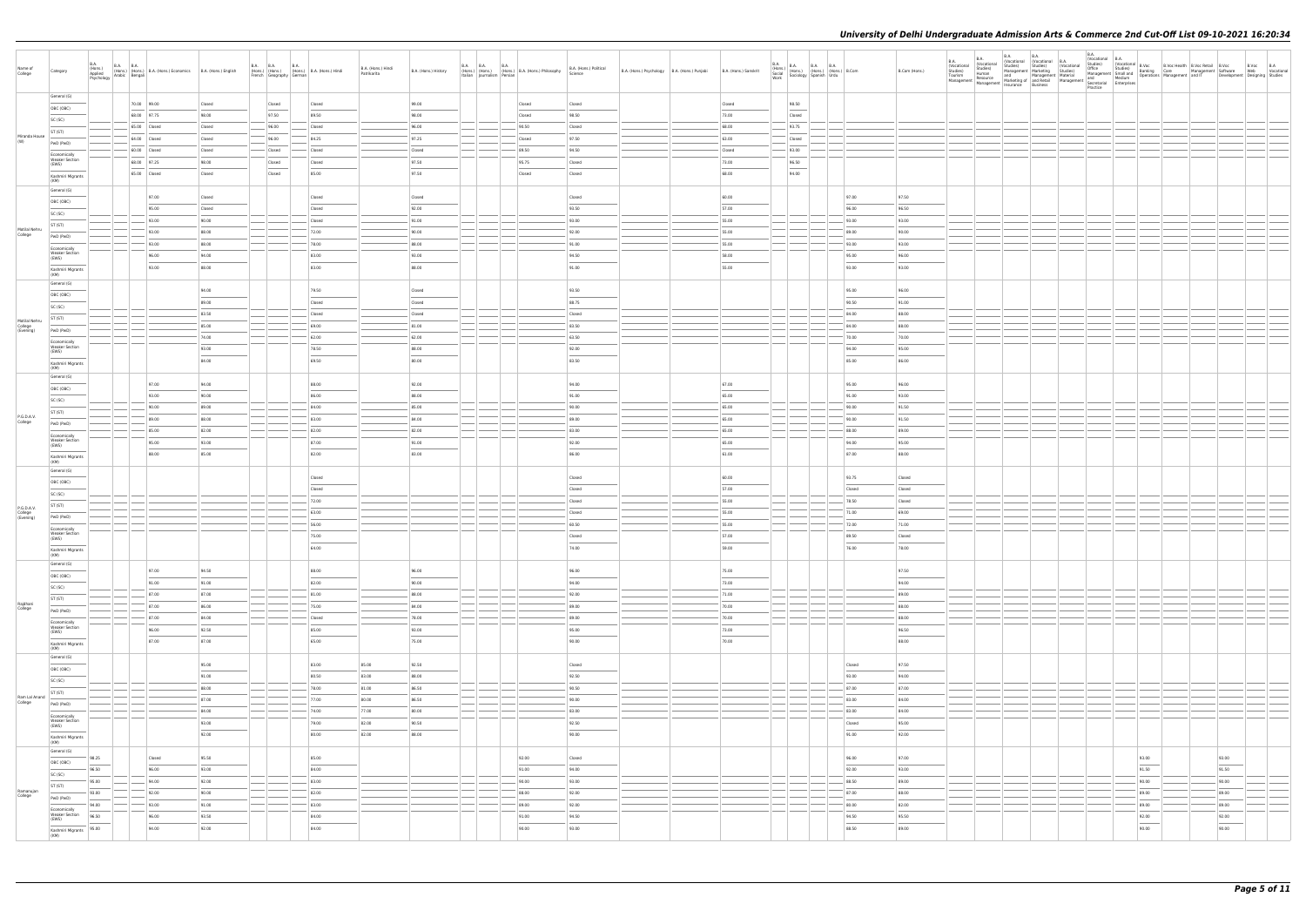|                                       | B.A.<br>(Hons.)<br>Applied                     | <b>B.A. B.A.</b> |                                                                                                                                      |                | <b>B.A. B.A.</b><br><b>B.A.</b>                                       |                 |                                   |                      | <b>B.A. B.A.</b>           | <b>B.A.</b>                                     |                                    |                                              |                       |                                                                                                                  |                |                                   | <b>B.A.</b><br><b>B.A.</b><br>(Vocational<br>(Vocational                                                                                                                    | B.A.<br>Studies) | <b>B.A.</b><br>(Vocational (Vocational B.A.<br>Studies)<br>(Vocational | B.A.<br>(Vocational B.A. |                                                                                                                                                                                                                          |                                                                                                                                                                                                                                                                                                                                                                                                                                                                                     |  |
|---------------------------------------|------------------------------------------------|------------------|--------------------------------------------------------------------------------------------------------------------------------------|----------------|-----------------------------------------------------------------------|-----------------|-----------------------------------|----------------------|----------------------------|-------------------------------------------------|------------------------------------|----------------------------------------------|-----------------------|------------------------------------------------------------------------------------------------------------------|----------------|-----------------------------------|-----------------------------------------------------------------------------------------------------------------------------------------------------------------------------|------------------|------------------------------------------------------------------------|--------------------------|--------------------------------------------------------------------------------------------------------------------------------------------------------------------------------------------------------------------------|-------------------------------------------------------------------------------------------------------------------------------------------------------------------------------------------------------------------------------------------------------------------------------------------------------------------------------------------------------------------------------------------------------------------------------------------------------------------------------------|--|
| Name of<br>College                    | Category                                       |                  | (Hons.) (Hons.) (Hons.) B.A. (Hons.) Economics B.A. (Hons.) English<br>Applied Arabic Bengali (Hons.) Economics B.A. (Hons.) English |                | (Hons.) (Hons.) (Hons.) B.A. (Hons.) Hindi<br>French Geography German |                 | B.A. (Hons.) Hindi<br>Patrikarita | B.A. (Hons.) History | Italian Journalism Persian | (Hons.) (Hons.) (Hons.) B.A. (Hons.) Philosophy | B.A. (Hons.) Political<br>Science  | B.A. (Hons.) Psychology B.A. (Hons.) Punjabi | B.A. (Hons.) Sanskrit | B.A. (Hons.) B.A. B.A. B.A. (Hons.) B.Com<br>Social (Hons.) (Hons.) (Hons.) B.Com<br>Work Sociology Spanish Urdu |                | B.Com (Hons.)                     | Studies)<br>Human<br>Studies)<br>Tourism Human<br>Management Resource and Menketing of and and Medium<br>Management Management Insurance Business<br>Spectragia Enterprises |                  | Management Marketing Studies)                                          | Practice                 | (Vocational B. Portugal and B. Nocket Management Software<br>1999 - Studies (Management Software Management Software Web Vocational<br>Management Small and Banking Care Management and TT Development Designing Studies |                                                                                                                                                                                                                                                                                                                                                                                                                                                                                     |  |
|                                       | General (G)                                    |                  | 70.00 99.00                                                                                                                          | Closed         | Closed                                                                | Closed          |                                   | 99.00                |                            | Closed                                          | Closed                             |                                              | Closed                | 98.50                                                                                                            |                |                                   |                                                                                                                                                                             |                  |                                                                        |                          |                                                                                                                                                                                                                          |                                                                                                                                                                                                                                                                                                                                                                                                                                                                                     |  |
|                                       | OBC (OBC)                                      |                  | 68.00 97.75                                                                                                                          | 98.00          | 97.50                                                                 | 89.50           |                                   | 98.00                |                            | Closed                                          | 98.50                              |                                              | 73.00                 | Closed                                                                                                           |                |                                   |                                                                                                                                                                             |                  |                                                                        |                          |                                                                                                                                                                                                                          |                                                                                                                                                                                                                                                                                                                                                                                                                                                                                     |  |
|                                       | SC (SC)                                        |                  | 65.00 Closed                                                                                                                         | Closed         | 96.00                                                                 | Closed          |                                   | 96.00                |                            | 90.50                                           | Closed                             |                                              | 68.00                 | 93.75                                                                                                            |                |                                   |                                                                                                                                                                             |                  |                                                                        |                          |                                                                                                                                                                                                                          |                                                                                                                                                                                                                                                                                                                                                                                                                                                                                     |  |
| Miranda House<br>(W)                  | ST (ST)                                        |                  | 64.00 Closed                                                                                                                         | Closed         | 96.00                                                                 | 84.25           |                                   | 97.25                |                            | Closed                                          | 97.50                              |                                              | 63.00                 | Closed                                                                                                           |                |                                   |                                                                                                                                                                             |                  |                                                                        |                          |                                                                                                                                                                                                                          |                                                                                                                                                                                                                                                                                                                                                                                                                                                                                     |  |
|                                       | PwD (PwD)                                      |                  | 60.00 Closed                                                                                                                         | Closed         | Closed                                                                | Closed          |                                   | Closed               |                            | 89.50                                           | 94.50                              |                                              | Closed                | $-93.00$                                                                                                         |                |                                   |                                                                                                                                                                             |                  |                                                                        |                          |                                                                                                                                                                                                                          |                                                                                                                                                                                                                                                                                                                                                                                                                                                                                     |  |
|                                       | Economically<br><b>Weaker Section</b><br>(EWS) |                  | 68.00 97.25                                                                                                                          | 98.00          | Closed                                                                | Closed          |                                   | 97.50                |                            | 95.75                                           | Closed                             |                                              | 73.00                 | 96.50                                                                                                            |                |                                   |                                                                                                                                                                             |                  |                                                                        |                          |                                                                                                                                                                                                                          |                                                                                                                                                                                                                                                                                                                                                                                                                                                                                     |  |
|                                       | Kashmiri Migrants<br>(KM)                      |                  | 65.00 Closed                                                                                                                         | Closed         | Closed                                                                | 85.00           |                                   | 97.50                |                            | Closed                                          | Closed                             |                                              | 68.00                 | 94.00                                                                                                            |                |                                   |                                                                                                                                                                             |                  |                                                                        |                          |                                                                                                                                                                                                                          |                                                                                                                                                                                                                                                                                                                                                                                                                                                                                     |  |
|                                       | General (G)                                    |                  |                                                                                                                                      |                |                                                                       |                 |                                   |                      |                            |                                                 |                                    |                                              |                       |                                                                                                                  |                |                                   |                                                                                                                                                                             |                  |                                                                        |                          |                                                                                                                                                                                                                          |                                                                                                                                                                                                                                                                                                                                                                                                                                                                                     |  |
|                                       | OBC (OBC)                                      |                  | 97.00                                                                                                                                | Closed         |                                                                       | Closed          |                                   | Closed               |                            |                                                 | Closed                             |                                              | 60.00                 |                                                                                                                  | 97.00          | 97.50                             |                                                                                                                                                                             |                  |                                                                        |                          |                                                                                                                                                                                                                          |                                                                                                                                                                                                                                                                                                                                                                                                                                                                                     |  |
|                                       | SC (SC)                                        |                  | 95.00                                                                                                                                | Closed         |                                                                       | Closed          |                                   | 92.00                |                            |                                                 | 93.50                              |                                              | 57.00                 |                                                                                                                  | 96.00          | 96.50                             |                                                                                                                                                                             |                  |                                                                        |                          |                                                                                                                                                                                                                          |                                                                                                                                                                                                                                                                                                                                                                                                                                                                                     |  |
| Motilal Nehru                         | ST (ST)                                        |                  | 93.00                                                                                                                                | 90.00          |                                                                       | Closed          |                                   | 91.00                |                            |                                                 | 93.00                              |                                              | 55.00                 |                                                                                                                  | 93.00          | 93.00                             |                                                                                                                                                                             |                  |                                                                        |                          |                                                                                                                                                                                                                          |                                                                                                                                                                                                                                                                                                                                                                                                                                                                                     |  |
| College                               | PwD (PwD)                                      |                  | 93.00<br>93.00                                                                                                                       | 88.00<br>88.00 |                                                                       | 72.00<br>78.00  |                                   | 90.00<br>88.00       |                            |                                                 | 92.00<br>91.00                     |                                              | 55.00<br>55.00        |                                                                                                                  | 89.00<br>93.00 | 90.00<br>93.00                    |                                                                                                                                                                             |                  |                                                                        |                          |                                                                                                                                                                                                                          |                                                                                                                                                                                                                                                                                                                                                                                                                                                                                     |  |
|                                       | Economically<br><b>Weaker Section</b>          |                  | 96.00                                                                                                                                | 94.00          |                                                                       | 83.00           |                                   | 93.00                |                            |                                                 | 94.50                              |                                              | 58.00                 |                                                                                                                  | 95.00          | 96.00                             |                                                                                                                                                                             |                  |                                                                        |                          |                                                                                                                                                                                                                          |                                                                                                                                                                                                                                                                                                                                                                                                                                                                                     |  |
|                                       | (EWS)                                          |                  | 93.00                                                                                                                                | 88.00          |                                                                       | 83.00           |                                   | 88.00                |                            |                                                 | 91.00                              |                                              | 55.00                 |                                                                                                                  | 93.00          | 93.00                             |                                                                                                                                                                             |                  |                                                                        |                          |                                                                                                                                                                                                                          |                                                                                                                                                                                                                                                                                                                                                                                                                                                                                     |  |
|                                       | Kashmiri Migrants<br>(KM)<br>General (G)       |                  |                                                                                                                                      |                |                                                                       |                 |                                   |                      |                            |                                                 |                                    |                                              |                       |                                                                                                                  |                |                                   |                                                                                                                                                                             |                  |                                                                        |                          |                                                                                                                                                                                                                          |                                                                                                                                                                                                                                                                                                                                                                                                                                                                                     |  |
|                                       | OBC (OBC)                                      |                  |                                                                                                                                      | 94.00          |                                                                       | 79.50           |                                   | Closed               |                            |                                                 | 93.50                              |                                              |                       |                                                                                                                  | 95.00          | 96.00                             |                                                                                                                                                                             |                  |                                                                        |                          |                                                                                                                                                                                                                          |                                                                                                                                                                                                                                                                                                                                                                                                                                                                                     |  |
|                                       | SC (SC)                                        |                  |                                                                                                                                      | 89.00          |                                                                       | Closed          |                                   | Closed               |                            |                                                 | 88.75                              |                                              |                       |                                                                                                                  | 90.50          | 91.00                             |                                                                                                                                                                             |                  |                                                                        |                          |                                                                                                                                                                                                                          |                                                                                                                                                                                                                                                                                                                                                                                                                                                                                     |  |
|                                       | ST (ST)                                        |                  |                                                                                                                                      | 83.50          |                                                                       | Closed          |                                   | Closed               |                            |                                                 | Closed                             |                                              |                       |                                                                                                                  | 84.00          | 88.00                             |                                                                                                                                                                             |                  |                                                                        |                          |                                                                                                                                                                                                                          |                                                                                                                                                                                                                                                                                                                                                                                                                                                                                     |  |
| Motilal Nehru<br>College<br>(Evening) | PwD (PwD)                                      |                  |                                                                                                                                      | 85.00          |                                                                       | 69.00           |                                   | 81.00                |                            |                                                 | 83.50                              |                                              |                       |                                                                                                                  | 84.00          | 88.00                             |                                                                                                                                                                             |                  |                                                                        |                          |                                                                                                                                                                                                                          |                                                                                                                                                                                                                                                                                                                                                                                                                                                                                     |  |
|                                       | Economically                                   |                  |                                                                                                                                      | 74.00          |                                                                       | 62.00           |                                   | 62.00                |                            |                                                 | 63.50                              |                                              |                       |                                                                                                                  | 70.00          | 70.00                             |                                                                                                                                                                             |                  |                                                                        |                          |                                                                                                                                                                                                                          |                                                                                                                                                                                                                                                                                                                                                                                                                                                                                     |  |
|                                       | <b>Weaker Section</b><br>(EWS)                 |                  |                                                                                                                                      | 93.00          |                                                                       | 78.50           |                                   | 88.00                |                            |                                                 | 92.00                              |                                              |                       |                                                                                                                  | 94.00          | 95.00                             |                                                                                                                                                                             |                  |                                                                        |                          |                                                                                                                                                                                                                          |                                                                                                                                                                                                                                                                                                                                                                                                                                                                                     |  |
|                                       | Kashmiri Migrants<br>(KM)                      |                  |                                                                                                                                      | 84.00          |                                                                       | 69.50           |                                   | 80.00                |                            |                                                 | 83.50                              |                                              |                       |                                                                                                                  | 85.00          | 86.00                             |                                                                                                                                                                             |                  |                                                                        |                          |                                                                                                                                                                                                                          |                                                                                                                                                                                                                                                                                                                                                                                                                                                                                     |  |
|                                       | General (G)                                    |                  | 97.00                                                                                                                                | 94.00          |                                                                       | 88.00           |                                   | 92.00                |                            |                                                 | 94.00                              |                                              | 67.00                 |                                                                                                                  | 95.00          | 96.00                             |                                                                                                                                                                             |                  |                                                                        |                          |                                                                                                                                                                                                                          |                                                                                                                                                                                                                                                                                                                                                                                                                                                                                     |  |
|                                       | OBC (OBC)                                      |                  | 93.00                                                                                                                                | 90.00          |                                                                       | 86.00           |                                   | 88.00                |                            |                                                 | 91.00                              |                                              | 65.00                 |                                                                                                                  | 91.00          | 93.00                             |                                                                                                                                                                             |                  |                                                                        |                          |                                                                                                                                                                                                                          |                                                                                                                                                                                                                                                                                                                                                                                                                                                                                     |  |
|                                       | SC (SC)                                        |                  | 90.00                                                                                                                                | 89.00          |                                                                       | 84.00           |                                   | 85.00                |                            |                                                 | 90.00                              |                                              | 65.00                 |                                                                                                                  | 90.00          | 91.50                             |                                                                                                                                                                             |                  |                                                                        |                          |                                                                                                                                                                                                                          |                                                                                                                                                                                                                                                                                                                                                                                                                                                                                     |  |
| P.G.D.A.V.                            | ST (ST)                                        |                  | 89.00                                                                                                                                | 88.00          |                                                                       | 83.00           |                                   | 84.00                |                            |                                                 | 89.00                              |                                              | 65.00                 |                                                                                                                  | 90.00          | 91.50                             |                                                                                                                                                                             |                  |                                                                        |                          |                                                                                                                                                                                                                          |                                                                                                                                                                                                                                                                                                                                                                                                                                                                                     |  |
| College                               | PwD (PwD)                                      |                  | 85.00                                                                                                                                | 82.00          |                                                                       | 82.00           |                                   | 82.00                |                            |                                                 | 83.00                              |                                              | 65.00                 |                                                                                                                  | 88.00          | 89.00                             |                                                                                                                                                                             |                  |                                                                        |                          |                                                                                                                                                                                                                          |                                                                                                                                                                                                                                                                                                                                                                                                                                                                                     |  |
|                                       | Economically<br><b>Weaker Section</b>          |                  | 95.00                                                                                                                                | 93.00          |                                                                       | 87.00           |                                   | 91.00                |                            |                                                 | 92.00                              |                                              | 65.00                 |                                                                                                                  | 94.00          | 95.00                             |                                                                                                                                                                             |                  |                                                                        |                          |                                                                                                                                                                                                                          |                                                                                                                                                                                                                                                                                                                                                                                                                                                                                     |  |
|                                       | (EWS)                                          |                  | 88.00                                                                                                                                | 85.00          |                                                                       | 82.00           |                                   | 83.00                |                            |                                                 | 86.00                              |                                              | $\sim$<br>61.00       |                                                                                                                  | 87.00          | 88.00                             |                                                                                                                                                                             |                  |                                                                        |                          |                                                                                                                                                                                                                          |                                                                                                                                                                                                                                                                                                                                                                                                                                                                                     |  |
|                                       | Kashmiri Migrants<br>(KM)                      |                  |                                                                                                                                      |                |                                                                       |                 |                                   |                      |                            |                                                 |                                    |                                              |                       |                                                                                                                  |                |                                   |                                                                                                                                                                             |                  |                                                                        |                          |                                                                                                                                                                                                                          |                                                                                                                                                                                                                                                                                                                                                                                                                                                                                     |  |
|                                       | General (G)                                    |                  |                                                                                                                                      |                |                                                                       | Closed          |                                   |                      |                            |                                                 | Closed                             |                                              | 60.00                 |                                                                                                                  | 93.75          | Closed                            |                                                                                                                                                                             |                  |                                                                        |                          |                                                                                                                                                                                                                          |                                                                                                                                                                                                                                                                                                                                                                                                                                                                                     |  |
|                                       | OBC (OBC)                                      |                  |                                                                                                                                      |                |                                                                       | Closed          |                                   |                      |                            |                                                 | Closed                             |                                              | 57.00                 |                                                                                                                  | Closed         | Closed                            |                                                                                                                                                                             |                  |                                                                        |                          |                                                                                                                                                                                                                          |                                                                                                                                                                                                                                                                                                                                                                                                                                                                                     |  |
|                                       | SC (SC)                                        |                  |                                                                                                                                      |                |                                                                       | 72.00           |                                   |                      |                            |                                                 | Closed                             |                                              | 55.00                 |                                                                                                                  | 78.50          | Closed                            |                                                                                                                                                                             |                  |                                                                        |                          |                                                                                                                                                                                                                          |                                                                                                                                                                                                                                                                                                                                                                                                                                                                                     |  |
| P.G.D.A.V.<br>College                 | ST (ST)                                        |                  |                                                                                                                                      |                |                                                                       | 63.00           |                                   |                      |                            |                                                 | Closed                             |                                              | 55.00                 |                                                                                                                  | 71.00          | 69.00                             |                                                                                                                                                                             |                  |                                                                        |                          |                                                                                                                                                                                                                          |                                                                                                                                                                                                                                                                                                                                                                                                                                                                                     |  |
| (Evening)                             | PwD (PwD)                                      |                  |                                                                                                                                      |                |                                                                       | 56.00           |                                   |                      |                            |                                                 | 60.50                              |                                              | 55.00                 |                                                                                                                  | 72.00          | 71.00                             |                                                                                                                                                                             |                  |                                                                        |                          |                                                                                                                                                                                                                          |                                                                                                                                                                                                                                                                                                                                                                                                                                                                                     |  |
|                                       | Economically<br><b>Weaker Section</b>          |                  |                                                                                                                                      |                |                                                                       | 75.00           |                                   |                      |                            |                                                 | Closed                             |                                              | 57.00                 |                                                                                                                  | 89.50          | Closed                            |                                                                                                                                                                             |                  |                                                                        |                          |                                                                                                                                                                                                                          |                                                                                                                                                                                                                                                                                                                                                                                                                                                                                     |  |
|                                       | (EWS)<br>Kashmiri Migrants<br>(KM)             |                  |                                                                                                                                      |                |                                                                       | 64.00           |                                   |                      |                            |                                                 | 74.00                              |                                              | 59.00                 |                                                                                                                  | 76.00          | 78.00                             |                                                                                                                                                                             |                  |                                                                        |                          |                                                                                                                                                                                                                          |                                                                                                                                                                                                                                                                                                                                                                                                                                                                                     |  |
|                                       | General (G)                                    |                  |                                                                                                                                      |                |                                                                       |                 |                                   |                      |                            |                                                 |                                    |                                              |                       |                                                                                                                  |                |                                   |                                                                                                                                                                             |                  |                                                                        |                          |                                                                                                                                                                                                                          |                                                                                                                                                                                                                                                                                                                                                                                                                                                                                     |  |
|                                       | OBC (OBC)                                      |                  | 97.00                                                                                                                                | 94.50          |                                                                       | 88.00           |                                   | 96.00                |                            |                                                 | 96.00                              |                                              | 75.00                 |                                                                                                                  |                | 97.50<br>$\overline{\phantom{a}}$ |                                                                                                                                                                             |                  |                                                                        |                          |                                                                                                                                                                                                                          |                                                                                                                                                                                                                                                                                                                                                                                                                                                                                     |  |
|                                       | SC (SC)                                        |                  | 91.00                                                                                                                                | 91.00          |                                                                       | 82.00           |                                   | 90.00                |                            |                                                 | 94.00                              |                                              | 73.00                 |                                                                                                                  |                | 94.00                             |                                                                                                                                                                             |                  |                                                                        |                          |                                                                                                                                                                                                                          |                                                                                                                                                                                                                                                                                                                                                                                                                                                                                     |  |
|                                       | ST (ST)                                        |                  | $-87.00$                                                                                                                             | 87.00          | $\overline{\phantom{a}}$                                              | 81.00           |                                   | 88.00                |                            |                                                 | 92.00                              |                                              | 71.00                 |                                                                                                                  |                | 89.00                             |                                                                                                                                                                             |                  |                                                                        |                          |                                                                                                                                                                                                                          |                                                                                                                                                                                                                                                                                                                                                                                                                                                                                     |  |
| Rajdhani<br>College                   | PwD (PwD)                                      |                  | 87.00<br>87.00                                                                                                                       | 86.00<br>84.00 |                                                                       | 75.00<br>Closed |                                   | 84.00<br>78.00       |                            |                                                 | 89.00<br>89.00                     |                                              | 70.00<br>70.00        |                                                                                                                  |                | 88.00<br>88.00                    |                                                                                                                                                                             |                  |                                                                        |                          |                                                                                                                                                                                                                          |                                                                                                                                                                                                                                                                                                                                                                                                                                                                                     |  |
|                                       | Economically<br><b>Weaker Section</b>          |                  | 96.00                                                                                                                                | 92.50          |                                                                       | 85.00           |                                   | 93.00                |                            |                                                 | 95.00                              |                                              | 73.00                 |                                                                                                                  |                | 96.50                             |                                                                                                                                                                             |                  |                                                                        |                          |                                                                                                                                                                                                                          |                                                                                                                                                                                                                                                                                                                                                                                                                                                                                     |  |
|                                       | (EWS)<br>Kashmiri Migrants                     |                  | 87.00                                                                                                                                | 87.00          |                                                                       | 65.00           |                                   | 75.00                |                            |                                                 | 90.00                              |                                              | 70.00                 |                                                                                                                  |                | $\overline{\phantom{a}}$<br>88.00 |                                                                                                                                                                             |                  |                                                                        |                          |                                                                                                                                                                                                                          |                                                                                                                                                                                                                                                                                                                                                                                                                                                                                     |  |
|                                       | (KM)<br>General (G)                            |                  |                                                                                                                                      |                |                                                                       |                 |                                   |                      |                            |                                                 |                                    |                                              |                       |                                                                                                                  |                |                                   |                                                                                                                                                                             |                  |                                                                        |                          |                                                                                                                                                                                                                          |                                                                                                                                                                                                                                                                                                                                                                                                                                                                                     |  |
|                                       | OBC (OBC)                                      |                  |                                                                                                                                      | 95.00          |                                                                       | 83.00           | 85.00                             | 92.50                |                            |                                                 | Closed<br>$\overline{\phantom{a}}$ |                                              |                       |                                                                                                                  | Closed         | 97.50                             |                                                                                                                                                                             |                  |                                                                        |                          |                                                                                                                                                                                                                          |                                                                                                                                                                                                                                                                                                                                                                                                                                                                                     |  |
|                                       | SC (SC)                                        |                  |                                                                                                                                      | 91.00          |                                                                       | 80.50           | 83.00                             | 88.00                |                            |                                                 | 92.50                              |                                              |                       |                                                                                                                  | 93.00          | 94.00                             |                                                                                                                                                                             |                  |                                                                        |                          |                                                                                                                                                                                                                          |                                                                                                                                                                                                                                                                                                                                                                                                                                                                                     |  |
|                                       | ST (ST)                                        |                  |                                                                                                                                      | 88.00          |                                                                       | 78.00           | 81.00                             | 86.50                |                            |                                                 | 90.50                              |                                              |                       |                                                                                                                  | 87.00          | 87.00                             |                                                                                                                                                                             |                  |                                                                        |                          |                                                                                                                                                                                                                          |                                                                                                                                                                                                                                                                                                                                                                                                                                                                                     |  |
| Ram Lal Anand<br>College              | PwD (PwD)                                      |                  |                                                                                                                                      | 87.00          |                                                                       | 77.00           | 80.00                             | 86.50                |                            |                                                 | 90.00                              |                                              |                       |                                                                                                                  | 83.00          | 84.00                             |                                                                                                                                                                             |                  |                                                                        |                          |                                                                                                                                                                                                                          |                                                                                                                                                                                                                                                                                                                                                                                                                                                                                     |  |
|                                       | Economically                                   |                  |                                                                                                                                      | 84.00          |                                                                       | 74.00           | 77.00                             | 80.00                |                            |                                                 | 83.00                              |                                              |                       |                                                                                                                  | 83.00          | 84.00                             |                                                                                                                                                                             |                  |                                                                        |                          |                                                                                                                                                                                                                          |                                                                                                                                                                                                                                                                                                                                                                                                                                                                                     |  |
|                                       | <b>Weaker Section</b><br>(EWS)                 |                  |                                                                                                                                      | 93.00          |                                                                       | 79.00           | 82.00                             | 90.50                |                            |                                                 | 92.50                              |                                              |                       |                                                                                                                  | Closed         | 95.00                             |                                                                                                                                                                             |                  |                                                                        |                          |                                                                                                                                                                                                                          |                                                                                                                                                                                                                                                                                                                                                                                                                                                                                     |  |
|                                       | Kashmiri Migrants<br>(KM)                      |                  |                                                                                                                                      | 92.00          |                                                                       | 80.00           | 82.00                             | 88.00                |                            |                                                 | 90.00                              |                                              |                       |                                                                                                                  | 91.00          | 92.00                             |                                                                                                                                                                             |                  |                                                                        |                          |                                                                                                                                                                                                                          |                                                                                                                                                                                                                                                                                                                                                                                                                                                                                     |  |
|                                       | General (G)                                    |                  |                                                                                                                                      | 95.50          |                                                                       | 85.00           |                                   |                      |                            | 92.00                                           | Closed                             |                                              |                       |                                                                                                                  | 96.00          | 97.00                             |                                                                                                                                                                             |                  |                                                                        |                          | 93.00                                                                                                                                                                                                                    | 93.00                                                                                                                                                                                                                                                                                                                                                                                                                                                                               |  |
|                                       | 98.25<br>OBC (OBC)<br>96.50                    |                  | Closed<br>96.00                                                                                                                      | 93.00          |                                                                       | 84.00           |                                   |                      |                            | 91.00                                           | 94.00                              |                                              |                       |                                                                                                                  | 92.00          | 93.00                             |                                                                                                                                                                             |                  |                                                                        |                          | 91.50                                                                                                                                                                                                                    | <b>Contract Contract Contract</b><br>91.50                                                                                                                                                                                                                                                                                                                                                                                                                                          |  |
|                                       | SC (SC)<br>95.00                               |                  | 94.00                                                                                                                                | 92.00          |                                                                       | 83.00           |                                   |                      |                            | 90.00                                           | 93.00                              |                                              |                       |                                                                                                                  | 88.50          | 89.00                             |                                                                                                                                                                             |                  |                                                                        |                          | 90.00                                                                                                                                                                                                                    | 90.00                                                                                                                                                                                                                                                                                                                                                                                                                                                                               |  |
| Ramanujan                             | ST (ST)<br>93.00                               |                  | 92.00                                                                                                                                | 90.00          |                                                                       | 82.00           |                                   |                      |                            | 88.00                                           | 92.00                              |                                              |                       |                                                                                                                  | 87.00          | 88.00                             |                                                                                                                                                                             |                  |                                                                        |                          | 89.00                                                                                                                                                                                                                    | 89.00                                                                                                                                                                                                                                                                                                                                                                                                                                                                               |  |
| College                               | PwD (PwD)<br>94.00                             |                  | 93.00                                                                                                                                | 91.00          | $\frac{1}{2}$                                                         | 83.00           |                                   |                      |                            | 89.00                                           | 92.00                              |                                              |                       |                                                                                                                  | 80.00          | 82.00                             |                                                                                                                                                                             |                  |                                                                        |                          | 89.00                                                                                                                                                                                                                    | 89.00                                                                                                                                                                                                                                                                                                                                                                                                                                                                               |  |
|                                       | Economically<br><b>Weaker Section</b><br>96.50 |                  | 96.00                                                                                                                                | 93.50          |                                                                       | 84.00           |                                   |                      |                            | 91.00                                           | 94.50                              |                                              |                       |                                                                                                                  | 94.50          | 95.50                             |                                                                                                                                                                             |                  |                                                                        |                          | 92.00                                                                                                                                                                                                                    | 92.00                                                                                                                                                                                                                                                                                                                                                                                                                                                                               |  |
|                                       | (EWS)<br>95.00                                 |                  | 94.00                                                                                                                                | 92.00          |                                                                       | 84.00           |                                   |                      |                            | 90.00                                           | 93.00                              |                                              |                       |                                                                                                                  | 88.50          | 89.00                             |                                                                                                                                                                             |                  |                                                                        |                          | $\overline{\phantom{a}}$<br>90.00                                                                                                                                                                                        | $\frac{1}{2} \left( \frac{1}{2} \right) \left( \frac{1}{2} \right) \left( \frac{1}{2} \right) \left( \frac{1}{2} \right) \left( \frac{1}{2} \right) \left( \frac{1}{2} \right) \left( \frac{1}{2} \right) \left( \frac{1}{2} \right) \left( \frac{1}{2} \right) \left( \frac{1}{2} \right) \left( \frac{1}{2} \right) \left( \frac{1}{2} \right) \left( \frac{1}{2} \right) \left( \frac{1}{2} \right) \left( \frac{1}{2} \right) \left( \frac{1}{2} \right) \left( \frac$<br>90.00 |  |
|                                       | Kashmiri Migrants<br>(KM)                      |                  |                                                                                                                                      |                |                                                                       |                 |                                   |                      |                            |                                                 |                                    |                                              |                       |                                                                                                                  |                |                                   |                                                                                                                                                                             |                  |                                                                        |                          |                                                                                                                                                                                                                          |                                                                                                                                                                                                                                                                                                                                                                                                                                                                                     |  |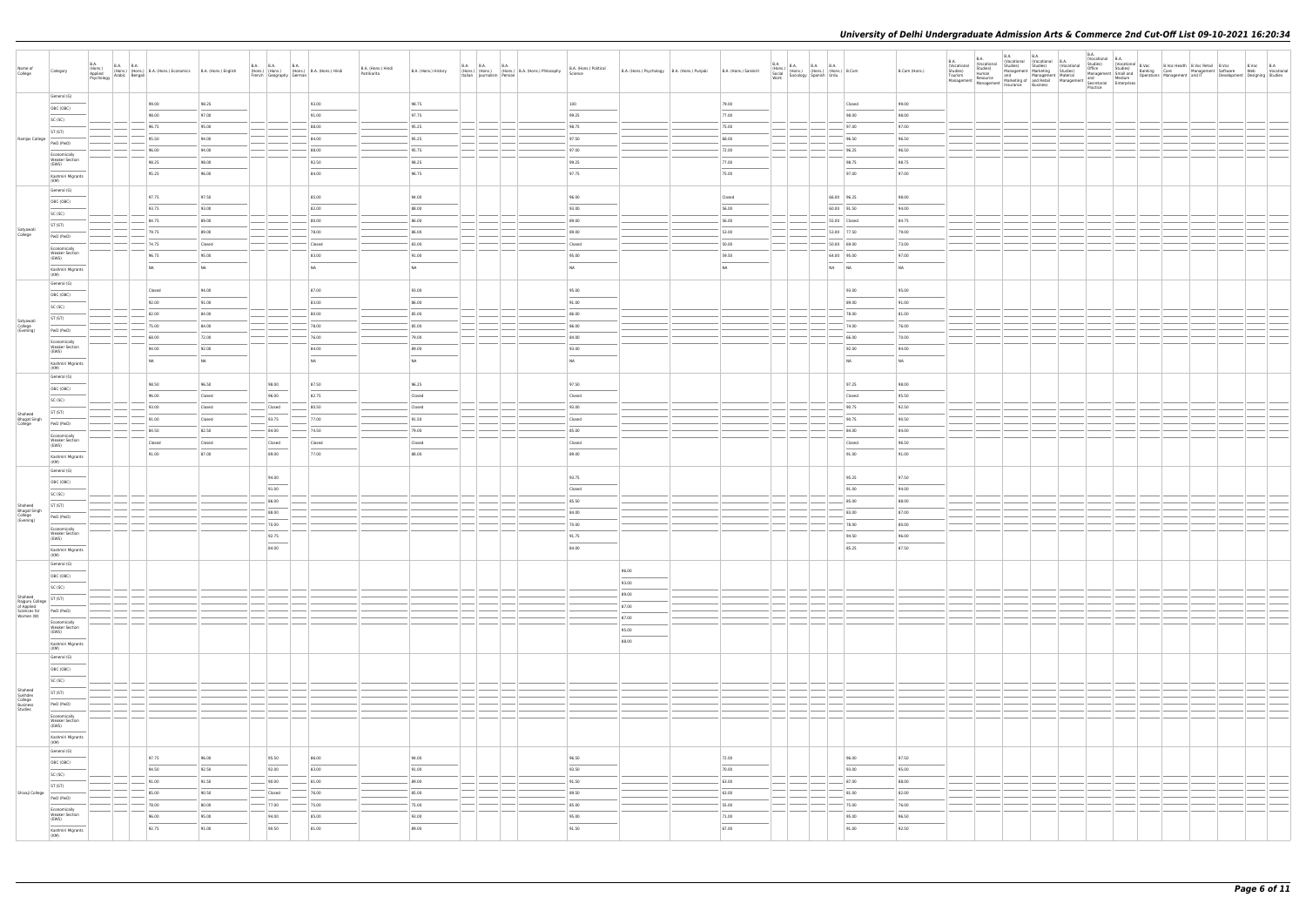| Name of<br>College                                   | <b>B.A.</b><br>Category                                                                                                                                                                                                                                                                                                                                                                                                                                                                                 | B.A. (Hons.) B.A. B.A. (Hons.) B.A. (Hons.) Economics B.A. (Hons.) English Psychology Arabic Bengali |                | B.A. B.A. B.A. B.A. (Hons.)<br>(Hons.) (Hons.) (Hons.) B.A. (Hons.) Hindi<br>French Geography German |                                   | B.A. (Hons.) Hindi<br>Patrikarita | B.A. (Hons.) History              | B.A. (Hons.) (Hons.) B.A. (Hons.) B.A. (Hons.) Philosophy<br>Italian Journalism Persian Persian | B.A. (Hons.) Political<br>Science | B.A. (Hons.) Psychology B.A. (Hons.) Punjabi                                                                                                                                                                                                                                                                                                                                                                                                                                        | B.A. (Hons.) Sanskrit | B.A.<br>B.A. (Hons.) B.A. B.A. B.A. (Hons.) B.Com<br>Social (Hons.) (Hons.) (Hons.) B.Com<br>Work Sociology Spanish Urdu |                | B.Com (Hons.)  | <b>B.A.</b><br><b>B.A.</b><br>(Vocational<br>(Vocational<br>Studies)<br>Tourism<br>Studies)<br>Human<br>Tourism Thesource and Management Material<br>Management Management Management Management Management Management Management Management Management Secretarial<br>Enterprises | B.A. | <b>B.A.</b><br>(Vocational Vocational B.A.<br>Studies) Studies (Vocat | B.A.<br>(Vocational B.A.<br>Practice | Nocational Books<br>Considers Studies) (Vocational Studies) (Vocational B.Voc Bell, B.Voc Retail B.Voc Books<br>Management Marketing Studies) Management Small planking Care Management Software Web Vocational<br>and Management Mater |  |  |
|------------------------------------------------------|---------------------------------------------------------------------------------------------------------------------------------------------------------------------------------------------------------------------------------------------------------------------------------------------------------------------------------------------------------------------------------------------------------------------------------------------------------------------------------------------------------|------------------------------------------------------------------------------------------------------|----------------|------------------------------------------------------------------------------------------------------|-----------------------------------|-----------------------------------|-----------------------------------|-------------------------------------------------------------------------------------------------|-----------------------------------|-------------------------------------------------------------------------------------------------------------------------------------------------------------------------------------------------------------------------------------------------------------------------------------------------------------------------------------------------------------------------------------------------------------------------------------------------------------------------------------|-----------------------|--------------------------------------------------------------------------------------------------------------------------|----------------|----------------|------------------------------------------------------------------------------------------------------------------------------------------------------------------------------------------------------------------------------------------------------------------------------------|------|-----------------------------------------------------------------------|--------------------------------------|-----------------------------------------------------------------------------------------------------------------------------------------------------------------------------------------------------------------------------------------|--|--|
|                                                      | General (G)                                                                                                                                                                                                                                                                                                                                                                                                                                                                                             | 99.00                                                                                                | 98.25          |                                                                                                      | 93.00                             |                                   | 98.75                             |                                                                                                 | 100                               |                                                                                                                                                                                                                                                                                                                                                                                                                                                                                     | 79.00                 |                                                                                                                          | Closed         | 99.00          |                                                                                                                                                                                                                                                                                    |      |                                                                       |                                      |                                                                                                                                                                                                                                         |  |  |
|                                                      | OBC (OBC)<br>SC (SC)                                                                                                                                                                                                                                                                                                                                                                                                                                                                                    | 98.00                                                                                                | 97.00          |                                                                                                      | 91.00                             |                                   | 97.75                             |                                                                                                 | 99.25                             |                                                                                                                                                                                                                                                                                                                                                                                                                                                                                     | 77.00                 |                                                                                                                          | 98.00          | 98.00          |                                                                                                                                                                                                                                                                                    |      |                                                                       |                                      |                                                                                                                                                                                                                                         |  |  |
|                                                      | ST (ST)                                                                                                                                                                                                                                                                                                                                                                                                                                                                                                 | 96.75                                                                                                | 95.00          |                                                                                                      | 88.00                             |                                   | 95.25                             |                                                                                                 | 98.75                             |                                                                                                                                                                                                                                                                                                                                                                                                                                                                                     | 75.00                 |                                                                                                                          | 97.00          | 97.00          |                                                                                                                                                                                                                                                                                    |      |                                                                       |                                      |                                                                                                                                                                                                                                         |  |  |
| Ramjas College                                       | PwD (PwD)                                                                                                                                                                                                                                                                                                                                                                                                                                                                                               | 95.50                                                                                                | 94.00          |                                                                                                      | 84.00                             |                                   | 95.25                             |                                                                                                 | 97.50                             |                                                                                                                                                                                                                                                                                                                                                                                                                                                                                     | 68.00                 |                                                                                                                          | 96.50          | 96.50          |                                                                                                                                                                                                                                                                                    |      |                                                                       |                                      |                                                                                                                                                                                                                                         |  |  |
|                                                      | Economically                                                                                                                                                                                                                                                                                                                                                                                                                                                                                            | 96.00                                                                                                | 94.00          |                                                                                                      | 88.00                             |                                   | 95.75                             |                                                                                                 | 97.00                             |                                                                                                                                                                                                                                                                                                                                                                                                                                                                                     | 72.00                 |                                                                                                                          | 96.25          | 96.50          |                                                                                                                                                                                                                                                                                    |      |                                                                       |                                      |                                                                                                                                                                                                                                         |  |  |
|                                                      | <b>Weaker Section</b><br>(EWS)                                                                                                                                                                                                                                                                                                                                                                                                                                                                          | 98.25                                                                                                | 98.00          |                                                                                                      | 92.50                             |                                   | 98.25                             |                                                                                                 | 99.25                             |                                                                                                                                                                                                                                                                                                                                                                                                                                                                                     | 77.00                 |                                                                                                                          | 98.75          | 98.75          |                                                                                                                                                                                                                                                                                    |      |                                                                       |                                      |                                                                                                                                                                                                                                         |  |  |
|                                                      | Kashmiri Migrants<br>(KM)                                                                                                                                                                                                                                                                                                                                                                                                                                                                               | 95.25                                                                                                | 96.00          |                                                                                                      | 84.00                             |                                   | 96.75                             |                                                                                                 | 97.75                             |                                                                                                                                                                                                                                                                                                                                                                                                                                                                                     | 75.00                 |                                                                                                                          | 97.00          | 97.00          |                                                                                                                                                                                                                                                                                    |      |                                                                       |                                      |                                                                                                                                                                                                                                         |  |  |
|                                                      | General (G)                                                                                                                                                                                                                                                                                                                                                                                                                                                                                             | 97.75                                                                                                | 97.50          |                                                                                                      | 85.00                             |                                   | 94.00                             |                                                                                                 | 96.00                             |                                                                                                                                                                                                                                                                                                                                                                                                                                                                                     | Closed                |                                                                                                                          | 66.00 96.25    | 98.00          |                                                                                                                                                                                                                                                                                    |      |                                                                       |                                      |                                                                                                                                                                                                                                         |  |  |
|                                                      | OBC (OBC)                                                                                                                                                                                                                                                                                                                                                                                                                                                                                               | 93.75                                                                                                | 93.00          |                                                                                                      | 82.00                             |                                   | 88.00                             |                                                                                                 | 93.00                             |                                                                                                                                                                                                                                                                                                                                                                                                                                                                                     | 56.00                 |                                                                                                                          | 60.00 91.50    | 94.00          |                                                                                                                                                                                                                                                                                    |      |                                                                       |                                      |                                                                                                                                                                                                                                         |  |  |
|                                                      | SC (SC)<br>ST (ST)                                                                                                                                                                                                                                                                                                                                                                                                                                                                                      | 84.75                                                                                                | 89.00          |                                                                                                      | 80.00                             |                                   | 86.00                             |                                                                                                 | 89.00                             |                                                                                                                                                                                                                                                                                                                                                                                                                                                                                     | 56.00                 |                                                                                                                          | 55.00 Closed   | 84.75          |                                                                                                                                                                                                                                                                                    |      |                                                                       |                                      |                                                                                                                                                                                                                                         |  |  |
| Satyawati<br>College                                 | PwD (PwD)                                                                                                                                                                                                                                                                                                                                                                                                                                                                                               | 79.75                                                                                                | 89.00          |                                                                                                      | 78.00                             |                                   | 86.00                             |                                                                                                 | 89.00                             |                                                                                                                                                                                                                                                                                                                                                                                                                                                                                     | 53.00                 |                                                                                                                          | 53.00 77.50    | 79.00          |                                                                                                                                                                                                                                                                                    |      |                                                                       |                                      |                                                                                                                                                                                                                                         |  |  |
|                                                      | Economically                                                                                                                                                                                                                                                                                                                                                                                                                                                                                            | 74.75                                                                                                | Closed         |                                                                                                      | Closed                            |                                   | 83.00                             |                                                                                                 | Closed                            |                                                                                                                                                                                                                                                                                                                                                                                                                                                                                     | 50.00                 |                                                                                                                          | 50.00 69.00    | 73.00          |                                                                                                                                                                                                                                                                                    |      |                                                                       |                                      |                                                                                                                                                                                                                                         |  |  |
|                                                      | <b>Weaker Section</b><br>(EWS)                                                                                                                                                                                                                                                                                                                                                                                                                                                                          | 96.75                                                                                                | 95.00          |                                                                                                      | 83.00                             |                                   | 91.00                             |                                                                                                 | 95.00                             |                                                                                                                                                                                                                                                                                                                                                                                                                                                                                     | 59.50                 |                                                                                                                          | 64.00 95.00    | 97.00          |                                                                                                                                                                                                                                                                                    |      |                                                                       |                                      |                                                                                                                                                                                                                                         |  |  |
|                                                      | Kashmiri Migrants<br>(KM)                                                                                                                                                                                                                                                                                                                                                                                                                                                                               | NA                                                                                                   | <b>NA</b>      |                                                                                                      | NA                                |                                   | <b>NA</b>                         |                                                                                                 | NA                                |                                                                                                                                                                                                                                                                                                                                                                                                                                                                                     | NA                    |                                                                                                                          | NA NA          | NA             |                                                                                                                                                                                                                                                                                    |      |                                                                       |                                      |                                                                                                                                                                                                                                         |  |  |
|                                                      | General (G)                                                                                                                                                                                                                                                                                                                                                                                                                                                                                             | Closed                                                                                               | 94.00          |                                                                                                      | 87.00                             |                                   | 93.00                             |                                                                                                 | 95.00                             |                                                                                                                                                                                                                                                                                                                                                                                                                                                                                     |                       |                                                                                                                          | 93.00          | 95.00          |                                                                                                                                                                                                                                                                                    |      |                                                                       |                                      |                                                                                                                                                                                                                                         |  |  |
|                                                      | OBC (OBC)                                                                                                                                                                                                                                                                                                                                                                                                                                                                                               | 92.00                                                                                                | 91.00          |                                                                                                      | 83.00                             |                                   | 86.00                             |                                                                                                 | 91.00                             |                                                                                                                                                                                                                                                                                                                                                                                                                                                                                     |                       |                                                                                                                          | 89.00          | 91.00          |                                                                                                                                                                                                                                                                                    |      |                                                                       |                                      |                                                                                                                                                                                                                                         |  |  |
|                                                      | SC (SC)                                                                                                                                                                                                                                                                                                                                                                                                                                                                                                 | $- 82.00$                                                                                            | 84.00          |                                                                                                      | 80.00                             |                                   | 85.00                             |                                                                                                 | 86.00                             |                                                                                                                                                                                                                                                                                                                                                                                                                                                                                     |                       |                                                                                                                          | 78.00          | 81.00          |                                                                                                                                                                                                                                                                                    |      |                                                                       |                                      |                                                                                                                                                                                                                                         |  |  |
| Satyawati<br>College<br>(Evening)                    | ST (ST)<br>PwD (PwD)                                                                                                                                                                                                                                                                                                                                                                                                                                                                                    | 75.00                                                                                                | 84.00          |                                                                                                      | 78.00                             |                                   | 85.00                             |                                                                                                 | 86.00                             |                                                                                                                                                                                                                                                                                                                                                                                                                                                                                     |                       |                                                                                                                          | 74.00          | 76.00          |                                                                                                                                                                                                                                                                                    |      |                                                                       |                                      |                                                                                                                                                                                                                                         |  |  |
|                                                      | Economically                                                                                                                                                                                                                                                                                                                                                                                                                                                                                            | 68.00                                                                                                | 72.00          |                                                                                                      | 76.00                             |                                   | 79.00                             |                                                                                                 | 84.00                             |                                                                                                                                                                                                                                                                                                                                                                                                                                                                                     |                       |                                                                                                                          | 66.00          | 70.00          |                                                                                                                                                                                                                                                                                    |      |                                                                       |                                      |                                                                                                                                                                                                                                         |  |  |
|                                                      | <b>Weaker Section</b><br>(EWS)                                                                                                                                                                                                                                                                                                                                                                                                                                                                          | 94.00                                                                                                | 92.00          |                                                                                                      | 84.00                             |                                   | 89.00                             |                                                                                                 | 93.00                             |                                                                                                                                                                                                                                                                                                                                                                                                                                                                                     |                       |                                                                                                                          | 92.00          | 94.00          |                                                                                                                                                                                                                                                                                    |      |                                                                       |                                      |                                                                                                                                                                                                                                         |  |  |
|                                                      | Kashmiri Migrants<br>(KM)                                                                                                                                                                                                                                                                                                                                                                                                                                                                               | NA                                                                                                   | <b>NA</b>      |                                                                                                      | NA                                |                                   | NA                                |                                                                                                 | NA                                |                                                                                                                                                                                                                                                                                                                                                                                                                                                                                     |                       |                                                                                                                          | <b>NA</b>      | NA             |                                                                                                                                                                                                                                                                                    |      |                                                                       |                                      |                                                                                                                                                                                                                                         |  |  |
|                                                      | General (G)                                                                                                                                                                                                                                                                                                                                                                                                                                                                                             | 98.50                                                                                                | 96.50          | 98.00                                                                                                | 87.50                             |                                   | 96.25                             |                                                                                                 | 97.50                             |                                                                                                                                                                                                                                                                                                                                                                                                                                                                                     |                       |                                                                                                                          | 97.25          | 98.00          |                                                                                                                                                                                                                                                                                    |      |                                                                       |                                      |                                                                                                                                                                                                                                         |  |  |
|                                                      | OBC (OBC)                                                                                                                                                                                                                                                                                                                                                                                                                                                                                               | 96.00                                                                                                | Closed         | 96.00                                                                                                | 82.75                             |                                   | Closed                            |                                                                                                 | Closed                            |                                                                                                                                                                                                                                                                                                                                                                                                                                                                                     |                       |                                                                                                                          | Closed         | 95.50          |                                                                                                                                                                                                                                                                                    |      |                                                                       |                                      |                                                                                                                                                                                                                                         |  |  |
|                                                      | SC (SC)                                                                                                                                                                                                                                                                                                                                                                                                                                                                                                 | 93.00                                                                                                | Closed         | Closed                                                                                               | 80.50                             |                                   | Closed                            |                                                                                                 | 93.00                             |                                                                                                                                                                                                                                                                                                                                                                                                                                                                                     |                       |                                                                                                                          | 90.75          | 92.50          |                                                                                                                                                                                                                                                                                    |      |                                                                       |                                      |                                                                                                                                                                                                                                         |  |  |
| Shaheed<br>Bhagat Singh                              | ST (ST)<br>PwD (PwD)                                                                                                                                                                                                                                                                                                                                                                                                                                                                                    | 91.00                                                                                                | Closed         | 93.75                                                                                                | 77.00                             |                                   | 91.50                             |                                                                                                 | Closed                            |                                                                                                                                                                                                                                                                                                                                                                                                                                                                                     |                       |                                                                                                                          | 90.75          | 90.50          |                                                                                                                                                                                                                                                                                    |      |                                                                       |                                      |                                                                                                                                                                                                                                         |  |  |
|                                                      | Economically                                                                                                                                                                                                                                                                                                                                                                                                                                                                                            | 84.50                                                                                                | 82.50          | 84.00                                                                                                | 74.50                             |                                   | 79.00                             |                                                                                                 | 85.00                             |                                                                                                                                                                                                                                                                                                                                                                                                                                                                                     |                       |                                                                                                                          | 84.00          | 84.00          |                                                                                                                                                                                                                                                                                    |      |                                                                       |                                      |                                                                                                                                                                                                                                         |  |  |
|                                                      | Weaker Section<br>(EWS)                                                                                                                                                                                                                                                                                                                                                                                                                                                                                 | Closed                                                                                               | Closed         | Closed                                                                                               | Closed                            |                                   | Closed                            |                                                                                                 | Closed                            |                                                                                                                                                                                                                                                                                                                                                                                                                                                                                     |                       |                                                                                                                          | Closed         | 96.50          |                                                                                                                                                                                                                                                                                    |      |                                                                       |                                      |                                                                                                                                                                                                                                         |  |  |
|                                                      | Kashmiri Migrants<br>(KM)                                                                                                                                                                                                                                                                                                                                                                                                                                                                               | 91.00                                                                                                | 87.00          | 89.00                                                                                                | 77.00                             |                                   | 88.00                             |                                                                                                 | 89.00                             |                                                                                                                                                                                                                                                                                                                                                                                                                                                                                     |                       |                                                                                                                          | 91.00          | 91.00          |                                                                                                                                                                                                                                                                                    |      |                                                                       |                                      |                                                                                                                                                                                                                                         |  |  |
|                                                      | General (G)                                                                                                                                                                                                                                                                                                                                                                                                                                                                                             |                                                                                                      |                |                                                                                                      |                                   |                                   |                                   |                                                                                                 |                                   |                                                                                                                                                                                                                                                                                                                                                                                                                                                                                     |                       |                                                                                                                          |                |                |                                                                                                                                                                                                                                                                                    |      |                                                                       |                                      |                                                                                                                                                                                                                                         |  |  |
|                                                      | OBC (OBC)                                                                                                                                                                                                                                                                                                                                                                                                                                                                                               |                                                                                                      |                | 94.00<br>91.00                                                                                       |                                   |                                   |                                   |                                                                                                 | 93.75<br>Closed                   |                                                                                                                                                                                                                                                                                                                                                                                                                                                                                     |                       |                                                                                                                          | 95.25<br>91.00 | 97.50<br>94.00 |                                                                                                                                                                                                                                                                                    |      |                                                                       |                                      |                                                                                                                                                                                                                                         |  |  |
|                                                      | SC (SC)                                                                                                                                                                                                                                                                                                                                                                                                                                                                                                 |                                                                                                      |                | 86.00                                                                                                |                                   |                                   |                                   |                                                                                                 | 85.50                             |                                                                                                                                                                                                                                                                                                                                                                                                                                                                                     |                       |                                                                                                                          | 85.00          | 88.00          |                                                                                                                                                                                                                                                                                    |      |                                                                       |                                      |                                                                                                                                                                                                                                         |  |  |
| Shaheed<br><b>Bhagat Singh</b>                       | ST (ST)                                                                                                                                                                                                                                                                                                                                                                                                                                                                                                 |                                                                                                      |                | 88.00                                                                                                |                                   |                                   |                                   |                                                                                                 | 84.00                             |                                                                                                                                                                                                                                                                                                                                                                                                                                                                                     |                       |                                                                                                                          | 83.00          | 87.00          |                                                                                                                                                                                                                                                                                    |      |                                                                       |                                      |                                                                                                                                                                                                                                         |  |  |
| College<br>(Evening)                                 | PwD (PwD)<br>Economically                                                                                                                                                                                                                                                                                                                                                                                                                                                                               |                                                                                                      |                | 70.00                                                                                                |                                   |                                   |                                   |                                                                                                 | 70.00                             |                                                                                                                                                                                                                                                                                                                                                                                                                                                                                     |                       |                                                                                                                          | 78.00          | 80.00          |                                                                                                                                                                                                                                                                                    |      |                                                                       |                                      |                                                                                                                                                                                                                                         |  |  |
|                                                      | <b>Weaker Section</b><br>(EWS)                                                                                                                                                                                                                                                                                                                                                                                                                                                                          |                                                                                                      |                | 92.75                                                                                                |                                   |                                   |                                   |                                                                                                 | 91.75                             |                                                                                                                                                                                                                                                                                                                                                                                                                                                                                     |                       |                                                                                                                          | 94.50          | 96.00          |                                                                                                                                                                                                                                                                                    |      |                                                                       |                                      |                                                                                                                                                                                                                                         |  |  |
|                                                      | $\frac{1}{2} \left( \frac{1}{2} \right) \left( \frac{1}{2} \right) \left( \frac{1}{2} \right) \left( \frac{1}{2} \right) \left( \frac{1}{2} \right) \left( \frac{1}{2} \right) \left( \frac{1}{2} \right) \left( \frac{1}{2} \right) \left( \frac{1}{2} \right) \left( \frac{1}{2} \right) \left( \frac{1}{2} \right) \left( \frac{1}{2} \right) \left( \frac{1}{2} \right) \left( \frac{1}{2} \right) \left( \frac{1}{2} \right) \left( \frac{1}{2} \right) \left( \frac$<br>Kashmiri Migrants<br>(KM) |                                                                                                      |                | 84.00                                                                                                |                                   |                                   |                                   |                                                                                                 | 84.00                             |                                                                                                                                                                                                                                                                                                                                                                                                                                                                                     |                       |                                                                                                                          | 85.25          | 87.50          |                                                                                                                                                                                                                                                                                    |      |                                                                       |                                      |                                                                                                                                                                                                                                         |  |  |
|                                                      | General (G)                                                                                                                                                                                                                                                                                                                                                                                                                                                                                             |                                                                                                      |                |                                                                                                      |                                   |                                   |                                   |                                                                                                 |                                   | 96.00                                                                                                                                                                                                                                                                                                                                                                                                                                                                               |                       |                                                                                                                          |                |                |                                                                                                                                                                                                                                                                                    |      |                                                                       |                                      |                                                                                                                                                                                                                                         |  |  |
|                                                      | OBC (OBC)                                                                                                                                                                                                                                                                                                                                                                                                                                                                                               |                                                                                                      |                |                                                                                                      |                                   |                                   |                                   |                                                                                                 |                                   | $\frac{1}{2} \left( \frac{1}{2} \right) \left( \frac{1}{2} \right) \left( \frac{1}{2} \right) \left( \frac{1}{2} \right) \left( \frac{1}{2} \right) \left( \frac{1}{2} \right) \left( \frac{1}{2} \right) \left( \frac{1}{2} \right) \left( \frac{1}{2} \right) \left( \frac{1}{2} \right) \left( \frac{1}{2} \right) \left( \frac{1}{2} \right) \left( \frac{1}{2} \right) \left( \frac{1}{2} \right) \left( \frac{1}{2} \right) \left( \frac{1}{2} \right) \left( \frac$<br>93.00 |                       |                                                                                                                          |                |                |                                                                                                                                                                                                                                                                                    |      |                                                                       |                                      |                                                                                                                                                                                                                                         |  |  |
| Shaheed                                              | SC (SC)                                                                                                                                                                                                                                                                                                                                                                                                                                                                                                 |                                                                                                      |                |                                                                                                      |                                   |                                   |                                   |                                                                                                 |                                   | 89.00                                                                                                                                                                                                                                                                                                                                                                                                                                                                               |                       |                                                                                                                          |                |                |                                                                                                                                                                                                                                                                                    |      |                                                                       |                                      |                                                                                                                                                                                                                                         |  |  |
| Rajguru College<br>of Applied<br>Sciences for        | ST (ST)<br>PwD (PwD)                                                                                                                                                                                                                                                                                                                                                                                                                                                                                    |                                                                                                      |                |                                                                                                      |                                   |                                   |                                   |                                                                                                 |                                   | 87.00                                                                                                                                                                                                                                                                                                                                                                                                                                                                               |                       |                                                                                                                          |                |                |                                                                                                                                                                                                                                                                                    |      |                                                                       |                                      |                                                                                                                                                                                                                                         |  |  |
| Women (W)                                            | Economically                                                                                                                                                                                                                                                                                                                                                                                                                                                                                            |                                                                                                      |                |                                                                                                      |                                   |                                   |                                   |                                                                                                 |                                   | 87.00                                                                                                                                                                                                                                                                                                                                                                                                                                                                               |                       |                                                                                                                          |                |                |                                                                                                                                                                                                                                                                                    |      |                                                                       |                                      |                                                                                                                                                                                                                                         |  |  |
|                                                      | Weaker Section<br>(EWS)                                                                                                                                                                                                                                                                                                                                                                                                                                                                                 |                                                                                                      |                |                                                                                                      |                                   |                                   |                                   |                                                                                                 |                                   | 95.00<br>$\overline{\phantom{a}}$                                                                                                                                                                                                                                                                                                                                                                                                                                                   |                       |                                                                                                                          |                |                |                                                                                                                                                                                                                                                                                    |      |                                                                       |                                      |                                                                                                                                                                                                                                         |  |  |
|                                                      | Kashmiri Migrants<br>(KM)                                                                                                                                                                                                                                                                                                                                                                                                                                                                               |                                                                                                      |                |                                                                                                      |                                   |                                   |                                   |                                                                                                 |                                   | 88.00                                                                                                                                                                                                                                                                                                                                                                                                                                                                               |                       |                                                                                                                          |                |                |                                                                                                                                                                                                                                                                                    |      |                                                                       |                                      |                                                                                                                                                                                                                                         |  |  |
|                                                      | General (G)                                                                                                                                                                                                                                                                                                                                                                                                                                                                                             |                                                                                                      |                |                                                                                                      |                                   |                                   |                                   |                                                                                                 |                                   |                                                                                                                                                                                                                                                                                                                                                                                                                                                                                     |                       |                                                                                                                          |                |                |                                                                                                                                                                                                                                                                                    |      |                                                                       |                                      |                                                                                                                                                                                                                                         |  |  |
|                                                      | OBC (OBC)                                                                                                                                                                                                                                                                                                                                                                                                                                                                                               |                                                                                                      |                |                                                                                                      |                                   |                                   |                                   |                                                                                                 |                                   |                                                                                                                                                                                                                                                                                                                                                                                                                                                                                     |                       |                                                                                                                          |                |                |                                                                                                                                                                                                                                                                                    |      |                                                                       |                                      |                                                                                                                                                                                                                                         |  |  |
|                                                      | SC (SC)                                                                                                                                                                                                                                                                                                                                                                                                                                                                                                 |                                                                                                      |                |                                                                                                      |                                   |                                   |                                   |                                                                                                 |                                   |                                                                                                                                                                                                                                                                                                                                                                                                                                                                                     |                       |                                                                                                                          |                |                |                                                                                                                                                                                                                                                                                    |      |                                                                       |                                      |                                                                                                                                                                                                                                         |  |  |
| Shaheed<br>Sukhdev<br>College<br>Business<br>Studies | ST (ST)<br>PwD (PwD)                                                                                                                                                                                                                                                                                                                                                                                                                                                                                    |                                                                                                      |                |                                                                                                      |                                   |                                   |                                   |                                                                                                 |                                   |                                                                                                                                                                                                                                                                                                                                                                                                                                                                                     |                       |                                                                                                                          |                |                |                                                                                                                                                                                                                                                                                    |      |                                                                       |                                      |                                                                                                                                                                                                                                         |  |  |
|                                                      | Economically                                                                                                                                                                                                                                                                                                                                                                                                                                                                                            |                                                                                                      |                |                                                                                                      |                                   |                                   |                                   |                                                                                                 |                                   |                                                                                                                                                                                                                                                                                                                                                                                                                                                                                     |                       |                                                                                                                          |                |                |                                                                                                                                                                                                                                                                                    |      |                                                                       |                                      |                                                                                                                                                                                                                                         |  |  |
|                                                      | Weaker Section<br>(EWS)                                                                                                                                                                                                                                                                                                                                                                                                                                                                                 |                                                                                                      |                |                                                                                                      |                                   |                                   |                                   |                                                                                                 |                                   |                                                                                                                                                                                                                                                                                                                                                                                                                                                                                     |                       |                                                                                                                          |                |                |                                                                                                                                                                                                                                                                                    |      |                                                                       |                                      |                                                                                                                                                                                                                                         |  |  |
|                                                      | Kashmiri Migrants<br>(KM)                                                                                                                                                                                                                                                                                                                                                                                                                                                                               |                                                                                                      |                |                                                                                                      |                                   |                                   |                                   |                                                                                                 |                                   |                                                                                                                                                                                                                                                                                                                                                                                                                                                                                     |                       |                                                                                                                          |                |                |                                                                                                                                                                                                                                                                                    |      |                                                                       |                                      |                                                                                                                                                                                                                                         |  |  |
|                                                      | General (G)                                                                                                                                                                                                                                                                                                                                                                                                                                                                                             |                                                                                                      |                |                                                                                                      |                                   |                                   |                                   |                                                                                                 |                                   |                                                                                                                                                                                                                                                                                                                                                                                                                                                                                     |                       |                                                                                                                          |                |                |                                                                                                                                                                                                                                                                                    |      |                                                                       |                                      |                                                                                                                                                                                                                                         |  |  |
|                                                      | OBC (OBC)                                                                                                                                                                                                                                                                                                                                                                                                                                                                                               | 97.75<br>94.50                                                                                       | 96.00<br>92.50 | 95.50<br>92.00                                                                                       | 86.00<br>83.00                    |                                   | 94.00<br>91.00                    |                                                                                                 | 96.50<br>93.50                    |                                                                                                                                                                                                                                                                                                                                                                                                                                                                                     | 72.00<br>70.00        |                                                                                                                          | 96.00<br>93.00 | 97.50<br>95.00 |                                                                                                                                                                                                                                                                                    |      |                                                                       |                                      |                                                                                                                                                                                                                                         |  |  |
|                                                      | SC (SC)                                                                                                                                                                                                                                                                                                                                                                                                                                                                                                 | $-91.00$                                                                                             | 91.50          | $-$ 90.00                                                                                            | 81.00                             |                                   | 89.00                             |                                                                                                 | 91.50                             |                                                                                                                                                                                                                                                                                                                                                                                                                                                                                     | 63.00                 |                                                                                                                          | 87.00          | 88.00          |                                                                                                                                                                                                                                                                                    |      |                                                                       |                                      |                                                                                                                                                                                                                                         |  |  |
| Shivaji College                                      | ST (ST)                                                                                                                                                                                                                                                                                                                                                                                                                                                                                                 | 85.00                                                                                                | 90.50          | Closed                                                                                               | 76.00                             |                                   | 85.00                             |                                                                                                 | 89.50                             |                                                                                                                                                                                                                                                                                                                                                                                                                                                                                     | 63.00                 |                                                                                                                          | 81.00          | 82.00          |                                                                                                                                                                                                                                                                                    |      |                                                                       |                                      |                                                                                                                                                                                                                                         |  |  |
|                                                      | PwD (PwD)<br>Economically                                                                                                                                                                                                                                                                                                                                                                                                                                                                               | 78.00                                                                                                | 80.00          | $-$ 77.00                                                                                            | $-75.00$                          |                                   | 75.00                             |                                                                                                 | 85.00                             |                                                                                                                                                                                                                                                                                                                                                                                                                                                                                     | 55.00                 |                                                                                                                          | 75.00          | 76.00          |                                                                                                                                                                                                                                                                                    |      |                                                                       |                                      |                                                                                                                                                                                                                                         |  |  |
|                                                      | Weaker Section<br>(EWS)                                                                                                                                                                                                                                                                                                                                                                                                                                                                                 | 96.00                                                                                                | 95.00          | 94.00<br>$\frac{1}{2}$                                                                               | 85.00<br>$\overline{\phantom{a}}$ |                                   | 93.00<br>$\overline{\phantom{a}}$ |                                                                                                 | 95.00<br>$\frac{1}{2}$            |                                                                                                                                                                                                                                                                                                                                                                                                                                                                                     | 71.00                 |                                                                                                                          | 95.00          | 96.50          |                                                                                                                                                                                                                                                                                    |      |                                                                       |                                      |                                                                                                                                                                                                                                         |  |  |
|                                                      | Kashmiri Migrants<br>(KM)                                                                                                                                                                                                                                                                                                                                                                                                                                                                               | 92.75                                                                                                | 91.00          | 90.50                                                                                                | 81.00                             |                                   | 89.00                             |                                                                                                 | 91.50                             |                                                                                                                                                                                                                                                                                                                                                                                                                                                                                     | 67.00                 |                                                                                                                          | 91.00          | 92.50          |                                                                                                                                                                                                                                                                                    |      |                                                                       |                                      |                                                                                                                                                                                                                                         |  |  |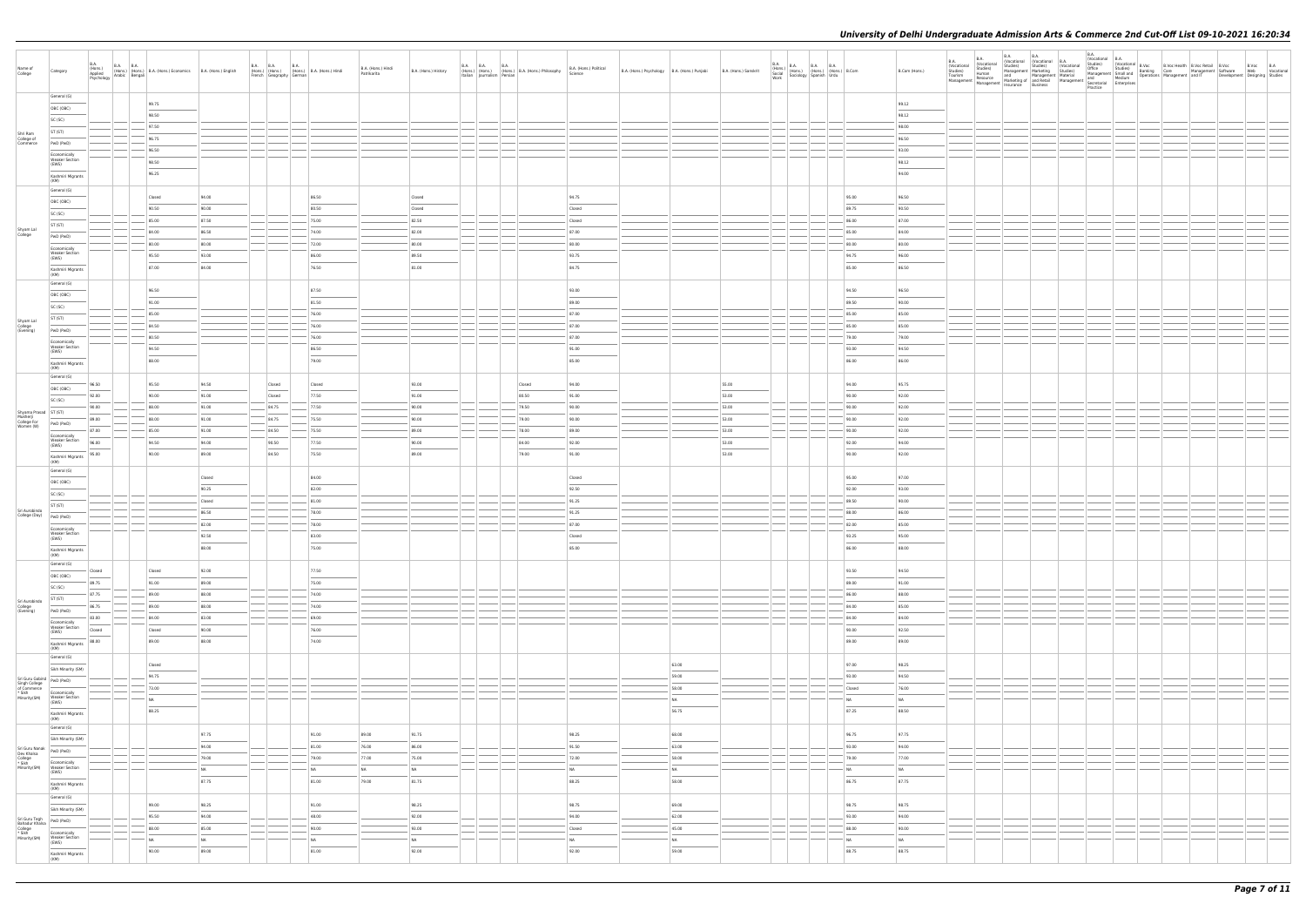| Name of<br>College                                                                        | Category                                                                                                                                                                                                                                                                                                                                                                                                                                                                                                | <b>B.A.</b> | B.A. (Hons.) B.A. B.A. (Hons.) B.A. (Hons.) Economics B.A. (Hons.) English Applied (Hons.) Bengali B.A. (Hons.) English Association |           | B.A. (Hons.) B.A. (Hons.) B.A. (Hons.) Hindi<br>French Geography German |                          | B.A. (Hons.) Hindi<br>Patrikarita | B.A. (Hons.) History     |        | B.A. B.A. B.A. B.A. (Hons.) B.A. (Hons.) Philosophy B.A. (Hons.) Political (Hons.) (Hons.) Philosophy B.A. (Hons.) Philosophy B.A. (Hons.) Political | B.A. (Hons.) Psychology B.A. (Hons.) Punjabi B.A. (Hons.) Sanskrit |                                   |       | $\begin{tabular}{ l c c c c } \hline B.A. & B.A. & B.A. & B.A. & B.A. & \\\hline (Hons.) & (Hons.) & (Hons.) & (Hons.) & B. Com & \\\hline Society & Spanish & Urdu & \\\hline Work & & \\\hline \end{tabular}$ | B.Com (Hons.) | $\begin{tabular}{l c c c c c c c c} \hline B.A. & B.A. & B.A. & B.A. & B.A. & Voxational & B.A.\\ \hline (Voxational) & Studes) & Studes & Suvides & Voxational & B.Voc & B.Voc Health & B.Voc Retail & B.Voc\\ \hline Tourite) & Studes & Studes & Voxational & B.Woc & Suvides & Suvides & Suvides & Suvides & Suvides\\ \hline Tourite) & Mamanagement & Masteling & Sucides & Mamanagement & Masteling & Manaagement & Masteling & Suvides & Manaagement & Masteling & Manaagement & Masteling & Suvides$ |  |  |  | Development Designing Studies | B.Voc B.A<br>Web Vocational |
|-------------------------------------------------------------------------------------------|---------------------------------------------------------------------------------------------------------------------------------------------------------------------------------------------------------------------------------------------------------------------------------------------------------------------------------------------------------------------------------------------------------------------------------------------------------------------------------------------------------|-------------|-------------------------------------------------------------------------------------------------------------------------------------|-----------|-------------------------------------------------------------------------|--------------------------|-----------------------------------|--------------------------|--------|------------------------------------------------------------------------------------------------------------------------------------------------------|--------------------------------------------------------------------|-----------------------------------|-------|-----------------------------------------------------------------------------------------------------------------------------------------------------------------------------------------------------------------|---------------|---------------------------------------------------------------------------------------------------------------------------------------------------------------------------------------------------------------------------------------------------------------------------------------------------------------------------------------------------------------------------------------------------------------------------------------------------------------------------------------------------------------|--|--|--|-------------------------------|-----------------------------|
|                                                                                           | General (G)<br>OBC (OBC)                                                                                                                                                                                                                                                                                                                                                                                                                                                                                |             | 99.75                                                                                                                               |           |                                                                         |                          |                                   |                          |        |                                                                                                                                                      |                                                                    |                                   |       |                                                                                                                                                                                                                 | 99.12         |                                                                                                                                                                                                                                                                                                                                                                                                                                                                                                               |  |  |  |                               |                             |
|                                                                                           | SC (SC)                                                                                                                                                                                                                                                                                                                                                                                                                                                                                                 |             | 98.50                                                                                                                               |           |                                                                         |                          |                                   |                          |        |                                                                                                                                                      |                                                                    |                                   |       |                                                                                                                                                                                                                 | 98.12         |                                                                                                                                                                                                                                                                                                                                                                                                                                                                                                               |  |  |  |                               |                             |
|                                                                                           | ST (ST)                                                                                                                                                                                                                                                                                                                                                                                                                                                                                                 |             | 97.50                                                                                                                               |           |                                                                         |                          |                                   |                          |        |                                                                                                                                                      |                                                                    |                                   |       |                                                                                                                                                                                                                 | 98.00         |                                                                                                                                                                                                                                                                                                                                                                                                                                                                                                               |  |  |  |                               |                             |
| Shri Ram<br>College of<br>Commerce                                                        |                                                                                                                                                                                                                                                                                                                                                                                                                                                                                                         |             | 96.75                                                                                                                               |           |                                                                         |                          |                                   |                          |        |                                                                                                                                                      |                                                                    |                                   |       |                                                                                                                                                                                                                 | 96.50         |                                                                                                                                                                                                                                                                                                                                                                                                                                                                                                               |  |  |  |                               |                             |
|                                                                                           | PwD (PwD)                                                                                                                                                                                                                                                                                                                                                                                                                                                                                               |             | 96.50                                                                                                                               |           |                                                                         |                          |                                   |                          |        |                                                                                                                                                      |                                                                    |                                   |       |                                                                                                                                                                                                                 | 93.00         |                                                                                                                                                                                                                                                                                                                                                                                                                                                                                                               |  |  |  |                               |                             |
|                                                                                           | Economically<br><b>Weaker Section</b>                                                                                                                                                                                                                                                                                                                                                                                                                                                                   |             | 98.50                                                                                                                               |           |                                                                         |                          |                                   |                          |        |                                                                                                                                                      |                                                                    |                                   |       |                                                                                                                                                                                                                 | 98.12         |                                                                                                                                                                                                                                                                                                                                                                                                                                                                                                               |  |  |  |                               |                             |
|                                                                                           | (EWS)<br>Kashmiri Migrants<br>(KM)                                                                                                                                                                                                                                                                                                                                                                                                                                                                      |             | 96.25                                                                                                                               |           |                                                                         |                          |                                   |                          |        |                                                                                                                                                      |                                                                    |                                   |       |                                                                                                                                                                                                                 | 94.00         |                                                                                                                                                                                                                                                                                                                                                                                                                                                                                                               |  |  |  |                               |                             |
|                                                                                           | General (G)                                                                                                                                                                                                                                                                                                                                                                                                                                                                                             |             | Closed                                                                                                                              | 94.00     |                                                                         | 86.50                    |                                   | Closed                   |        | 94.75                                                                                                                                                |                                                                    |                                   |       | 95.00                                                                                                                                                                                                           | 96.50         |                                                                                                                                                                                                                                                                                                                                                                                                                                                                                                               |  |  |  |                               |                             |
|                                                                                           | OBC (OBC)                                                                                                                                                                                                                                                                                                                                                                                                                                                                                               |             | 90.50                                                                                                                               | 90.00     |                                                                         | 80.50                    |                                   | Closed                   |        | Closed                                                                                                                                               |                                                                    |                                   |       | 89.75                                                                                                                                                                                                           | 90.50         |                                                                                                                                                                                                                                                                                                                                                                                                                                                                                                               |  |  |  |                               |                             |
|                                                                                           | SC (SC)                                                                                                                                                                                                                                                                                                                                                                                                                                                                                                 |             | 85.00                                                                                                                               | 87.50     |                                                                         | $-75.00$                 |                                   | 82.50                    |        | Closed                                                                                                                                               |                                                                    |                                   |       | 86.00                                                                                                                                                                                                           | 87.00         |                                                                                                                                                                                                                                                                                                                                                                                                                                                                                                               |  |  |  |                               |                             |
| Shyam Lal                                                                                 | ST (ST)                                                                                                                                                                                                                                                                                                                                                                                                                                                                                                 |             | 84.00                                                                                                                               | 86.50     |                                                                         | 74.00                    |                                   | 82.00                    |        | 87.00                                                                                                                                                |                                                                    |                                   |       | 85.00                                                                                                                                                                                                           | 84.00         |                                                                                                                                                                                                                                                                                                                                                                                                                                                                                                               |  |  |  |                               |                             |
| College                                                                                   | PwD (PwD)                                                                                                                                                                                                                                                                                                                                                                                                                                                                                               |             |                                                                                                                                     |           |                                                                         |                          |                                   |                          |        |                                                                                                                                                      |                                                                    |                                   |       |                                                                                                                                                                                                                 |               |                                                                                                                                                                                                                                                                                                                                                                                                                                                                                                               |  |  |  |                               |                             |
|                                                                                           | Economically                                                                                                                                                                                                                                                                                                                                                                                                                                                                                            |             | 80.00                                                                                                                               | 80.00     |                                                                         | $-72.00$                 |                                   | 80.00                    |        | 80.00                                                                                                                                                |                                                                    |                                   |       | 80.00                                                                                                                                                                                                           | 80.00         |                                                                                                                                                                                                                                                                                                                                                                                                                                                                                                               |  |  |  |                               |                             |
|                                                                                           | <b>Weaker Section</b><br>(EWS)                                                                                                                                                                                                                                                                                                                                                                                                                                                                          |             | 95.50                                                                                                                               | 93.00     |                                                                         | 86.00                    |                                   | 89.50                    |        | 93.75                                                                                                                                                |                                                                    |                                   |       | 94.75                                                                                                                                                                                                           | 96.00         |                                                                                                                                                                                                                                                                                                                                                                                                                                                                                                               |  |  |  |                               |                             |
|                                                                                           | Kashmiri Migrants<br>(KM)                                                                                                                                                                                                                                                                                                                                                                                                                                                                               |             | 87.00                                                                                                                               | 84.00     |                                                                         | 76.50                    |                                   | 81.00                    |        | 84.75                                                                                                                                                |                                                                    |                                   |       | 85.00                                                                                                                                                                                                           | 86.50         |                                                                                                                                                                                                                                                                                                                                                                                                                                                                                                               |  |  |  |                               |                             |
|                                                                                           | General (G)                                                                                                                                                                                                                                                                                                                                                                                                                                                                                             |             | 96.50                                                                                                                               |           |                                                                         | 87.50                    |                                   |                          |        | 93.00                                                                                                                                                |                                                                    |                                   |       | 94.50                                                                                                                                                                                                           | 96.50         |                                                                                                                                                                                                                                                                                                                                                                                                                                                                                                               |  |  |  |                               |                             |
|                                                                                           | OBC (OBC)                                                                                                                                                                                                                                                                                                                                                                                                                                                                                               |             |                                                                                                                                     |           |                                                                         |                          |                                   |                          |        |                                                                                                                                                      |                                                                    |                                   |       |                                                                                                                                                                                                                 |               |                                                                                                                                                                                                                                                                                                                                                                                                                                                                                                               |  |  |  |                               |                             |
|                                                                                           | SC (SC)                                                                                                                                                                                                                                                                                                                                                                                                                                                                                                 |             | 91.00                                                                                                                               |           |                                                                         | 81.50                    |                                   |                          |        | 89.00                                                                                                                                                |                                                                    |                                   |       | 89.50                                                                                                                                                                                                           | 90.00         |                                                                                                                                                                                                                                                                                                                                                                                                                                                                                                               |  |  |  |                               |                             |
|                                                                                           | ST (ST)                                                                                                                                                                                                                                                                                                                                                                                                                                                                                                 |             | 85.00                                                                                                                               |           |                                                                         | 76.00                    |                                   |                          |        | 87.00                                                                                                                                                |                                                                    |                                   |       | 85.00                                                                                                                                                                                                           | 85.00         |                                                                                                                                                                                                                                                                                                                                                                                                                                                                                                               |  |  |  |                               |                             |
| Shyam Lal<br>College<br>(Evening)                                                         | PwD (PwD)                                                                                                                                                                                                                                                                                                                                                                                                                                                                                               |             | 84.50                                                                                                                               |           |                                                                         | 76.00                    |                                   |                          |        | 87.00                                                                                                                                                |                                                                    |                                   |       | 85.00                                                                                                                                                                                                           | 85.00         |                                                                                                                                                                                                                                                                                                                                                                                                                                                                                                               |  |  |  |                               |                             |
|                                                                                           |                                                                                                                                                                                                                                                                                                                                                                                                                                                                                                         |             | 80.50                                                                                                                               |           |                                                                         | 76.00                    |                                   |                          |        | 87.00                                                                                                                                                |                                                                    |                                   |       | 79.00                                                                                                                                                                                                           | 79.00         |                                                                                                                                                                                                                                                                                                                                                                                                                                                                                                               |  |  |  |                               |                             |
|                                                                                           | Economically<br><b>Weaker Section</b>                                                                                                                                                                                                                                                                                                                                                                                                                                                                   |             | 94.50                                                                                                                               |           |                                                                         | 86.50                    |                                   |                          |        | 91.00                                                                                                                                                |                                                                    |                                   |       | 93.00                                                                                                                                                                                                           | 94.50         |                                                                                                                                                                                                                                                                                                                                                                                                                                                                                                               |  |  |  |                               |                             |
|                                                                                           | (EWS)<br>Kashmiri Migrants<br>(KM)                                                                                                                                                                                                                                                                                                                                                                                                                                                                      |             | 88.00                                                                                                                               |           |                                                                         | 79.00                    |                                   |                          |        | 85.00                                                                                                                                                |                                                                    |                                   |       | 86.00                                                                                                                                                                                                           | 86.00         |                                                                                                                                                                                                                                                                                                                                                                                                                                                                                                               |  |  |  |                               |                             |
|                                                                                           | General (G)                                                                                                                                                                                                                                                                                                                                                                                                                                                                                             | 96.50       | 95.50                                                                                                                               | 94.50     | Closed                                                                  | Closed                   |                                   | 93.00                    | Closed | 94.00                                                                                                                                                |                                                                    |                                   | 55.00 | 94.00                                                                                                                                                                                                           | 95.75         |                                                                                                                                                                                                                                                                                                                                                                                                                                                                                                               |  |  |  |                               |                             |
|                                                                                           | OBC (OBC)                                                                                                                                                                                                                                                                                                                                                                                                                                                                                               | 92.00       | 90.00                                                                                                                               | 91.00     | Closed                                                                  | 77.50                    |                                   | 91.00                    | 80.50  | 91.00                                                                                                                                                |                                                                    |                                   | 53.00 | 90.00                                                                                                                                                                                                           | 92.00         |                                                                                                                                                                                                                                                                                                                                                                                                                                                                                                               |  |  |  |                               |                             |
|                                                                                           | SC (SC)                                                                                                                                                                                                                                                                                                                                                                                                                                                                                                 | 90.00       | 88.00                                                                                                                               | 91.00     | $-$ 84.75                                                               | $- 77.50$                |                                   | 90.00                    | 79.50  | 90.00                                                                                                                                                |                                                                    |                                   | 53.00 | 90.00                                                                                                                                                                                                           | 92.00         |                                                                                                                                                                                                                                                                                                                                                                                                                                                                                                               |  |  |  |                               |                             |
| Shyama Prasad   ST (ST)                                                                   |                                                                                                                                                                                                                                                                                                                                                                                                                                                                                                         |             |                                                                                                                                     |           |                                                                         |                          |                                   |                          |        |                                                                                                                                                      |                                                                    |                                   |       |                                                                                                                                                                                                                 |               |                                                                                                                                                                                                                                                                                                                                                                                                                                                                                                               |  |  |  |                               |                             |
| Mukherji<br>College For<br>Women (W)                                                      | PwD (PwD)                                                                                                                                                                                                                                                                                                                                                                                                                                                                                               | 89.00       | 88.00                                                                                                                               | 91.00     | 84.75                                                                   | 75.50                    |                                   | 90.00                    | 79.00  | 90.00                                                                                                                                                |                                                                    |                                   | 53.00 | 90.00                                                                                                                                                                                                           | 92.00         |                                                                                                                                                                                                                                                                                                                                                                                                                                                                                                               |  |  |  |                               |                             |
|                                                                                           | Economically                                                                                                                                                                                                                                                                                                                                                                                                                                                                                            | 87.00       | 85.00                                                                                                                               | 91.00     | 84.50                                                                   | 75.50                    |                                   | 89.00                    | 78.00  | 89.00                                                                                                                                                |                                                                    |                                   | 53.00 | 90.00                                                                                                                                                                                                           | 92.00         |                                                                                                                                                                                                                                                                                                                                                                                                                                                                                                               |  |  |  |                               |                             |
|                                                                                           | Weaker Section<br>(EWS)                                                                                                                                                                                                                                                                                                                                                                                                                                                                                 | 96.00       | 94.50                                                                                                                               | 94.00     | 90.50                                                                   | 77.50                    |                                   | 90.00                    | 84.00  | 92.00                                                                                                                                                |                                                                    |                                   | 53.00 | 92.00                                                                                                                                                                                                           | 94.00         |                                                                                                                                                                                                                                                                                                                                                                                                                                                                                                               |  |  |  |                               |                             |
|                                                                                           | $\frac{1}{2} \left( \frac{1}{2} \right) \left( \frac{1}{2} \right) \left( \frac{1}{2} \right) \left( \frac{1}{2} \right) \left( \frac{1}{2} \right) \left( \frac{1}{2} \right) \left( \frac{1}{2} \right) \left( \frac{1}{2} \right) \left( \frac{1}{2} \right) \left( \frac{1}{2} \right) \left( \frac{1}{2} \right) \left( \frac{1}{2} \right) \left( \frac{1}{2} \right) \left( \frac{1}{2} \right) \left( \frac{1}{2} \right) \left( \frac{1}{2} \right) \left( \frac$<br>Kashmiri Migrants<br>(KM) | 95.00       | 90.00                                                                                                                               | 89.00     | 84.50                                                                   | 75.50                    |                                   | 89.00                    | 79.00  | 91.00                                                                                                                                                |                                                                    |                                   | 53.00 | 90.00                                                                                                                                                                                                           | 92.00         |                                                                                                                                                                                                                                                                                                                                                                                                                                                                                                               |  |  |  |                               |                             |
|                                                                                           | General (G)                                                                                                                                                                                                                                                                                                                                                                                                                                                                                             |             |                                                                                                                                     |           |                                                                         |                          |                                   |                          |        |                                                                                                                                                      |                                                                    |                                   |       |                                                                                                                                                                                                                 |               |                                                                                                                                                                                                                                                                                                                                                                                                                                                                                                               |  |  |  |                               |                             |
|                                                                                           | OBC (OBC)                                                                                                                                                                                                                                                                                                                                                                                                                                                                                               |             |                                                                                                                                     | Closed    |                                                                         | 84.00                    |                                   |                          |        | Closed                                                                                                                                               |                                                                    |                                   |       | 95.00                                                                                                                                                                                                           | 97.00         |                                                                                                                                                                                                                                                                                                                                                                                                                                                                                                               |  |  |  |                               |                             |
|                                                                                           | SC (SC)                                                                                                                                                                                                                                                                                                                                                                                                                                                                                                 |             |                                                                                                                                     | 90.25     |                                                                         | 82.00                    |                                   |                          |        | 92.50                                                                                                                                                |                                                                    |                                   |       | 92.00                                                                                                                                                                                                           | 93.00         |                                                                                                                                                                                                                                                                                                                                                                                                                                                                                                               |  |  |  |                               |                             |
|                                                                                           | ST (ST)                                                                                                                                                                                                                                                                                                                                                                                                                                                                                                 |             |                                                                                                                                     | Closed    |                                                                         | $-81.00$                 |                                   |                          |        | 91.25                                                                                                                                                |                                                                    |                                   |       | 89.50                                                                                                                                                                                                           | 90.00         |                                                                                                                                                                                                                                                                                                                                                                                                                                                                                                               |  |  |  |                               |                             |
| Sri Aurobindo<br>College (Day) $\left  \begin{array}{cc} PWD & (PWD) \end{array} \right $ |                                                                                                                                                                                                                                                                                                                                                                                                                                                                                                         |             |                                                                                                                                     | 86.50     |                                                                         | 78.00                    |                                   |                          |        | 91.25                                                                                                                                                |                                                                    |                                   |       | 88.00                                                                                                                                                                                                           | 86.00         |                                                                                                                                                                                                                                                                                                                                                                                                                                                                                                               |  |  |  |                               |                             |
|                                                                                           |                                                                                                                                                                                                                                                                                                                                                                                                                                                                                                         |             |                                                                                                                                     | 82.00     |                                                                         | 78.00                    |                                   |                          |        | 87.00                                                                                                                                                |                                                                    |                                   |       | 82.00                                                                                                                                                                                                           | 85.00         |                                                                                                                                                                                                                                                                                                                                                                                                                                                                                                               |  |  |  |                               |                             |
|                                                                                           | Economically<br><b>Weaker Section</b>                                                                                                                                                                                                                                                                                                                                                                                                                                                                   |             |                                                                                                                                     | 92.50     |                                                                         | 83.00                    |                                   |                          |        | Closed                                                                                                                                               |                                                                    |                                   |       | 93.25                                                                                                                                                                                                           | 95.00         |                                                                                                                                                                                                                                                                                                                                                                                                                                                                                                               |  |  |  |                               |                             |
|                                                                                           | (EWS)                                                                                                                                                                                                                                                                                                                                                                                                                                                                                                   |             |                                                                                                                                     | 88.00     |                                                                         | 75.00                    |                                   |                          |        | 85.00                                                                                                                                                |                                                                    |                                   |       | 86.00                                                                                                                                                                                                           | 88.00         |                                                                                                                                                                                                                                                                                                                                                                                                                                                                                                               |  |  |  |                               |                             |
|                                                                                           | Kashmiri Migrants<br>(KM)<br>General (G)                                                                                                                                                                                                                                                                                                                                                                                                                                                                |             |                                                                                                                                     |           |                                                                         |                          |                                   |                          |        |                                                                                                                                                      |                                                                    |                                   |       |                                                                                                                                                                                                                 |               |                                                                                                                                                                                                                                                                                                                                                                                                                                                                                                               |  |  |  |                               |                             |
|                                                                                           | OBC (OBC)                                                                                                                                                                                                                                                                                                                                                                                                                                                                                               | Closed      | Closed                                                                                                                              | 92.00     |                                                                         | 77.50                    |                                   |                          |        |                                                                                                                                                      |                                                                    |                                   |       | 93.50                                                                                                                                                                                                           | 94.50         |                                                                                                                                                                                                                                                                                                                                                                                                                                                                                                               |  |  |  |                               |                             |
|                                                                                           |                                                                                                                                                                                                                                                                                                                                                                                                                                                                                                         | 89.75       | 91.00                                                                                                                               | 89.00     |                                                                         | 75.00                    |                                   |                          |        |                                                                                                                                                      |                                                                    |                                   |       | 89.00                                                                                                                                                                                                           | 91.00         |                                                                                                                                                                                                                                                                                                                                                                                                                                                                                                               |  |  |  |                               |                             |
|                                                                                           | SC (SC)                                                                                                                                                                                                                                                                                                                                                                                                                                                                                                 | 87.75       | 89.00                                                                                                                               | 88.00     |                                                                         | 74.00                    |                                   |                          |        |                                                                                                                                                      |                                                                    |                                   |       | 86.00                                                                                                                                                                                                           | 88.00         |                                                                                                                                                                                                                                                                                                                                                                                                                                                                                                               |  |  |  |                               |                             |
| Sri Aurobindo                                                                             | ST (ST)                                                                                                                                                                                                                                                                                                                                                                                                                                                                                                 | 86.75       | 89.00                                                                                                                               | 88.00     |                                                                         | 74.00                    |                                   |                          |        |                                                                                                                                                      |                                                                    |                                   |       | 84.00                                                                                                                                                                                                           | 85.00         |                                                                                                                                                                                                                                                                                                                                                                                                                                                                                                               |  |  |  |                               |                             |
| College<br>(Evening)                                                                      | PwD (PwD)                                                                                                                                                                                                                                                                                                                                                                                                                                                                                               |             |                                                                                                                                     |           |                                                                         |                          |                                   |                          |        |                                                                                                                                                      |                                                                    |                                   |       |                                                                                                                                                                                                                 |               |                                                                                                                                                                                                                                                                                                                                                                                                                                                                                                               |  |  |  |                               |                             |
|                                                                                           | Economically                                                                                                                                                                                                                                                                                                                                                                                                                                                                                            | 83.00       | 84.00                                                                                                                               | 83.00     |                                                                         | 69.00                    |                                   |                          |        |                                                                                                                                                      |                                                                    |                                   |       | 84.00                                                                                                                                                                                                           | 84.00         |                                                                                                                                                                                                                                                                                                                                                                                                                                                                                                               |  |  |  |                               |                             |
|                                                                                           | <b>Weaker Section</b><br>(EWS)                                                                                                                                                                                                                                                                                                                                                                                                                                                                          | Closed      | Closed                                                                                                                              | 90.00     |                                                                         | 76.00<br>$\frac{1}{2}$   |                                   |                          |        |                                                                                                                                                      |                                                                    |                                   |       | 90.00                                                                                                                                                                                                           | 92.50         |                                                                                                                                                                                                                                                                                                                                                                                                                                                                                                               |  |  |  |                               |                             |
|                                                                                           | $\frac{1}{2} \left( \frac{1}{2} \right) \left( \frac{1}{2} \right) \left( \frac{1}{2} \right) \left( \frac{1}{2} \right) \left( \frac{1}{2} \right) \left( \frac{1}{2} \right) \left( \frac{1}{2} \right) \left( \frac{1}{2} \right) \left( \frac{1}{2} \right) \left( \frac{1}{2} \right) \left( \frac{1}{2} \right) \left( \frac{1}{2} \right) \left( \frac{1}{2} \right) \left( \frac{1}{2} \right) \left( \frac{1}{2} \right) \left( \frac{1}{2} \right) \left( \frac$<br>Kashmiri Migrants<br>(KM) | 88.00       | 89.00                                                                                                                               | 88.00     |                                                                         | 74.00                    |                                   |                          |        |                                                                                                                                                      |                                                                    |                                   |       | 89.00                                                                                                                                                                                                           | 89.00         |                                                                                                                                                                                                                                                                                                                                                                                                                                                                                                               |  |  |  |                               |                             |
|                                                                                           | General (G)<br>Sikh Minority (SM)                                                                                                                                                                                                                                                                                                                                                                                                                                                                       |             | Closed                                                                                                                              |           |                                                                         |                          |                                   |                          |        |                                                                                                                                                      |                                                                    | 63.00                             |       | 97.00                                                                                                                                                                                                           | 98.25         |                                                                                                                                                                                                                                                                                                                                                                                                                                                                                                               |  |  |  |                               |                             |
|                                                                                           | PwD (PwD)                                                                                                                                                                                                                                                                                                                                                                                                                                                                                               |             | 94.75                                                                                                                               |           |                                                                         |                          |                                   |                          |        |                                                                                                                                                      |                                                                    | 59.00                             |       | 93.00                                                                                                                                                                                                           | 94.50         |                                                                                                                                                                                                                                                                                                                                                                                                                                                                                                               |  |  |  |                               |                             |
| Sri Guru Gobind<br>Singh College<br>of Commerce<br>* Sikh<br>Minority(SM)                 |                                                                                                                                                                                                                                                                                                                                                                                                                                                                                                         |             | 73.00                                                                                                                               |           |                                                                         |                          |                                   |                          |        |                                                                                                                                                      |                                                                    | 58.00                             |       | Closed                                                                                                                                                                                                          | 76.00         |                                                                                                                                                                                                                                                                                                                                                                                                                                                                                                               |  |  |  |                               |                             |
|                                                                                           | Economically<br>Weaker Section<br>(EWS)                                                                                                                                                                                                                                                                                                                                                                                                                                                                 |             | NA                                                                                                                                  |           |                                                                         |                          |                                   |                          |        |                                                                                                                                                      |                                                                    | NA                                |       | NA                                                                                                                                                                                                              | NA            |                                                                                                                                                                                                                                                                                                                                                                                                                                                                                                               |  |  |  |                               |                             |
|                                                                                           | Kashmiri Migrants<br>(KM)                                                                                                                                                                                                                                                                                                                                                                                                                                                                               |             | 88.25                                                                                                                               |           |                                                                         |                          |                                   |                          |        |                                                                                                                                                      |                                                                    | 56.75                             |       | 87.25                                                                                                                                                                                                           | 88.50         |                                                                                                                                                                                                                                                                                                                                                                                                                                                                                                               |  |  |  |                               |                             |
|                                                                                           | General (G)                                                                                                                                                                                                                                                                                                                                                                                                                                                                                             |             |                                                                                                                                     |           |                                                                         |                          |                                   |                          |        |                                                                                                                                                      |                                                                    |                                   |       |                                                                                                                                                                                                                 |               |                                                                                                                                                                                                                                                                                                                                                                                                                                                                                                               |  |  |  |                               |                             |
|                                                                                           | ____<br>Sikh Minority (SM)                                                                                                                                                                                                                                                                                                                                                                                                                                                                              |             |                                                                                                                                     | 97.75     |                                                                         | 91.00                    | 89.00                             | 91.75                    |        | 98.25                                                                                                                                                |                                                                    | 68.00<br><b>Contract Contract</b> |       | 96.75                                                                                                                                                                                                           | 97.75         |                                                                                                                                                                                                                                                                                                                                                                                                                                                                                                               |  |  |  |                               |                             |
|                                                                                           |                                                                                                                                                                                                                                                                                                                                                                                                                                                                                                         |             |                                                                                                                                     | 94.00     |                                                                         | 81.00                    | 76.00                             | 86.00                    |        | 91.50                                                                                                                                                |                                                                    | 63.00                             |       | 93.00                                                                                                                                                                                                           | 94.00         |                                                                                                                                                                                                                                                                                                                                                                                                                                                                                                               |  |  |  |                               |                             |
| Sri Guru Nanak<br>Dev Khalsa<br>College<br>* Sikh<br>Minority(SM)                         | PwD (PwD)                                                                                                                                                                                                                                                                                                                                                                                                                                                                                               |             |                                                                                                                                     | 79.00     |                                                                         | 79.00                    | 77.00                             | 75.00                    |        | 72.00                                                                                                                                                |                                                                    | 58.00                             |       | 79.00                                                                                                                                                                                                           | 77.00         |                                                                                                                                                                                                                                                                                                                                                                                                                                                                                                               |  |  |  |                               |                             |
|                                                                                           | Economically<br><b>Weaker Section</b>                                                                                                                                                                                                                                                                                                                                                                                                                                                                   |             |                                                                                                                                     | <b>NA</b> |                                                                         | NA                       | NA                                | NA                       |        | NA                                                                                                                                                   |                                                                    | NA                                |       | <b>NA</b>                                                                                                                                                                                                       | NA            |                                                                                                                                                                                                                                                                                                                                                                                                                                                                                                               |  |  |  |                               |                             |
|                                                                                           | (EWS)                                                                                                                                                                                                                                                                                                                                                                                                                                                                                                   |             |                                                                                                                                     | 87.75     |                                                                         | 81.00                    | 79.00                             | 81.75                    |        | 88.25                                                                                                                                                |                                                                    | 58.00                             |       | 86.75                                                                                                                                                                                                           | 87.75         |                                                                                                                                                                                                                                                                                                                                                                                                                                                                                                               |  |  |  |                               |                             |
|                                                                                           | Kashmiri Migrants<br>(KM)                                                                                                                                                                                                                                                                                                                                                                                                                                                                               |             |                                                                                                                                     |           |                                                                         |                          |                                   |                          |        |                                                                                                                                                      |                                                                    |                                   |       |                                                                                                                                                                                                                 |               |                                                                                                                                                                                                                                                                                                                                                                                                                                                                                                               |  |  |  |                               |                             |
|                                                                                           | General (G)                                                                                                                                                                                                                                                                                                                                                                                                                                                                                             |             | 99.00                                                                                                                               | 98.25     |                                                                         | 91.00                    |                                   | 98.25                    |        | 98.75                                                                                                                                                |                                                                    | 69.00                             |       | 98.75                                                                                                                                                                                                           | 98.75         |                                                                                                                                                                                                                                                                                                                                                                                                                                                                                                               |  |  |  |                               |                             |
|                                                                                           | Sikh Minority (SM)                                                                                                                                                                                                                                                                                                                                                                                                                                                                                      |             |                                                                                                                                     |           |                                                                         | $\overline{\phantom{a}}$ |                                   | $\overline{\phantom{a}}$ |        | $\overline{\phantom{a}}$                                                                                                                             |                                                                    | $\frac{1}{2}$                     |       |                                                                                                                                                                                                                 |               |                                                                                                                                                                                                                                                                                                                                                                                                                                                                                                               |  |  |  |                               |                             |
| Sri Guru Tegh<br>Bahadur Khalsa                                                           | PwD (PwD)                                                                                                                                                                                                                                                                                                                                                                                                                                                                                               |             | 95.50                                                                                                                               | 94.00     |                                                                         | 48.00                    |                                   | 92.00                    |        | 94.00                                                                                                                                                |                                                                    | 62.00                             |       | 93.00                                                                                                                                                                                                           | 94.00         |                                                                                                                                                                                                                                                                                                                                                                                                                                                                                                               |  |  |  |                               |                             |
| College<br>* Sikh<br>Minority(SM)                                                         | Economically                                                                                                                                                                                                                                                                                                                                                                                                                                                                                            |             | 88.00                                                                                                                               | 85.00     |                                                                         | 90.00                    |                                   | 93.00                    |        | Closed                                                                                                                                               |                                                                    | 45.00                             |       | 88.00                                                                                                                                                                                                           | 90.00         |                                                                                                                                                                                                                                                                                                                                                                                                                                                                                                               |  |  |  |                               |                             |
|                                                                                           | <b>Weaker Section</b><br>(EWS)                                                                                                                                                                                                                                                                                                                                                                                                                                                                          |             | NA                                                                                                                                  | <b>NA</b> |                                                                         | NA                       |                                   | NA                       |        | NA                                                                                                                                                   |                                                                    | NA                                |       | <b>NA</b>                                                                                                                                                                                                       | NA            |                                                                                                                                                                                                                                                                                                                                                                                                                                                                                                               |  |  |  |                               |                             |
|                                                                                           | Kashmiri Migrants                                                                                                                                                                                                                                                                                                                                                                                                                                                                                       |             | 90.00                                                                                                                               | 89.00     |                                                                         | 81.00                    |                                   | 92.00                    |        | 92.00                                                                                                                                                |                                                                    | 59.00                             |       | 88.75                                                                                                                                                                                                           | 88.75         |                                                                                                                                                                                                                                                                                                                                                                                                                                                                                                               |  |  |  |                               |                             |
|                                                                                           | (KM)                                                                                                                                                                                                                                                                                                                                                                                                                                                                                                    |             |                                                                                                                                     |           |                                                                         |                          |                                   |                          |        |                                                                                                                                                      |                                                                    |                                   |       |                                                                                                                                                                                                                 |               |                                                                                                                                                                                                                                                                                                                                                                                                                                                                                                               |  |  |  |                               |                             |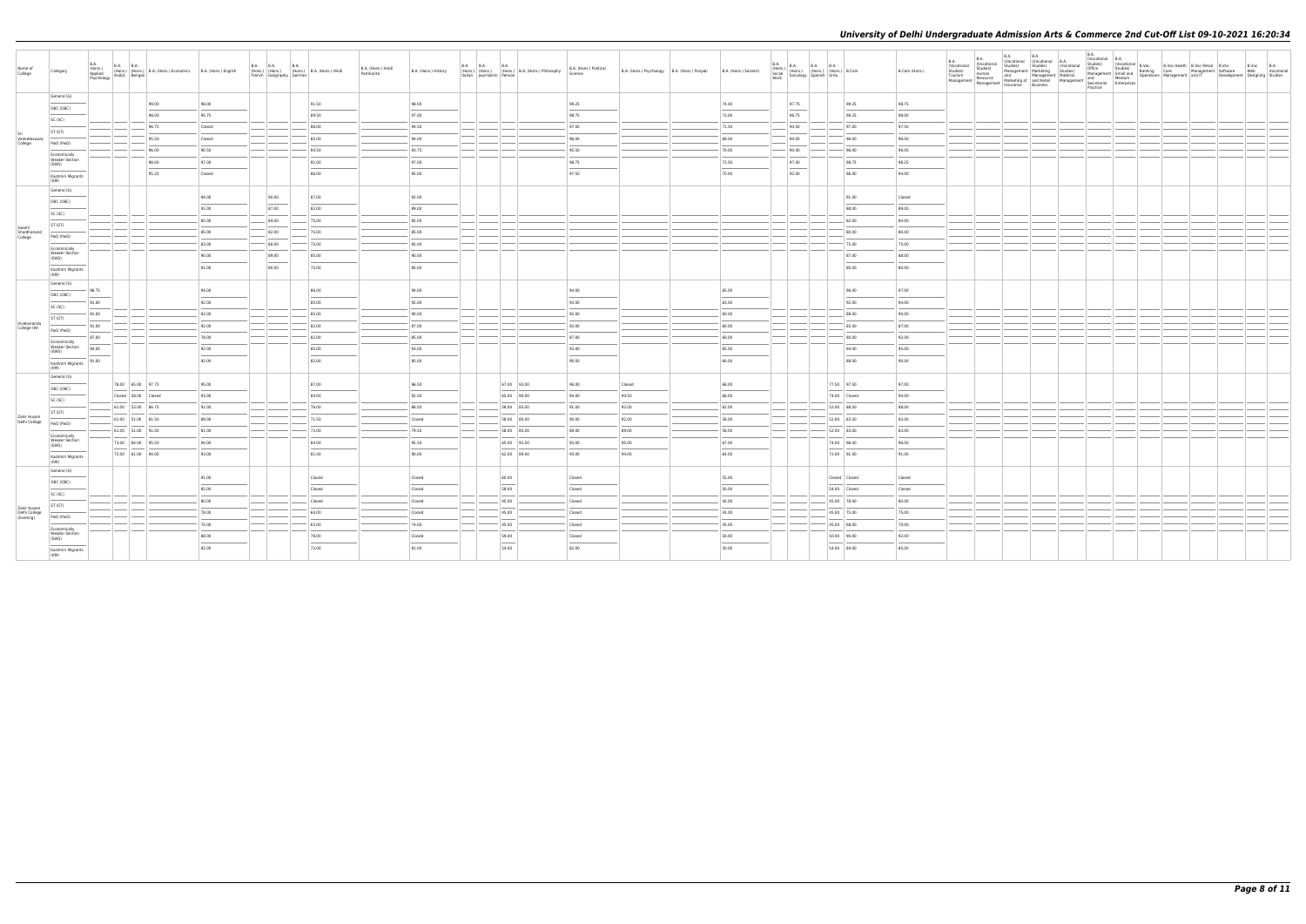| Name of<br>College            | Category                       |       |                     | (Hons.) (Hons.) (Hons.) B.A. (Hons.) Economics B.A. (Hons.) English<br>Applied Arabic Bengali Pengali (Hons.) Economics B.A. (Hons.) English<br>Psychology |        | <b>B.A. B.A.</b><br>French Geography German | <b>B.A.</b> | (Hons.) (Hons.) (Hons.) B.A. (Hons.) Hindi | B.A. (Hons.) Hindi<br>Patrikarita | B.A. (Hons.) History | <b>B.A. B.A.</b><br>Italian   Iournalism   Persian | <b>B.A.</b><br>(Hons.) (Hons.) (Hons.) B.A. (Hons.) Philosophy | B.A. (Hons.) Political<br>Science | B.A. (Hons.) Psychology B.A. (Hons.) Punjabi | B.A. (Hons.) Sanskrit | B.A.<br>B.A.<br>(Hons.) B.A. B.A. B.A.<br>Social (Hons.) (Hons.) (Hons.) B.Com<br>Work Sociology Spanish Urdu<br>Work |               | B.Com (Hons.) | <b>B.A.</b><br><b>B.A.</b><br>(Vocational<br>Studies)<br>Human<br>(Vocational<br>Studies)<br>Tourism<br>Resource<br>Management   Management   Marketing or   and never | B.A.<br>B.A. B.A. Vocational B.A.<br>Studies)<br>Studies)<br>Studies)<br>Management Marketing Studies)<br>Alangement Material Hadre<br>Marketing of Anagement Secretarial Enterprises<br>Marketing of Anagement Secretarial Practice<br>Practice<br>Practice<br>Practice | (Vocational | B.A.<br>(Vocational B.A.<br>Studies)<br>Office | (Vocational B.Voc<br>Studies) Ranking | B.Voc Health B.Voc Retail B.Voc<br>Office Studies) Banking Care Management Software<br>Management Small and Operations Management and IT Developme | Development Designing Studies | B.Voc B.A<br>Web Vocational |
|-------------------------------|--------------------------------|-------|---------------------|------------------------------------------------------------------------------------------------------------------------------------------------------------|--------|---------------------------------------------|-------------|--------------------------------------------|-----------------------------------|----------------------|----------------------------------------------------|----------------------------------------------------------------|-----------------------------------|----------------------------------------------|-----------------------|-----------------------------------------------------------------------------------------------------------------------|---------------|---------------|------------------------------------------------------------------------------------------------------------------------------------------------------------------------|--------------------------------------------------------------------------------------------------------------------------------------------------------------------------------------------------------------------------------------------------------------------------|-------------|------------------------------------------------|---------------------------------------|----------------------------------------------------------------------------------------------------------------------------------------------------|-------------------------------|-----------------------------|
|                               | General (G)                    |       |                     | 99.00                                                                                                                                                      | 98.00  |                                             |             | 91.50                                      |                                   | 98.00                |                                                    |                                                                | 99.25                             |                                              | 74.00                 | 97.75                                                                                                                 | 99.25         | 98.75         |                                                                                                                                                                        |                                                                                                                                                                                                                                                                          |             |                                                |                                       |                                                                                                                                                    |                               |                             |
|                               | OBC (OBC)                      |       |                     |                                                                                                                                                            |        |                                             |             |                                            |                                   |                      |                                                    |                                                                |                                   |                                              |                       |                                                                                                                       |               |               |                                                                                                                                                                        |                                                                                                                                                                                                                                                                          |             |                                                |                                       |                                                                                                                                                    |                               |                             |
|                               | SC (SC)                        |       |                     | 98.00                                                                                                                                                      | 95.75  |                                             |             | 89.50                                      |                                   | 97.00                |                                                    |                                                                | 98.75                             |                                              | 73.00                 | 96.75                                                                                                                 | 98.25         | 98.00         |                                                                                                                                                                        |                                                                                                                                                                                                                                                                          |             |                                                |                                       |                                                                                                                                                    |                               |                             |
|                               | ST (ST)                        |       |                     | 96.75                                                                                                                                                      | Closed |                                             |             | 86.00                                      |                                   | 94.50                |                                                    |                                                                | 97.00                             |                                              | 71.50                 | 94.50                                                                                                                 | 97.00         | 97.50         |                                                                                                                                                                        |                                                                                                                                                                                                                                                                          |             |                                                |                                       |                                                                                                                                                    |                               |                             |
| Venketeswara<br>College       | PwD (PwD)                      |       |                     | 95.50                                                                                                                                                      | Closed |                                             |             | 85.00                                      |                                   | 94.00                |                                                    |                                                                | 96.00                             |                                              | 69.00                 | 94.00                                                                                                                 | 96.00         | 96.00         |                                                                                                                                                                        |                                                                                                                                                                                                                                                                          |             |                                                |                                       |                                                                                                                                                    |                               |                             |
|                               | Economically                   |       |                     | 96.00                                                                                                                                                      | 90.50  |                                             |             | 84.50                                      |                                   | 93.75                |                                                    |                                                                | 95.50                             |                                              | 70.00                 | 90.00                                                                                                                 | 96.00         | 96.00         |                                                                                                                                                                        |                                                                                                                                                                                                                                                                          |             |                                                |                                       |                                                                                                                                                    |                               |                             |
|                               | <b>Weaker Section</b><br>(EWS) |       |                     | 98.00                                                                                                                                                      | 97.00  |                                             |             | 91.00                                      |                                   | 97.00                |                                                    |                                                                | 98.75                             |                                              | 73.50                 | 97.00                                                                                                                 | 98.75         | 98.25         |                                                                                                                                                                        |                                                                                                                                                                                                                                                                          |             |                                                |                                       |                                                                                                                                                    |                               |                             |
|                               | Kashmiri Migrants<br>(KM)      |       |                     | 95.25                                                                                                                                                      | Closed |                                             |             | 86.00                                      |                                   | 95.00                |                                                    |                                                                | 97.50                             |                                              | 70.00                 | 92.00                                                                                                                 | 96.00         | 94.00         |                                                                                                                                                                        |                                                                                                                                                                                                                                                                          |             |                                                |                                       |                                                                                                                                                    |                               |                             |
|                               | General (G)                    |       |                     |                                                                                                                                                            |        |                                             |             |                                            |                                   |                      |                                                    |                                                                |                                   |                                              |                       |                                                                                                                       |               |               |                                                                                                                                                                        |                                                                                                                                                                                                                                                                          |             |                                                |                                       |                                                                                                                                                    |                               |                             |
|                               | OBC (OBC)                      |       |                     |                                                                                                                                                            | 94.00  | 90.00                                       |             | 87.00                                      |                                   | 92.00                |                                                    |                                                                |                                   |                                              |                       |                                                                                                                       | 91.00         | Closed        |                                                                                                                                                                        |                                                                                                                                                                                                                                                                          |             |                                                |                                       |                                                                                                                                                    |                               |                             |
|                               |                                |       |                     |                                                                                                                                                            | 91.00  | 87.00                                       |             | 82.00                                      |                                   | 89.00                |                                                    |                                                                |                                   |                                              |                       |                                                                                                                       | 88.00         | 89.00         |                                                                                                                                                                        |                                                                                                                                                                                                                                                                          |             |                                                |                                       |                                                                                                                                                    |                               |                             |
|                               | SC (SC)                        |       |                     |                                                                                                                                                            | 85.00  | $-$ 84.00                                   |             | 75.00                                      |                                   | 85.00                |                                                    |                                                                |                                   |                                              |                       |                                                                                                                       | 82.00         | 84.00         |                                                                                                                                                                        |                                                                                                                                                                                                                                                                          |             |                                                |                                       |                                                                                                                                                    |                               |                             |
| Swami<br>Shardhanand          | ST (ST)                        |       |                     |                                                                                                                                                            | 85.00  | 82.00                                       |             | 75.00                                      |                                   | 85.00                |                                                    |                                                                |                                   |                                              |                       |                                                                                                                       | 80.00         | 80.00         |                                                                                                                                                                        |                                                                                                                                                                                                                                                                          |             |                                                |                                       |                                                                                                                                                    |                               |                             |
| College                       | PwD (PwD)                      |       |                     |                                                                                                                                                            | 83.00  | 80.00                                       |             | $- 75.00$                                  |                                   | 85.00                |                                                    |                                                                |                                   |                                              |                       |                                                                                                                       | 75.00         | 75.00         |                                                                                                                                                                        |                                                                                                                                                                                                                                                                          |             |                                                |                                       |                                                                                                                                                    |                               |                             |
|                               | Economically<br>Weaker Section |       |                     |                                                                                                                                                            |        |                                             |             |                                            |                                   |                      |                                                    |                                                                |                                   |                                              |                       |                                                                                                                       |               |               |                                                                                                                                                                        |                                                                                                                                                                                                                                                                          |             |                                                |                                       |                                                                                                                                                    |                               |                             |
|                               | (EWS)                          |       |                     |                                                                                                                                                            | 90.00  | 89.00                                       |             | 85.00                                      |                                   | 90.00                |                                                    |                                                                |                                   |                                              |                       |                                                                                                                       | 87.00         | 88.00         |                                                                                                                                                                        |                                                                                                                                                                                                                                                                          |             |                                                |                                       |                                                                                                                                                    |                               |                             |
|                               | Kashmiri Migrants<br>(KM)      |       |                     |                                                                                                                                                            | 91.00  | 80.00                                       |             | 75.00                                      |                                   | 85.00                |                                                    |                                                                |                                   |                                              |                       |                                                                                                                       | 80.00         | 80.00         |                                                                                                                                                                        |                                                                                                                                                                                                                                                                          |             |                                                |                                       |                                                                                                                                                    |                               |                             |
|                               | General (G)                    | 96.75 |                     |                                                                                                                                                            | 94.00  |                                             |             | 86.00                                      |                                   | 94.00                |                                                    |                                                                | 94.00                             |                                              | 65.00                 |                                                                                                                       | 96.00         | 97.00         |                                                                                                                                                                        |                                                                                                                                                                                                                                                                          |             |                                                |                                       |                                                                                                                                                    |                               |                             |
|                               | OBC (OBC)                      | 91.00 |                     |                                                                                                                                                            | 92.00  |                                             |             | 85.00                                      |                                   | 92.00                |                                                    |                                                                | 93.00                             |                                              | 63.00                 |                                                                                                                       | 92.00         | 94.00         |                                                                                                                                                                        |                                                                                                                                                                                                                                                                          |             |                                                |                                       |                                                                                                                                                    |                               |                             |
|                               | SC (SC)                        | 91.00 |                     |                                                                                                                                                            | 92.00  |                                             |             | 85.00                                      |                                   | 90.00                |                                                    |                                                                | 92.00                             |                                              | 60.00                 |                                                                                                                       | 88.00         | 90.00         |                                                                                                                                                                        |                                                                                                                                                                                                                                                                          |             |                                                |                                       |                                                                                                                                                    |                               |                             |
| Vivekananda                   | ST (ST)                        |       |                     |                                                                                                                                                            |        |                                             |             |                                            |                                   |                      |                                                    |                                                                |                                   |                                              |                       |                                                                                                                       |               |               |                                                                                                                                                                        |                                                                                                                                                                                                                                                                          |             |                                                |                                       |                                                                                                                                                    |                               |                             |
| College (W)                   | PwD (PwD)                      | 91.00 |                     |                                                                                                                                                            | 92.00  |                                             |             | 82.00                                      |                                   | 87.00                |                                                    |                                                                | 92.00                             |                                              | 60.00                 |                                                                                                                       | 85.00         | 87.00         |                                                                                                                                                                        |                                                                                                                                                                                                                                                                          |             |                                                |                                       |                                                                                                                                                    |                               |                             |
|                               | Economically<br>Weaker Section | 87.00 |                     |                                                                                                                                                            | 78.00  |                                             |             | 82.00                                      |                                   | 85.00                |                                                    |                                                                | 87.00                             |                                              | 60.00                 |                                                                                                                       | 90.00         | 92.00         |                                                                                                                                                                        |                                                                                                                                                                                                                                                                          |             |                                                |                                       |                                                                                                                                                    |                               |                             |
|                               | (EWS)                          | 94.00 |                     |                                                                                                                                                            | 92.00  |                                             |             | 85.00                                      |                                   | 93.00                |                                                    |                                                                | 93.00                             |                                              | 65.00                 |                                                                                                                       | 94.00         | 95.00         |                                                                                                                                                                        |                                                                                                                                                                                                                                                                          |             |                                                |                                       |                                                                                                                                                    |                               |                             |
|                               | Kashmiri Migrants<br>(KM)      | 91.00 |                     |                                                                                                                                                            | 92.00  |                                             |             | 82.00                                      |                                   | 85.00                |                                                    |                                                                | 90.00                             |                                              | 60.00                 |                                                                                                                       | 88.00         | 90.00         |                                                                                                                                                                        |                                                                                                                                                                                                                                                                          |             |                                                |                                       |                                                                                                                                                    |                               |                             |
|                               | General (G)                    |       |                     |                                                                                                                                                            |        |                                             |             |                                            |                                   |                      |                                                    |                                                                |                                   |                                              |                       |                                                                                                                       |               |               |                                                                                                                                                                        |                                                                                                                                                                                                                                                                          |             |                                                |                                       |                                                                                                                                                    |                               |                             |
|                               | OBC (OBC)                      |       | 78.00 65.00 97.75   |                                                                                                                                                            | 95.00  |                                             |             | 87.00                                      |                                   | 96.50                |                                                    | 67.00 93.00                                                    | 96.00                             | Closed                                       | 68.00                 |                                                                                                                       | 77.50 97.50   | 97.00         |                                                                                                                                                                        |                                                                                                                                                                                                                                                                          |             |                                                |                                       |                                                                                                                                                    |                               |                             |
|                               | SC (SC)                        |       | Closed 58.00 Closed |                                                                                                                                                            | 93.00  |                                             |             | 84.00                                      |                                   | 92.50                |                                                    | 65.00 90.00                                                    | 94.00                             | 94.50                                        | 66.00                 |                                                                                                                       | 74.00 Closed  | 94.00         |                                                                                                                                                                        |                                                                                                                                                                                                                                                                          |             |                                                |                                       |                                                                                                                                                    |                               |                             |
|                               | ST (ST)                        |       | 61.00 53.00 86.75   |                                                                                                                                                            | 91.00  |                                             |             | 76.00                                      |                                   | 86.50                |                                                    | 58.00 85.00                                                    | 91.00                             | 92.00                                        | 62.00                 |                                                                                                                       | 52.00 88.50   | 88.00         |                                                                                                                                                                        |                                                                                                                                                                                                                                                                          |             |                                                |                                       |                                                                                                                                                    |                               |                             |
| Zakir Husain<br>Delhi College | PwD (PwD)                      |       | 61.00 51.00 81.50   |                                                                                                                                                            | 89.00  |                                             |             | 71.50                                      |                                   | Closed               |                                                    | 58.00 85.00                                                    | 90.00                             | 92.00                                        | 58.00                 |                                                                                                                       | 52.00 83.50   | 83.00         |                                                                                                                                                                        |                                                                                                                                                                                                                                                                          |             |                                                |                                       |                                                                                                                                                    |                               |                             |
|                               | Economically                   |       | 61.00 51.00 91.00   |                                                                                                                                                            | 81.00  |                                             |             | 73.00                                      |                                   | 79.50                |                                                    | 58.00 85.00                                                    | 89.00                             | 89.00                                        | 58.00                 |                                                                                                                       | 52.00 83.00   | 83.00         |                                                                                                                                                                        |                                                                                                                                                                                                                                                                          |             |                                                |                                       |                                                                                                                                                    |                               |                             |
|                               | <b>Weaker Section</b><br>(EWS) |       | 73.00 64.00 95.50   |                                                                                                                                                            | 94.00  |                                             |             | 84.00                                      |                                   | 95.50                |                                                    | 65.00 92.00                                                    | 93.00                             | 95.00                                        | 67.00                 |                                                                                                                       | 74.00 96.00   | 96.00         |                                                                                                                                                                        |                                                                                                                                                                                                                                                                          |             |                                                |                                       |                                                                                                                                                    |                               |                             |
|                               | Kashmiri Migrants<br>(KM)      |       | 72.00 61.00 94.00   |                                                                                                                                                            | 93.00  |                                             |             | 81.00                                      |                                   | 90.00                |                                                    | 62.00 89.00                                                    | 93.00                             | 94.00                                        | 64.00                 |                                                                                                                       | 72.00 91.00   | 91.00         |                                                                                                                                                                        |                                                                                                                                                                                                                                                                          |             |                                                |                                       |                                                                                                                                                    |                               |                             |
|                               | General (G)                    |       |                     |                                                                                                                                                            |        |                                             |             |                                            |                                   |                      |                                                    |                                                                |                                   |                                              |                       |                                                                                                                       |               |               |                                                                                                                                                                        |                                                                                                                                                                                                                                                                          |             |                                                |                                       |                                                                                                                                                    |                               |                             |
|                               | OBC (OBC)                      |       |                     |                                                                                                                                                            | 91.00  |                                             |             | Closed                                     |                                   | Closed               |                                                    | 60.00                                                          | Closed                            |                                              | 55.00                 |                                                                                                                       | Closed Closed | Closed        |                                                                                                                                                                        |                                                                                                                                                                                                                                                                          |             |                                                |                                       |                                                                                                                                                    |                               |                             |
|                               | SC (SC)                        |       |                     |                                                                                                                                                            | 85.00  |                                             |             | Closed                                     |                                   | Closed               |                                                    | 58.00                                                          | Closed                            |                                              | 50.00                 |                                                                                                                       | 54.00 Closed  | Closed        |                                                                                                                                                                        |                                                                                                                                                                                                                                                                          |             |                                                |                                       |                                                                                                                                                    |                               |                             |
|                               | ST (ST)                        |       |                     |                                                                                                                                                            | 80.00  |                                             |             | Closed                                     |                                   | Closed               |                                                    | 45.00                                                          | <b>Closed</b>                     |                                              | 45.00                 |                                                                                                                       | 45.00 78.00   | 80.00         |                                                                                                                                                                        |                                                                                                                                                                                                                                                                          |             |                                                |                                       |                                                                                                                                                    |                               |                             |
| Zakir Husain<br>Delhi College |                                |       |                     |                                                                                                                                                            | 78.00  |                                             |             | 64.00                                      |                                   | Closed               |                                                    | 45.00                                                          | Closed                            |                                              | 45.00                 |                                                                                                                       | 45.00 75.00   | 75.00         |                                                                                                                                                                        |                                                                                                                                                                                                                                                                          |             |                                                |                                       |                                                                                                                                                    |                               |                             |
| (Evening)                     | PwD (PwD)                      |       |                     |                                                                                                                                                            | 70.00  |                                             |             | 63.00                                      |                                   | 74.00                |                                                    | 45.00                                                          | Closed                            |                                              | 45.00                 |                                                                                                                       | 45.00 68.00   | 70.00         |                                                                                                                                                                        |                                                                                                                                                                                                                                                                          |             |                                                |                                       |                                                                                                                                                    |                               |                             |
|                               | Fronomically<br>Weaker Section |       |                     |                                                                                                                                                            | 88.00  |                                             |             | 78.00                                      |                                   | Closed               |                                                    | 59.00                                                          | Closed                            |                                              | 50.00                 |                                                                                                                       | 50.00 90.00   | 92.00         |                                                                                                                                                                        |                                                                                                                                                                                                                                                                          |             |                                                |                                       |                                                                                                                                                    |                               |                             |
|                               | (EWS)                          |       |                     |                                                                                                                                                            | 82.00  |                                             |             | 72.00                                      |                                   | 81.00                |                                                    | 54.00                                                          | 82.00                             |                                              | 50.00                 |                                                                                                                       | 54.00 84.00   | 85.00         |                                                                                                                                                                        |                                                                                                                                                                                                                                                                          |             |                                                |                                       |                                                                                                                                                    |                               |                             |
|                               | Kashmiri Migrants<br>(KM)      |       |                     |                                                                                                                                                            |        |                                             |             |                                            |                                   |                      |                                                    |                                                                |                                   |                                              |                       |                                                                                                                       |               |               |                                                                                                                                                                        |                                                                                                                                                                                                                                                                          |             |                                                |                                       |                                                                                                                                                    |                               |                             |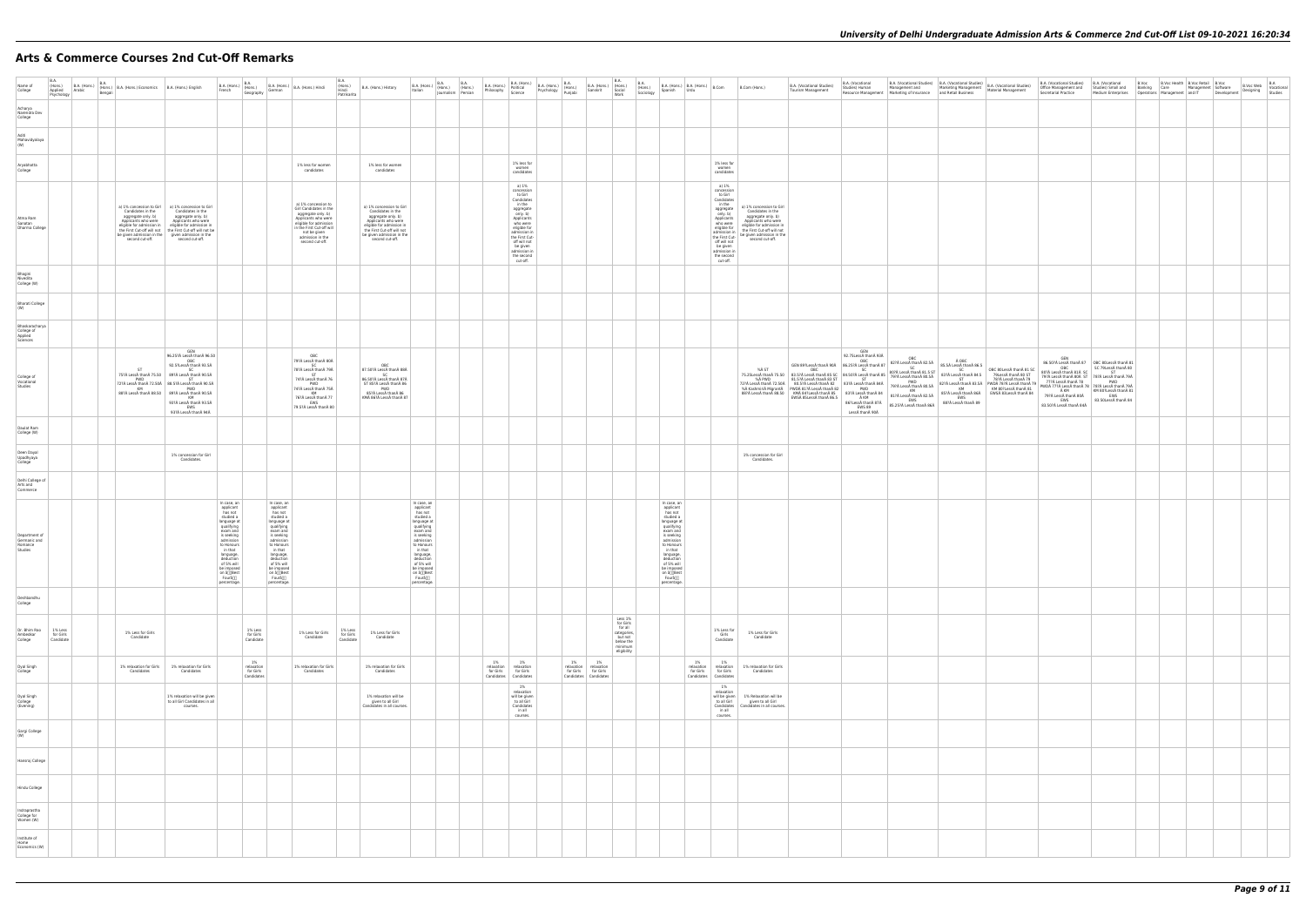# **Arts & Commerce Courses 2nd Cut-Off Remarks**

| B.A. (Vocational Studies)<br>Material Management                                                                                            | B.A. (Vocational Studies)<br>Office Management and<br>Secretarial Practice                                                                                                                                                        | B.A. (Vocational<br>Studies) Small and<br>Medium Enterprises                                                                                           | B.Voc<br>Banking<br>Operations | <b>B.Voc Health</b><br>Care<br>Management | <b>B.Voc Retail</b><br>Management<br>and IT | B.Voc<br>Software<br>Development | B.Voc Web<br>Designing | B.A<br>Vocational<br>Studies |
|---------------------------------------------------------------------------------------------------------------------------------------------|-----------------------------------------------------------------------------------------------------------------------------------------------------------------------------------------------------------------------------------|--------------------------------------------------------------------------------------------------------------------------------------------------------|--------------------------------|-------------------------------------------|---------------------------------------------|----------------------------------|------------------------|------------------------------|
|                                                                                                                                             |                                                                                                                                                                                                                                   |                                                                                                                                                        |                                |                                           |                                             |                                  |                        |                              |
|                                                                                                                                             |                                                                                                                                                                                                                                   |                                                                                                                                                        |                                |                                           |                                             |                                  |                        |                              |
|                                                                                                                                             |                                                                                                                                                                                                                                   |                                                                                                                                                        |                                |                                           |                                             |                                  |                        |                              |
|                                                                                                                                             |                                                                                                                                                                                                                                   |                                                                                                                                                        |                                |                                           |                                             |                                  |                        |                              |
|                                                                                                                                             |                                                                                                                                                                                                                                   |                                                                                                                                                        |                                |                                           |                                             |                                  |                        |                              |
|                                                                                                                                             |                                                                                                                                                                                                                                   |                                                                                                                                                        |                                |                                           |                                             |                                  |                        |                              |
|                                                                                                                                             |                                                                                                                                                                                                                                   |                                                                                                                                                        |                                |                                           |                                             |                                  |                        |                              |
|                                                                                                                                             |                                                                                                                                                                                                                                   |                                                                                                                                                        |                                |                                           |                                             |                                  |                        |                              |
|                                                                                                                                             |                                                                                                                                                                                                                                   |                                                                                                                                                        |                                |                                           |                                             |                                  |                        |                              |
| OBC 80LessÅ thanÅ 81 SC<br>79LessÅ thanÅ 80 ST<br>78?Å LessÅ thanÅ 79<br>PWD 78? LessŠthan 79<br>KM 80?LessÅ thanÅ 81<br>EWS 83Less than 84 | GEN<br>86.50?ŠLessŠthan 87<br>OBC<br>80?ŠLessŠthan 81ŠSC<br>BU?A Lessa triana 81A<br>79?À Lesså thaná 80Å ST<br>77?À Lesså thaná 78<br>PWDÅ 77?À Lesså thaná 78<br>Å KM<br>79?Å Lesså thanå 80Å<br>EWS<br>83.50?Å LessÅ thanÅ 84Å | OBC 80LessŠthan 81<br>SC 79LessŠthan 80<br>ST<br>78?Å LessÅ thanÅ 79Å<br>PWD<br>78?Å LessÅ thanÅ 79Å<br>KM 80?LessŠthan 81<br>EWS<br>83.50LessŠthan 84 |                                |                                           |                                             |                                  |                        |                              |
|                                                                                                                                             |                                                                                                                                                                                                                                   |                                                                                                                                                        |                                |                                           |                                             |                                  |                        |                              |
|                                                                                                                                             |                                                                                                                                                                                                                                   |                                                                                                                                                        |                                |                                           |                                             |                                  |                        |                              |
|                                                                                                                                             |                                                                                                                                                                                                                                   |                                                                                                                                                        |                                |                                           |                                             |                                  |                        |                              |
|                                                                                                                                             |                                                                                                                                                                                                                                   |                                                                                                                                                        |                                |                                           |                                             |                                  |                        |                              |
|                                                                                                                                             |                                                                                                                                                                                                                                   |                                                                                                                                                        |                                |                                           |                                             |                                  |                        |                              |
|                                                                                                                                             |                                                                                                                                                                                                                                   |                                                                                                                                                        |                                |                                           |                                             |                                  |                        |                              |
|                                                                                                                                             |                                                                                                                                                                                                                                   |                                                                                                                                                        |                                |                                           |                                             |                                  |                        |                              |
|                                                                                                                                             |                                                                                                                                                                                                                                   |                                                                                                                                                        |                                |                                           |                                             |                                  |                        |                              |
|                                                                                                                                             |                                                                                                                                                                                                                                   |                                                                                                                                                        |                                |                                           |                                             |                                  |                        |                              |
|                                                                                                                                             |                                                                                                                                                                                                                                   |                                                                                                                                                        |                                |                                           |                                             |                                  |                        |                              |
|                                                                                                                                             |                                                                                                                                                                                                                                   |                                                                                                                                                        |                                |                                           |                                             |                                  |                        |                              |
|                                                                                                                                             |                                                                                                                                                                                                                                   |                                                                                                                                                        |                                |                                           |                                             |                                  |                        |                              |
|                                                                                                                                             |                                                                                                                                                                                                                                   |                                                                                                                                                        |                                |                                           |                                             |                                  |                        |                              |
|                                                                                                                                             |                                                                                                                                                                                                                                   |                                                                                                                                                        |                                |                                           |                                             |                                  |                        |                              |
|                                                                                                                                             |                                                                                                                                                                                                                                   |                                                                                                                                                        |                                |                                           |                                             |                                  |                        |                              |
|                                                                                                                                             |                                                                                                                                                                                                                                   |                                                                                                                                                        |                                |                                           |                                             |                                  |                        |                              |
|                                                                                                                                             |                                                                                                                                                                                                                                   |                                                                                                                                                        |                                |                                           |                                             |                                  |                        |                              |

| Name of<br>College                                  | B.A.<br>(Hons.)<br>Applied<br>Psychology | Arabic | <b>B.A.</b><br>Bengali | B.A. (Hons.) $\begin{bmatrix} B.A. \\ Arabic \end{bmatrix}$ B.A. (Hons.) Economics $\begin{bmatrix} B.A. \\ B.A. \end{bmatrix}$ B.A. (Hons.) English |                                                                                                                                                                                                                                                                                                                | B.A. (Hons.) B.A.<br>French (Hons.) Geography                                                                                                                                                                                            |                                             |                                                                                                                                                                                                                                            | $\left \begin{array}{c c c} \mathsf{B.A.}\;(\mathsf{Hons.}) & \mathsf{B.A.}\;(\mathsf{Hons.}) & \mathsf{Hindi} \end{array}\right $                                                                       | B.A.<br>(Hons.)<br>Hindi<br>Patrikarita | B.A. (Hons.) History                                                                                                                                                                                  | $B.A.$ (Hons.) $B.A.$<br>Italian (Hons.)<br>Italian<br>Journalism Persian                                                                                                                                                                    | $B.A.$<br>(Hons.) | $\begin{tabular}{ c c } \hline \textbf{B.A. (Hons.)} & \textbf{B.A. } \textbf{1} & \textbf{0} \\ \textbf{B.A. (Hons.)} & \textbf{Politted} \\ \textbf{Philosophy} & \textbf{Science} \\ \end{tabular}$ | B.A. (Hons.)<br>Political B.A. (Hons.)<br>Science Psychology Punjabi                                                                                                                                                              |                               | B.A. (Hons.) (Hons.)<br>Sanskrit Social                | B.A.<br>Work                                                                                     | B.A.<br>(Hons.)<br>Sociology | $\Big $ B.A. (Hons.) $\Big $ B.A. (Hons.) $\Big $ B.Com<br>Spanish                                                                                                                                                                                      | Urdu                                        |                                                                                                                                                                                                                 | B.Com (Hons.)                                                                                                                                                                              | B.A. (Vocational Studies)<br><b>Tourism Management</b>                                                                                                                                                                                                                                                                                                                                                                                                                                                                                                                                                                                         | B.A. (Vocational                                                                   | B.A. (Vocational Studies) B.A. (Vocational Studies)<br>Studies) Human Management and Marketing Management Resource Management Marketing of Insurance and Retail Business |                                                                                                                                                         |
|-----------------------------------------------------|------------------------------------------|--------|------------------------|------------------------------------------------------------------------------------------------------------------------------------------------------|----------------------------------------------------------------------------------------------------------------------------------------------------------------------------------------------------------------------------------------------------------------------------------------------------------------|------------------------------------------------------------------------------------------------------------------------------------------------------------------------------------------------------------------------------------------|---------------------------------------------|--------------------------------------------------------------------------------------------------------------------------------------------------------------------------------------------------------------------------------------------|----------------------------------------------------------------------------------------------------------------------------------------------------------------------------------------------------------|-----------------------------------------|-------------------------------------------------------------------------------------------------------------------------------------------------------------------------------------------------------|----------------------------------------------------------------------------------------------------------------------------------------------------------------------------------------------------------------------------------------------|-------------------|--------------------------------------------------------------------------------------------------------------------------------------------------------------------------------------------------------|-----------------------------------------------------------------------------------------------------------------------------------------------------------------------------------------------------------------------------------|-------------------------------|--------------------------------------------------------|--------------------------------------------------------------------------------------------------|------------------------------|---------------------------------------------------------------------------------------------------------------------------------------------------------------------------------------------------------------------------------------------------------|---------------------------------------------|-----------------------------------------------------------------------------------------------------------------------------------------------------------------------------------------------------------------|--------------------------------------------------------------------------------------------------------------------------------------------------------------------------------------------|------------------------------------------------------------------------------------------------------------------------------------------------------------------------------------------------------------------------------------------------------------------------------------------------------------------------------------------------------------------------------------------------------------------------------------------------------------------------------------------------------------------------------------------------------------------------------------------------------------------------------------------------|------------------------------------------------------------------------------------|--------------------------------------------------------------------------------------------------------------------------------------------------------------------------|---------------------------------------------------------------------------------------------------------------------------------------------------------|
| Acharya<br>Narendra Dev<br>College                  |                                          |        |                        |                                                                                                                                                      |                                                                                                                                                                                                                                                                                                                |                                                                                                                                                                                                                                          |                                             |                                                                                                                                                                                                                                            |                                                                                                                                                                                                          |                                         |                                                                                                                                                                                                       |                                                                                                                                                                                                                                              |                   |                                                                                                                                                                                                        |                                                                                                                                                                                                                                   |                               |                                                        |                                                                                                  |                              |                                                                                                                                                                                                                                                         |                                             |                                                                                                                                                                                                                 |                                                                                                                                                                                            |                                                                                                                                                                                                                                                                                                                                                                                                                                                                                                                                                                                                                                                |                                                                                    |                                                                                                                                                                          |                                                                                                                                                         |
| Aditi<br>Mahavidyalaya<br>(W)                       |                                          |        |                        |                                                                                                                                                      |                                                                                                                                                                                                                                                                                                                |                                                                                                                                                                                                                                          |                                             |                                                                                                                                                                                                                                            |                                                                                                                                                                                                          |                                         |                                                                                                                                                                                                       |                                                                                                                                                                                                                                              |                   |                                                                                                                                                                                                        |                                                                                                                                                                                                                                   |                               |                                                        |                                                                                                  |                              |                                                                                                                                                                                                                                                         |                                             |                                                                                                                                                                                                                 |                                                                                                                                                                                            |                                                                                                                                                                                                                                                                                                                                                                                                                                                                                                                                                                                                                                                |                                                                                    |                                                                                                                                                                          |                                                                                                                                                         |
| Aryabhatta<br>College                               |                                          |        |                        |                                                                                                                                                      |                                                                                                                                                                                                                                                                                                                |                                                                                                                                                                                                                                          |                                             |                                                                                                                                                                                                                                            | 1% less for women<br>candidates                                                                                                                                                                          |                                         | 1% less for women<br>candidates                                                                                                                                                                       |                                                                                                                                                                                                                                              |                   |                                                                                                                                                                                                        | 1% less for<br>women<br>candidates                                                                                                                                                                                                |                               |                                                        |                                                                                                  |                              |                                                                                                                                                                                                                                                         |                                             | 1% less for<br>women<br>candidates                                                                                                                                                                              |                                                                                                                                                                                            |                                                                                                                                                                                                                                                                                                                                                                                                                                                                                                                                                                                                                                                |                                                                                    |                                                                                                                                                                          |                                                                                                                                                         |
| Atma Ram<br>Sanatan<br>Dharma College               |                                          |        |                        | Candidates in the<br>aggregate only. b)<br>Applicants who were<br>eligible for admission in<br>second cut-off.                                       | a) 1% concession to Girl   a) 1% concession to Girl<br>Candidates in the<br>aggregate only. b)<br>Applicants who were<br>eligible for admission in<br>the First Cut-off will not   the First Cut-off will not be<br>be given admission in the given admission in the<br>second cut-off.                        |                                                                                                                                                                                                                                          |                                             |                                                                                                                                                                                                                                            | a) 1% concession to<br>Girl Candidates in the<br>aggregate only. b)<br>Applicants who were<br>eligible for admission<br>in the First Cut-off will<br>not be given<br>admission in the<br>second cut-off. |                                         | a) 1% concession to Girl<br>Candidates in the<br>aggregate only. b)<br>Applicants who were<br>eligible for admission in<br>the First Cut-off will not<br>be given admission in the<br>second cut-off. |                                                                                                                                                                                                                                              |                   |                                                                                                                                                                                                        | a) 1%<br>concession<br>to Girl<br>Candidates<br>in the<br>aggregate<br>only. b)<br>Applicants<br>who were<br>eligible for<br>admission in<br>the First Cut-<br>off will not<br>be given<br>admission in<br>the second<br>cut-off. |                               |                                                        |                                                                                                  |                              |                                                                                                                                                                                                                                                         |                                             | a) 1%<br>concession<br>to Girl<br>Candidates<br>in the<br>aggregate<br>only. b)<br>Applicants<br>who were<br>eligible for<br>admission in<br>off will not<br>be given<br>admission in<br>the second<br>cut-off. | a) 1% concession to Girl<br>Candidates in the<br>aggregate only. b)<br>Applicants who were<br>eligible for admission in<br>the First Cut-off will not<br>the First Cut-<br>second cut-off. |                                                                                                                                                                                                                                                                                                                                                                                                                                                                                                                                                                                                                                                |                                                                                    |                                                                                                                                                                          |                                                                                                                                                         |
| Bhaqini<br>Nivedita<br>College (W)                  |                                          |        |                        |                                                                                                                                                      |                                                                                                                                                                                                                                                                                                                |                                                                                                                                                                                                                                          |                                             |                                                                                                                                                                                                                                            |                                                                                                                                                                                                          |                                         |                                                                                                                                                                                                       |                                                                                                                                                                                                                                              |                   |                                                                                                                                                                                                        |                                                                                                                                                                                                                                   |                               |                                                        |                                                                                                  |                              |                                                                                                                                                                                                                                                         |                                             |                                                                                                                                                                                                                 |                                                                                                                                                                                            |                                                                                                                                                                                                                                                                                                                                                                                                                                                                                                                                                                                                                                                |                                                                                    |                                                                                                                                                                          |                                                                                                                                                         |
| <b>Bharati College</b><br>(W)                       |                                          |        |                        |                                                                                                                                                      |                                                                                                                                                                                                                                                                                                                |                                                                                                                                                                                                                                          |                                             |                                                                                                                                                                                                                                            |                                                                                                                                                                                                          |                                         |                                                                                                                                                                                                       |                                                                                                                                                                                                                                              |                   |                                                                                                                                                                                                        |                                                                                                                                                                                                                                   |                               |                                                        |                                                                                                  |                              |                                                                                                                                                                                                                                                         |                                             |                                                                                                                                                                                                                 |                                                                                                                                                                                            |                                                                                                                                                                                                                                                                                                                                                                                                                                                                                                                                                                                                                                                |                                                                                    |                                                                                                                                                                          |                                                                                                                                                         |
| Bhaskaracharya<br>College of<br>Applied<br>Sciences |                                          |        |                        |                                                                                                                                                      |                                                                                                                                                                                                                                                                                                                |                                                                                                                                                                                                                                          |                                             |                                                                                                                                                                                                                                            |                                                                                                                                                                                                          |                                         |                                                                                                                                                                                                       |                                                                                                                                                                                                                                              |                   |                                                                                                                                                                                                        |                                                                                                                                                                                                                                   |                               |                                                        |                                                                                                  |                              |                                                                                                                                                                                                                                                         |                                             |                                                                                                                                                                                                                 |                                                                                                                                                                                            |                                                                                                                                                                                                                                                                                                                                                                                                                                                                                                                                                                                                                                                |                                                                                    |                                                                                                                                                                          |                                                                                                                                                         |
| College of<br>Vocational<br>Studies                 |                                          |        |                        | <b>ST</b><br>PWD                                                                                                                                     | GEN<br>96.25?Å LessÅ thanÅ 96.50<br>OBC<br>92.5?LessÅ than 93.5Å<br><b>SC</b><br>75?Å LessÅ thanÅ 75.50 89?Å LessÅ thanÅ 90.5Å<br><b>ST</b><br>72?Å LessÅ thanÅ 72.50Å 88.5?Å LessÅ thanÅ 90.5Å<br>88?Å LessÅ thanÅ 88.50 89?Å LessÅ thanÅ 90.5Å<br>KM<br>93?Å LessÅ than 93.5Â<br>EWS<br>93?Å LessÅ thanÅ 94Å |                                                                                                                                                                                                                                          |                                             |                                                                                                                                                                                                                                            | OBC<br>79? Less than 80Â<br>-SC<br>78? Less than 79Â<br>74? Lessà than 76<br><b>PWD</b><br>74?Å LessÅ than 75Å<br>км<br>76? Less than 77<br>EWS<br>79.5?Å LessÅ thanÅ 80                                 |                                         | OBC<br>87.50?Å LessÅ thanÅ 88Å<br>SC<br>86.50?Å LessÅ than 87Å<br>ST 85?Å LessÅ thanÅ 86<br><b>PWD</b><br>85?ŠLessŠthan 86<br>KM 86? Less than 87                                                     |                                                                                                                                                                                                                                              |                   |                                                                                                                                                                                                        |                                                                                                                                                                                                                                   |                               |                                                        |                                                                                                  |                              |                                                                                                                                                                                                                                                         |                                             |                                                                                                                                                                                                                 |                                                                                                                                                                                            | $75.25 \xrightarrow{C\text{Y-I}} 50^\circ$<br>$\frac{9.4 \text{ PUN}}{3.64 \text{ N} \cdot \text{N}}$ $\frac{1000 \text{ A}}{81.57 \text{A} \text{ less} \cdot \text{A}}$ than A 85 SC 84.507Å LessÅ than A 85 SC 84.507Å LessÅ than A 85 SC 84.507Å LessÅ than A 85 SC 84.507Å LessÅ than A 85 ST 797Å<br>1997<br>1997 - T27 Less than 72.50Â<br>1997 - BOLTA Less than 82<br>1997 - Wind Kashmiri MigrantÂ<br>1997 - Wind Kashmiri Migrant - PWD 817 Less than 82<br>ARTA LESSA LEADER MAINTEN MAINTEN MAINTEN MAINTEN MAINTEN MAINTEN MAINTEN MAINTEN MAINTEN MAINTEN MAINTEN MAIN<br>EWSA 85LessA thanA 88.50 EWSA 85LessA thanA 86.5 A MM | GEN<br>92.75LessÅ thanÅ 93Å<br>86?LessÅ than 87Å<br><b>EWS 89</b><br>Less than 90Â | OBC<br>0BC<br>  GEN 89?Less than 90   86.25? Less than 87   82? Less than 82.5Â<br>SC.<br>KM.<br>EWS<br>85.25?Å LessÅ thanÅ 86Å                                          | À OBC<br>85.5ŠLessŠthan 86.5<br><b>SC</b><br>83?Å LessÅ thanÅ 84.5<br>ST.<br>827Å LessÅ than 83.5Å<br>85?Å LessÅ than 86Â<br>EWS<br>88?Å LessÅ thanÅ 89 |
| Daulat Ram<br>College (W)                           |                                          |        |                        |                                                                                                                                                      |                                                                                                                                                                                                                                                                                                                |                                                                                                                                                                                                                                          |                                             |                                                                                                                                                                                                                                            |                                                                                                                                                                                                          |                                         |                                                                                                                                                                                                       |                                                                                                                                                                                                                                              |                   |                                                                                                                                                                                                        |                                                                                                                                                                                                                                   |                               |                                                        |                                                                                                  |                              |                                                                                                                                                                                                                                                         |                                             |                                                                                                                                                                                                                 |                                                                                                                                                                                            |                                                                                                                                                                                                                                                                                                                                                                                                                                                                                                                                                                                                                                                |                                                                                    |                                                                                                                                                                          |                                                                                                                                                         |
| Deen Dayal<br>Upadhyaya<br>College                  |                                          |        |                        |                                                                                                                                                      | 1% concession for Girl<br>Candidates.                                                                                                                                                                                                                                                                          |                                                                                                                                                                                                                                          |                                             |                                                                                                                                                                                                                                            |                                                                                                                                                                                                          |                                         |                                                                                                                                                                                                       |                                                                                                                                                                                                                                              |                   |                                                                                                                                                                                                        |                                                                                                                                                                                                                                   |                               |                                                        |                                                                                                  |                              |                                                                                                                                                                                                                                                         |                                             |                                                                                                                                                                                                                 | 1% concession for Girl<br>Candidates.                                                                                                                                                      |                                                                                                                                                                                                                                                                                                                                                                                                                                                                                                                                                                                                                                                |                                                                                    |                                                                                                                                                                          |                                                                                                                                                         |
| Delhi College of<br>Arts and<br>Commerce            |                                          |        |                        |                                                                                                                                                      |                                                                                                                                                                                                                                                                                                                |                                                                                                                                                                                                                                          |                                             |                                                                                                                                                                                                                                            |                                                                                                                                                                                                          |                                         |                                                                                                                                                                                                       |                                                                                                                                                                                                                                              |                   |                                                                                                                                                                                                        |                                                                                                                                                                                                                                   |                               |                                                        |                                                                                                  |                              |                                                                                                                                                                                                                                                         |                                             |                                                                                                                                                                                                                 |                                                                                                                                                                                            |                                                                                                                                                                                                                                                                                                                                                                                                                                                                                                                                                                                                                                                |                                                                                    |                                                                                                                                                                          |                                                                                                                                                         |
| Department of<br>Germanic and<br>Romance<br>Studies |                                          |        |                        |                                                                                                                                                      |                                                                                                                                                                                                                                                                                                                | In case, an<br>applicant<br>has not<br>studied a<br>language at<br>qualifying<br>exam and<br>is seeking<br>admission<br>to Honours<br>in that<br>language,<br>deduction<br>of 5% will<br>a imnoso<br>on â∏Best<br>Fourâ∏∏<br>percentage. |                                             | In case, an<br>applicant<br>has not<br>studied a<br>language at<br>qualifying<br>exam and<br>is seeking<br>admission<br>to Honours<br>in that<br>language,<br>deduction<br>of 5% will<br>ho imnosori<br>on â∏Best<br>Fourå∏∏<br>percentage |                                                                                                                                                                                                          |                                         |                                                                                                                                                                                                       | In case, an<br>applicant<br>has not<br>studied a<br>language at<br>qualifying<br>exam and<br>is seeking<br>admission<br>to Honours<br>in that<br>language,<br>deduction<br>of 5% will<br>ho imnosod<br>∣ on å∏Best<br>Fourâ∏∏<br>percentage. |                   |                                                                                                                                                                                                        |                                                                                                                                                                                                                                   |                               |                                                        |                                                                                                  |                              | In case, an<br>applicant<br>has not<br>studied a<br>language at<br>qualifying<br>exam and<br>is seeking<br>admission<br>to Honours<br>in that<br>language,<br>deduction<br>of 5% will<br>be imposer<br>on å∏Best<br>Foura <sup>[1]</sup><br>percentage. |                                             |                                                                                                                                                                                                                 |                                                                                                                                                                                            |                                                                                                                                                                                                                                                                                                                                                                                                                                                                                                                                                                                                                                                |                                                                                    |                                                                                                                                                                          |                                                                                                                                                         |
| Deshbandhu<br>College                               |                                          |        |                        |                                                                                                                                                      |                                                                                                                                                                                                                                                                                                                |                                                                                                                                                                                                                                          |                                             |                                                                                                                                                                                                                                            |                                                                                                                                                                                                          |                                         |                                                                                                                                                                                                       |                                                                                                                                                                                                                                              |                   |                                                                                                                                                                                                        |                                                                                                                                                                                                                                   |                               |                                                        |                                                                                                  |                              |                                                                                                                                                                                                                                                         |                                             |                                                                                                                                                                                                                 |                                                                                                                                                                                            |                                                                                                                                                                                                                                                                                                                                                                                                                                                                                                                                                                                                                                                |                                                                                    |                                                                                                                                                                          |                                                                                                                                                         |
| Dr. Bhim Rao<br>Ambedkar<br>College                 | 1% Less<br>for Girls<br>Candidate        |        |                        | 1% Less for Girls<br>Candidate                                                                                                                       |                                                                                                                                                                                                                                                                                                                |                                                                                                                                                                                                                                          | 1% Less<br>for Girls<br>Candidate           |                                                                                                                                                                                                                                            | 1% Less for Girls<br>Candidate                                                                                                                                                                           | 1% Less<br>for Girls<br>Candidate       | 1% Less for Girls<br>Candidate                                                                                                                                                                        |                                                                                                                                                                                                                                              |                   |                                                                                                                                                                                                        |                                                                                                                                                                                                                                   |                               |                                                        | Less 1%<br>for Girls<br>for all<br>categories,<br>but not<br>below the<br>minimum<br>eligibility |                              |                                                                                                                                                                                                                                                         |                                             | 1% Less for<br>Girls<br>Candidate                                                                                                                                                                               | 1% Less for Girls<br>Candidate                                                                                                                                                             |                                                                                                                                                                                                                                                                                                                                                                                                                                                                                                                                                                                                                                                |                                                                                    |                                                                                                                                                                          |                                                                                                                                                         |
| Dyal Singh<br>College                               |                                          |        |                        | 1% relaxation for Girls<br>Candidates                                                                                                                | 1% relaxation for Girls<br>Candidates                                                                                                                                                                                                                                                                          |                                                                                                                                                                                                                                          | 1%<br>relaxation<br>for Girls<br>Candidates |                                                                                                                                                                                                                                            | 1% relaxation for Girls<br>Candidates                                                                                                                                                                    |                                         | 1% relaxation for Girls<br>Candidates                                                                                                                                                                 |                                                                                                                                                                                                                                              |                   | 1%<br>relaxation<br>for Girls<br>Candidates                                                                                                                                                            | 1%<br>relaxation<br>for Girls<br>Candidates                                                                                                                                                                                       | 1%<br>relaxation<br>for Girls | 1%<br>relaxation<br>for Girls<br>Candidates Candidates |                                                                                                  |                              |                                                                                                                                                                                                                                                         | 1%<br>relaxation<br>for Girls<br>Candidates | 1%<br>relaxation<br>for Girls<br>Candidates                                                                                                                                                                     | 1% relaxation for Girls<br>Candidates                                                                                                                                                      |                                                                                                                                                                                                                                                                                                                                                                                                                                                                                                                                                                                                                                                |                                                                                    |                                                                                                                                                                          |                                                                                                                                                         |
| Dyal Singh<br>College<br>(Evening)                  |                                          |        |                        |                                                                                                                                                      | 1% relaxation will be given<br>to all Girl Candidates in all<br>courses.                                                                                                                                                                                                                                       |                                                                                                                                                                                                                                          |                                             |                                                                                                                                                                                                                                            |                                                                                                                                                                                                          |                                         | 1% relaxation will be<br>given to all Girl<br>Candidates in all courses.                                                                                                                              |                                                                                                                                                                                                                                              |                   |                                                                                                                                                                                                        | 1%<br>relaxation<br>will be given<br>to all Girl<br>Candidates<br>in all<br>courses.                                                                                                                                              |                               |                                                        |                                                                                                  |                              |                                                                                                                                                                                                                                                         |                                             | 1%<br>relaxation<br>will be given<br>in all<br>courses.                                                                                                                                                         | will be given 1% Relaxation will be<br>to all Girl given to all Girl<br>Candidates Candidates in all courses.                                                                              |                                                                                                                                                                                                                                                                                                                                                                                                                                                                                                                                                                                                                                                |                                                                                    |                                                                                                                                                                          |                                                                                                                                                         |
| Gargi College<br>(W)                                |                                          |        |                        |                                                                                                                                                      |                                                                                                                                                                                                                                                                                                                |                                                                                                                                                                                                                                          |                                             |                                                                                                                                                                                                                                            |                                                                                                                                                                                                          |                                         |                                                                                                                                                                                                       |                                                                                                                                                                                                                                              |                   |                                                                                                                                                                                                        |                                                                                                                                                                                                                                   |                               |                                                        |                                                                                                  |                              |                                                                                                                                                                                                                                                         |                                             |                                                                                                                                                                                                                 |                                                                                                                                                                                            |                                                                                                                                                                                                                                                                                                                                                                                                                                                                                                                                                                                                                                                |                                                                                    |                                                                                                                                                                          |                                                                                                                                                         |
| Hansraj College                                     |                                          |        |                        |                                                                                                                                                      |                                                                                                                                                                                                                                                                                                                |                                                                                                                                                                                                                                          |                                             |                                                                                                                                                                                                                                            |                                                                                                                                                                                                          |                                         |                                                                                                                                                                                                       |                                                                                                                                                                                                                                              |                   |                                                                                                                                                                                                        |                                                                                                                                                                                                                                   |                               |                                                        |                                                                                                  |                              |                                                                                                                                                                                                                                                         |                                             |                                                                                                                                                                                                                 |                                                                                                                                                                                            |                                                                                                                                                                                                                                                                                                                                                                                                                                                                                                                                                                                                                                                |                                                                                    |                                                                                                                                                                          |                                                                                                                                                         |
| Hindu College                                       |                                          |        |                        |                                                                                                                                                      |                                                                                                                                                                                                                                                                                                                |                                                                                                                                                                                                                                          |                                             |                                                                                                                                                                                                                                            |                                                                                                                                                                                                          |                                         |                                                                                                                                                                                                       |                                                                                                                                                                                                                                              |                   |                                                                                                                                                                                                        |                                                                                                                                                                                                                                   |                               |                                                        |                                                                                                  |                              |                                                                                                                                                                                                                                                         |                                             |                                                                                                                                                                                                                 |                                                                                                                                                                                            |                                                                                                                                                                                                                                                                                                                                                                                                                                                                                                                                                                                                                                                |                                                                                    |                                                                                                                                                                          |                                                                                                                                                         |
| Indraprastha<br>College for<br>Women (W)            |                                          |        |                        |                                                                                                                                                      |                                                                                                                                                                                                                                                                                                                |                                                                                                                                                                                                                                          |                                             |                                                                                                                                                                                                                                            |                                                                                                                                                                                                          |                                         |                                                                                                                                                                                                       |                                                                                                                                                                                                                                              |                   |                                                                                                                                                                                                        |                                                                                                                                                                                                                                   |                               |                                                        |                                                                                                  |                              |                                                                                                                                                                                                                                                         |                                             |                                                                                                                                                                                                                 |                                                                                                                                                                                            |                                                                                                                                                                                                                                                                                                                                                                                                                                                                                                                                                                                                                                                |                                                                                    |                                                                                                                                                                          |                                                                                                                                                         |
| Institute of<br>Home<br>Economics (W)               |                                          |        |                        |                                                                                                                                                      |                                                                                                                                                                                                                                                                                                                |                                                                                                                                                                                                                                          |                                             |                                                                                                                                                                                                                                            |                                                                                                                                                                                                          |                                         |                                                                                                                                                                                                       |                                                                                                                                                                                                                                              |                   |                                                                                                                                                                                                        |                                                                                                                                                                                                                                   |                               |                                                        |                                                                                                  |                              |                                                                                                                                                                                                                                                         |                                             |                                                                                                                                                                                                                 |                                                                                                                                                                                            |                                                                                                                                                                                                                                                                                                                                                                                                                                                                                                                                                                                                                                                |                                                                                    |                                                                                                                                                                          |                                                                                                                                                         |
|                                                     |                                          |        |                        |                                                                                                                                                      |                                                                                                                                                                                                                                                                                                                |                                                                                                                                                                                                                                          |                                             |                                                                                                                                                                                                                                            |                                                                                                                                                                                                          |                                         |                                                                                                                                                                                                       |                                                                                                                                                                                                                                              |                   |                                                                                                                                                                                                        |                                                                                                                                                                                                                                   |                               |                                                        |                                                                                                  |                              |                                                                                                                                                                                                                                                         |                                             |                                                                                                                                                                                                                 |                                                                                                                                                                                            |                                                                                                                                                                                                                                                                                                                                                                                                                                                                                                                                                                                                                                                |                                                                                    |                                                                                                                                                                          |                                                                                                                                                         |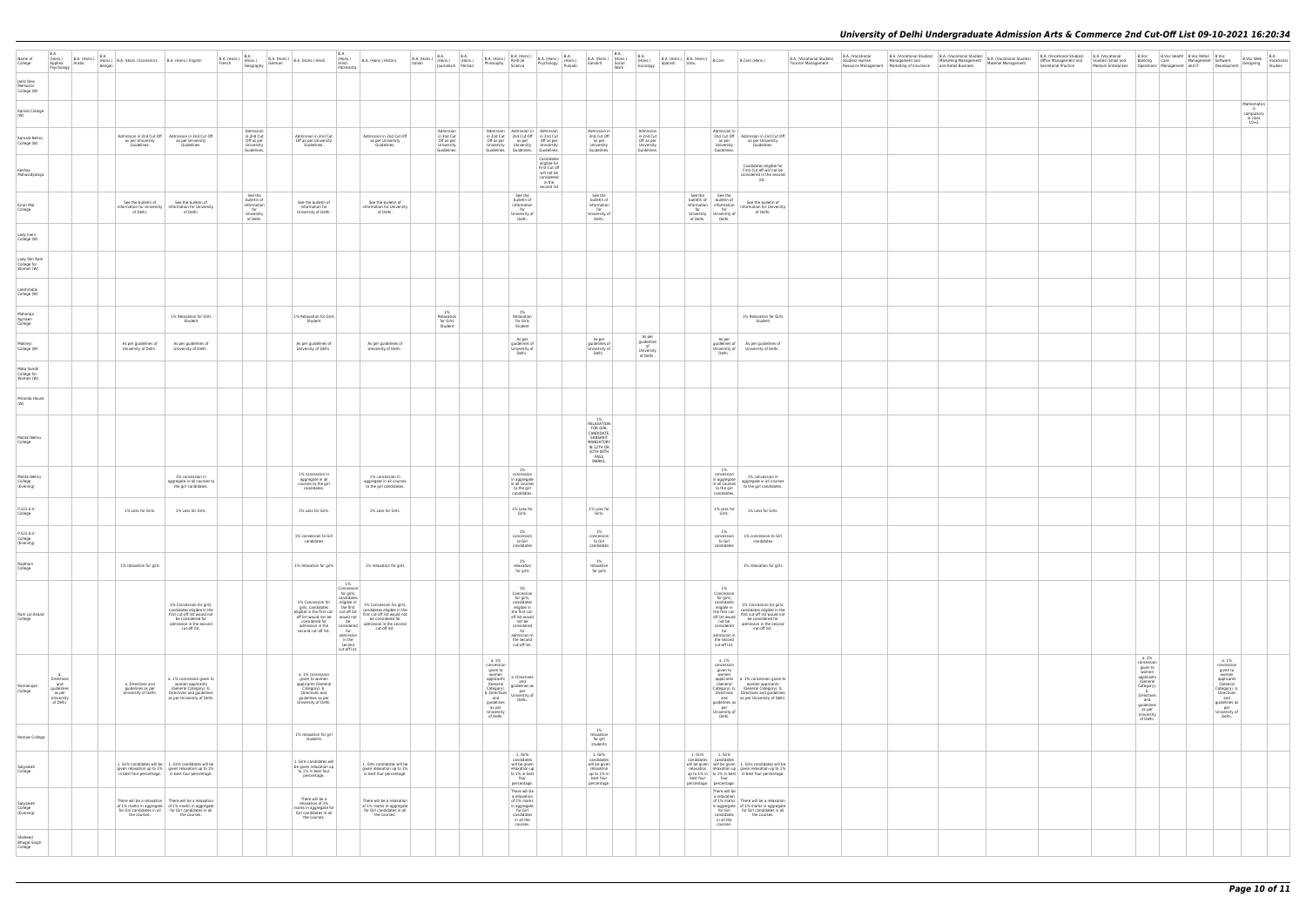| Name of<br>College<br>Janki Devi<br>Memorial | B.A.<br>(Hons.)<br>Applied<br>Psychology                                               | B.A. (Hons.) B.A. (Hons.) B.A. (Hons.) Economics B.A. (Hons.) English<br>W |                                                                                                                                                                                     |                                                                    | B.A.<br>(Hons.)<br>Hindi<br>B.A. (Hons.)<br>French (Hons.)<br>Geography German B.A. (Hons.) Hindi<br>Geography German B.A. (Hons.) Hindi<br>Patrikarita                                                                                                                                                                                                                                                        | B.A. (Hons.) History                                                                                 | B.A. (Hons.) B.A. (Hons.) B.A. (Hons.) Italian (Hons.) (Hons.)     |                                                                                                                                                   |                                                                                                                                                                               | B.A. (Hons.) B.A. (Hons.) B.A. (Hons.) B.A. (Hons.) Political Philosophy Science Psychology Punjabi | B.A. (Hons.)<br>Sanskrit (Hons.)<br>Sanskrit Social<br>Work                                                             | B.A.<br>(Hons.)<br>Sociology<br>B.A. (Hons.) $B.A.$ (Hons.) $B.Com$<br>Spanish Urdu                 |                                                                                    |                                                                                                                                                                                                                            | B.Com (Hons.)                                                                                                                                                                   | B.A. (Vocational Studies)<br>Tourism Management | B.A. (Vocational<br>Studies) Human | B.A. (Vocational Studies) B.A. (Vocational Studies) B.A. (Vocational Studies)<br>Management and Marketing Management Material Management<br>Resource Management Marketing of Insurance and Retail Business | Secretarial Practice |                                                                                                                                                                | B.A. (Vocational Studies) B.A. (Vocational B.Voc B.Voc Health B.Voc Retail B.Voc Office Management and Studies) Small and Banking Care Management Software<br>Medium Enterprises    Qperations    Management    and IT    Qevelopment | B.Voc Web B.A<br>Designing Vocational<br>Studies                                                        |  |
|----------------------------------------------|----------------------------------------------------------------------------------------|----------------------------------------------------------------------------|-------------------------------------------------------------------------------------------------------------------------------------------------------------------------------------|--------------------------------------------------------------------|----------------------------------------------------------------------------------------------------------------------------------------------------------------------------------------------------------------------------------------------------------------------------------------------------------------------------------------------------------------------------------------------------------------|------------------------------------------------------------------------------------------------------|--------------------------------------------------------------------|---------------------------------------------------------------------------------------------------------------------------------------------------|-------------------------------------------------------------------------------------------------------------------------------------------------------------------------------|-----------------------------------------------------------------------------------------------------|-------------------------------------------------------------------------------------------------------------------------|-----------------------------------------------------------------------------------------------------|------------------------------------------------------------------------------------|----------------------------------------------------------------------------------------------------------------------------------------------------------------------------------------------------------------------------|---------------------------------------------------------------------------------------------------------------------------------------------------------------------------------|-------------------------------------------------|------------------------------------|------------------------------------------------------------------------------------------------------------------------------------------------------------------------------------------------------------|----------------------|----------------------------------------------------------------------------------------------------------------------------------------------------------------|---------------------------------------------------------------------------------------------------------------------------------------------------------------------------------------------------------------------------------------|---------------------------------------------------------------------------------------------------------|--|
| College (W)<br>Kalindi College<br>(W)        |                                                                                        |                                                                            |                                                                                                                                                                                     |                                                                    |                                                                                                                                                                                                                                                                                                                                                                                                                |                                                                                                      |                                                                    |                                                                                                                                                   |                                                                                                                                                                               |                                                                                                     |                                                                                                                         |                                                                                                     |                                                                                    |                                                                                                                                                                                                                            |                                                                                                                                                                                 |                                                 |                                    |                                                                                                                                                                                                            |                      |                                                                                                                                                                |                                                                                                                                                                                                                                       | Mathematics<br>$\begin{array}{c} \text{is} \\ \text{complusory} \\ \text{in class} \\ 10+2 \end{array}$ |  |
| Kamala Nehru<br>College (W)                  |                                                                                        | as per University<br>Guidelines.                                           | Admission in 2nd Cut Off   Admission in 2nd Cut Off<br>as per University<br>Guidelines.                                                                                             | Admission<br>in 2nd Cut<br>Off as per<br>University<br>Guidelines. | Admission in 2nd Cut<br>Off as per University<br>Guidelines.                                                                                                                                                                                                                                                                                                                                                   | Admission in 2nd Cut Off<br>as per University<br>Guidelines.                                         | Admission<br>in 2nd Cut<br>Off as per<br>University<br>Guidelines. | University                                                                                                                                        | Admission Admission in Admission<br>Off as per as per Off as per<br>University                                                                                                | in 2nd Cut 2nd Cut Off in 2nd Cut<br>University<br>Guidelines. Guidelines. Guidelines.              | Admission in<br>2nd Cut Off<br>as per<br>University<br>Guidelines.                                                      | Admission<br>in 2nd Cut<br>Off as per<br>University<br>Guidelines.                                  |                                                                                    | Admission in<br>as per<br>University<br>Guidelines.                                                                                                                                                                        | 2nd Cut Off Admission in 2nd Cut Off<br>as per University<br>Guidelines.                                                                                                        |                                                 |                                    |                                                                                                                                                                                                            |                      |                                                                                                                                                                |                                                                                                                                                                                                                                       |                                                                                                         |  |
| Keshav<br>Mahavidyalaya                      |                                                                                        |                                                                            |                                                                                                                                                                                     |                                                                    |                                                                                                                                                                                                                                                                                                                                                                                                                |                                                                                                      |                                                                    |                                                                                                                                                   |                                                                                                                                                                               | Candidates<br>eligible for<br>First Cut off<br>will not be<br>considered<br>in the                  |                                                                                                                         |                                                                                                     |                                                                                    |                                                                                                                                                                                                                            | Candidates eligible for<br>First Cut off will not be<br>considered in the second<br>list.                                                                                       |                                                 |                                    |                                                                                                                                                                                                            |                      |                                                                                                                                                                |                                                                                                                                                                                                                                       |                                                                                                         |  |
| Kirori Mal<br>College                        |                                                                                        | See the bulletin of<br>of Delhi.                                           | See the bulletin of<br>information for University   information for University<br>of Delhi.                                                                                         | See the<br>bulletin of<br>information<br>for                       | See the bulletin of<br>information for<br>University of Delhi.                                                                                                                                                                                                                                                                                                                                                 | See the bulletin of<br>information for University<br>of Delhi.                                       |                                                                    |                                                                                                                                                   | See the<br>bulletin of<br>information<br>for                                                                                                                                  | second list                                                                                         | See the<br>bulletin of<br>information<br>for                                                                            |                                                                                                     | See the See the<br>bulletin of bulletin of<br>information information<br>for for   |                                                                                                                                                                                                                            | See the bulletin of<br>information for University<br>of Delhi.                                                                                                                  |                                                 |                                    |                                                                                                                                                                                                            |                      |                                                                                                                                                                |                                                                                                                                                                                                                                       |                                                                                                         |  |
| Lady Irwin<br>College (W)                    |                                                                                        |                                                                            |                                                                                                                                                                                     | University<br>of Delhi.                                            |                                                                                                                                                                                                                                                                                                                                                                                                                |                                                                                                      |                                                                    |                                                                                                                                                   | University of<br>Delhi.                                                                                                                                                       |                                                                                                     | University of<br>Delhi.                                                                                                 |                                                                                                     | for for<br>University University of<br>of Delhi. Delhi.                            |                                                                                                                                                                                                                            |                                                                                                                                                                                 |                                                 |                                    |                                                                                                                                                                                                            |                      |                                                                                                                                                                |                                                                                                                                                                                                                                       |                                                                                                         |  |
| Lady Shri Ram<br>College for<br>Women (W)    |                                                                                        |                                                                            |                                                                                                                                                                                     |                                                                    |                                                                                                                                                                                                                                                                                                                                                                                                                |                                                                                                      |                                                                    |                                                                                                                                                   |                                                                                                                                                                               |                                                                                                     |                                                                                                                         |                                                                                                     |                                                                                    |                                                                                                                                                                                                                            |                                                                                                                                                                                 |                                                 |                                    |                                                                                                                                                                                                            |                      |                                                                                                                                                                |                                                                                                                                                                                                                                       |                                                                                                         |  |
| Lakshmibai<br>College (W)                    |                                                                                        |                                                                            |                                                                                                                                                                                     |                                                                    |                                                                                                                                                                                                                                                                                                                                                                                                                |                                                                                                      |                                                                    |                                                                                                                                                   |                                                                                                                                                                               |                                                                                                     |                                                                                                                         |                                                                                                     |                                                                                    |                                                                                                                                                                                                                            |                                                                                                                                                                                 |                                                 |                                    |                                                                                                                                                                                                            |                      |                                                                                                                                                                |                                                                                                                                                                                                                                       |                                                                                                         |  |
| Maharaja<br>Agrasen<br>College               |                                                                                        |                                                                            | 1% Relaxation for Girls<br>Student                                                                                                                                                  |                                                                    | 1% Relaxation for Girls<br>Student                                                                                                                                                                                                                                                                                                                                                                             |                                                                                                      | 1%<br>Relaxation<br>for Girls<br>Student                           |                                                                                                                                                   | 1%<br>Relaxation<br>for Girls<br>Student                                                                                                                                      |                                                                                                     |                                                                                                                         |                                                                                                     |                                                                                    |                                                                                                                                                                                                                            | 1% Relaxation for Girls<br>Student                                                                                                                                              |                                                 |                                    |                                                                                                                                                                                                            |                      |                                                                                                                                                                |                                                                                                                                                                                                                                       |                                                                                                         |  |
| Maitrevi<br>College (W)                      |                                                                                        | As per quidelines of<br>University of Delhi.                               | As per quidelines of<br>University of Delhi.                                                                                                                                        |                                                                    | As per quidelines of<br>University of Delhi                                                                                                                                                                                                                                                                                                                                                                    | As per quidelines of<br>University of Delhi.                                                         |                                                                    |                                                                                                                                                   | As per<br>quidelines of<br>University of<br>Delhi.                                                                                                                            |                                                                                                     | As per<br>quidelines of<br>University of<br>Delhi.                                                                      | As per<br>$\begin{array}{c}\n\text{quidelines} \\ \text{of}\n\end{array}$<br>University<br>of Delhi |                                                                                    | As per<br>University of<br>Delhi.                                                                                                                                                                                          | quidelines of As per quidelines of<br>University of Delhi.                                                                                                                      |                                                 |                                    |                                                                                                                                                                                                            |                      |                                                                                                                                                                |                                                                                                                                                                                                                                       |                                                                                                         |  |
| Mata Sundri<br>College for<br>Women (W)      |                                                                                        |                                                                            |                                                                                                                                                                                     |                                                                    |                                                                                                                                                                                                                                                                                                                                                                                                                |                                                                                                      |                                                                    |                                                                                                                                                   |                                                                                                                                                                               |                                                                                                     |                                                                                                                         |                                                                                                     |                                                                                    |                                                                                                                                                                                                                            |                                                                                                                                                                                 |                                                 |                                    |                                                                                                                                                                                                            |                      |                                                                                                                                                                |                                                                                                                                                                                                                                       |                                                                                                         |  |
| Miranda House<br>(W)                         |                                                                                        |                                                                            |                                                                                                                                                                                     |                                                                    |                                                                                                                                                                                                                                                                                                                                                                                                                |                                                                                                      |                                                                    |                                                                                                                                                   |                                                                                                                                                                               |                                                                                                     |                                                                                                                         |                                                                                                     |                                                                                    |                                                                                                                                                                                                                            |                                                                                                                                                                                 |                                                 |                                    |                                                                                                                                                                                                            |                      |                                                                                                                                                                |                                                                                                                                                                                                                                       |                                                                                                         |  |
| Motilal Nehru<br>College                     |                                                                                        |                                                                            |                                                                                                                                                                                     |                                                                    |                                                                                                                                                                                                                                                                                                                                                                                                                |                                                                                                      |                                                                    |                                                                                                                                                   |                                                                                                                                                                               |                                                                                                     | 1%<br>RELAXATION<br><b>FOR GIRL</b><br>CANDIDATE.<br>SANSKRIT<br>MANDATORY<br>IN 12TH OR<br>10TH WITH<br>PASS<br>MARKS. |                                                                                                     |                                                                                    |                                                                                                                                                                                                                            |                                                                                                                                                                                 |                                                 |                                    |                                                                                                                                                                                                            |                      |                                                                                                                                                                |                                                                                                                                                                                                                                       |                                                                                                         |  |
| Motilal Nehru<br>College<br>(Evening)        |                                                                                        |                                                                            | 1% concession in<br>aggregate in all courses to<br>the girl candidates.                                                                                                             |                                                                    | 1% concession in<br>aggregate in all<br>courses to the girl<br>candidates.                                                                                                                                                                                                                                                                                                                                     | 1% concession in<br>aggregate in all courses<br>to the girl candidates.                              |                                                                    |                                                                                                                                                   | 1%<br>concession<br>in aggregate<br>in all courses<br>to the girl<br>candidates.                                                                                              |                                                                                                     |                                                                                                                         |                                                                                                     |                                                                                    | 1%<br>concession<br>in aggregate<br>in all courses<br>to the girl<br>candidates.                                                                                                                                           | 1% concession in<br>aggregate in all courses<br>to the girl candidates.                                                                                                         |                                                 |                                    |                                                                                                                                                                                                            |                      |                                                                                                                                                                |                                                                                                                                                                                                                                       |                                                                                                         |  |
| P.G.D.A.V.<br>College                        |                                                                                        | 1% Less for Girls.                                                         | 1% Less for Girls.                                                                                                                                                                  |                                                                    | 1% Less for Girls.                                                                                                                                                                                                                                                                                                                                                                                             | 1% Less for Girls.                                                                                   |                                                                    |                                                                                                                                                   | 1% Less for<br>Girls.                                                                                                                                                         |                                                                                                     | 1% Less for<br>Girls.                                                                                                   |                                                                                                     |                                                                                    | 1% Less for<br>Girls.                                                                                                                                                                                                      | 1% Less for Girls.                                                                                                                                                              |                                                 |                                    |                                                                                                                                                                                                            |                      |                                                                                                                                                                |                                                                                                                                                                                                                                       |                                                                                                         |  |
| P.G.D.A.V.<br>College<br>(Evening)           |                                                                                        |                                                                            |                                                                                                                                                                                     |                                                                    | 1% concession to Girl<br>candidates                                                                                                                                                                                                                                                                                                                                                                            |                                                                                                      |                                                                    |                                                                                                                                                   | 1%<br>concession<br>to Girl<br>candidates                                                                                                                                     |                                                                                                     | 1%<br>concession<br>to Girl<br>candidates                                                                               |                                                                                                     |                                                                                    | 1%<br>to Girl<br>candidates                                                                                                                                                                                                | concession 1% concession to Girl<br>candidates                                                                                                                                  |                                                 |                                    |                                                                                                                                                                                                            |                      |                                                                                                                                                                |                                                                                                                                                                                                                                       |                                                                                                         |  |
| Rajdhani<br>College                          |                                                                                        | 1% relaxation for girls                                                    |                                                                                                                                                                                     |                                                                    | 1% relaxation for girls                                                                                                                                                                                                                                                                                                                                                                                        | 1% relaxation for girls                                                                              |                                                                    |                                                                                                                                                   | 1%<br>relaxation<br>for girls                                                                                                                                                 |                                                                                                     | 1%<br>relaxation<br>for girls                                                                                           |                                                                                                     |                                                                                    |                                                                                                                                                                                                                            | 1% relaxation for girls                                                                                                                                                         |                                                 |                                    |                                                                                                                                                                                                            |                      |                                                                                                                                                                |                                                                                                                                                                                                                                       |                                                                                                         |  |
| Ram Lal Anand<br>College                     |                                                                                        |                                                                            | 1% Concession for girls,<br>candidates eligible in the<br>first cut-off list would not<br>be considered for<br>admission in the second<br>cut-off list.                             |                                                                    | 1%<br>Concession<br>for girls,<br>candidates<br>1% Concession for eligible in<br>girls, candidates<br>eligible in the first cut-off list<br>off list would not be<br>would not the considered for<br>the considered for<br>the considered for<br>the considered for<br>considered for<br>be<br>admission in the<br>considered<br>second cut-off list.<br>for<br>admission<br>in the<br>second<br>cut-off list. | 1% Concession for girls,<br>be considered for<br>admission in the second<br>cut-off list.            |                                                                    |                                                                                                                                                   | 1%<br>Concession<br>for girls,<br>candidates<br>eligible in<br>the first cut-<br>off list would<br>not be<br>considered<br>for<br>admission in<br>the second<br>cut-off list. |                                                                                                     |                                                                                                                         |                                                                                                     |                                                                                    | 1%<br>Concession<br>for girls,<br>candidates<br>eligible in<br>the first cut-<br>off list would<br>not be<br>considered<br>for<br>$\begin{array}{c} \text{admission in} \\ \text{the second} \end{array}$<br>cut-off list. | 1% Concession for girls,<br>candidates eligible in the<br>first cut-off list would not<br>be considered for<br>admission in the second<br>cut-off list.                         |                                                 |                                    |                                                                                                                                                                                                            |                      |                                                                                                                                                                |                                                                                                                                                                                                                                       |                                                                                                         |  |
| Ramanujan<br>College                         | a <sub>1</sub><br>Directives<br>and<br>guidelines<br>as per<br>University<br>of Delhi. | a. Directives and<br>guidelines as per<br>University of Delhi.             | a. 1% concession given to<br>women applicants<br>(General Category). b.<br>Directives and guidelines<br>as per University of Delhi.                                                 |                                                                    | a. 1% concession<br>given to women<br>applicants (General<br>Category). b.<br>Directives and<br>guidelines as per<br>University of Delhi.                                                                                                                                                                                                                                                                      |                                                                                                      |                                                                    | a. 1%<br>concession<br>given to<br>Category).<br>b. Directives per<br>and University of<br>and<br>guidelines<br>as per<br>University<br>of Delhi. | women<br>applicants a. Directives<br>and<br>$\frac{1}{2}$ (General guidelines as $\frac{1}{2}$<br>Delhi.                                                                      |                                                                                                     |                                                                                                                         |                                                                                                     |                                                                                    | a. 1%<br>concession<br>given to<br>women<br>(General<br>guidelines as<br>per<br>University of<br>Delhi.                                                                                                                    | applicants   a. 1% concession given to<br>women applicants<br>Category). b.   (General Category). b.<br>Directives Directives and guidelines<br>and as per University of Delhi. |                                                 |                                    |                                                                                                                                                                                                            |                      | a. 1%<br>concession<br>given to<br>women<br>applicants<br>(General<br>Category).<br>b.<br>Directives<br>and<br>guidelines<br>as per<br>University<br>of Delhi. | a. 1%<br>concession<br>given to<br>women<br>applicants<br>(General<br>Category). b.<br>Directives<br>and<br>quidelines as<br>per<br>University of<br>Delhi.                                                                           |                                                                                                         |  |
| Ramjas College                               |                                                                                        |                                                                            |                                                                                                                                                                                     |                                                                    | 1% relaxation for girl<br>students                                                                                                                                                                                                                                                                                                                                                                             |                                                                                                      |                                                                    |                                                                                                                                                   |                                                                                                                                                                               |                                                                                                     | 1%<br>relaxation<br>for girl<br>students                                                                                |                                                                                                     |                                                                                    |                                                                                                                                                                                                                            |                                                                                                                                                                                 |                                                 |                                    |                                                                                                                                                                                                            |                      |                                                                                                                                                                |                                                                                                                                                                                                                                       |                                                                                                         |  |
| Satyawati<br>College                         |                                                                                        |                                                                            | 1. Girls candidates will be   1. Girls candidates will be<br>given relaxation up to 1% given relaxation up to 1%<br>in best four percentage. in best four percentage.               |                                                                    | 1. Girls candidates will<br>be given relaxation up<br>to 1% in best four<br>percentage.                                                                                                                                                                                                                                                                                                                        | 1. Girls candidates will be<br>given relaxation up to 1%<br>in best four percentage.                 |                                                                    |                                                                                                                                                   | 1. Girls<br>candidates<br>will be given<br>relaxation up<br>to 1% in best<br>four<br>percentage.                                                                              |                                                                                                     | 1. Girls<br>candidates<br>will be given<br>relaxation<br>up to 1% in<br>best four<br>percentage.                        |                                                                                                     | 1. Girls 1. Girls<br>candidates candidates<br>best four<br>percentage. percentage. |                                                                                                                                                                                                                            | will be given   will be given   1. Girls candidates will be<br>relaxation relaxation up given relaxation up to 1%<br>up to 1% in   to 1% in best   in best four percentage.     |                                                 |                                    |                                                                                                                                                                                                            |                      |                                                                                                                                                                |                                                                                                                                                                                                                                       |                                                                                                         |  |
| Satyawati<br>College<br>(Evening)            |                                                                                        | the courses.                                                               | There will be a relaxation There will be a relaxation<br>of 1% marks in aggregate of 1% marks in aggregate<br>for Girl candidates in all for Girl candidates in all<br>the courses. |                                                                    | There will be a<br>relaxation of 1%<br>marks in aggregate for<br>Girl candidates in all<br>the courses.                                                                                                                                                                                                                                                                                                        | There will be a relaxation<br>of 1% marks in aggregate<br>for Girl candidates in all<br>the courses. |                                                                    |                                                                                                                                                   | There will be<br>a relaxation<br>of 1% marks<br>in aggregate<br>for Girl<br>candidates<br>in all the<br>courses.                                                              |                                                                                                     |                                                                                                                         |                                                                                                     |                                                                                    | There will be<br>a relaxation<br>candidates<br>in all the<br>courses.                                                                                                                                                      | of 1% marks   There will be a relaxation<br>in aggregate   of 1% marks in aggregate<br>for Girl for Girl candidates in all<br>the courses.                                      |                                                 |                                    |                                                                                                                                                                                                            |                      |                                                                                                                                                                |                                                                                                                                                                                                                                       |                                                                                                         |  |
| Shaheed<br>Bhagat Singh<br>College           |                                                                                        |                                                                            |                                                                                                                                                                                     |                                                                    |                                                                                                                                                                                                                                                                                                                                                                                                                |                                                                                                      |                                                                    |                                                                                                                                                   |                                                                                                                                                                               |                                                                                                     |                                                                                                                         |                                                                                                     |                                                                                    |                                                                                                                                                                                                                            |                                                                                                                                                                                 |                                                 |                                    |                                                                                                                                                                                                            |                      |                                                                                                                                                                |                                                                                                                                                                                                                                       |                                                                                                         |  |